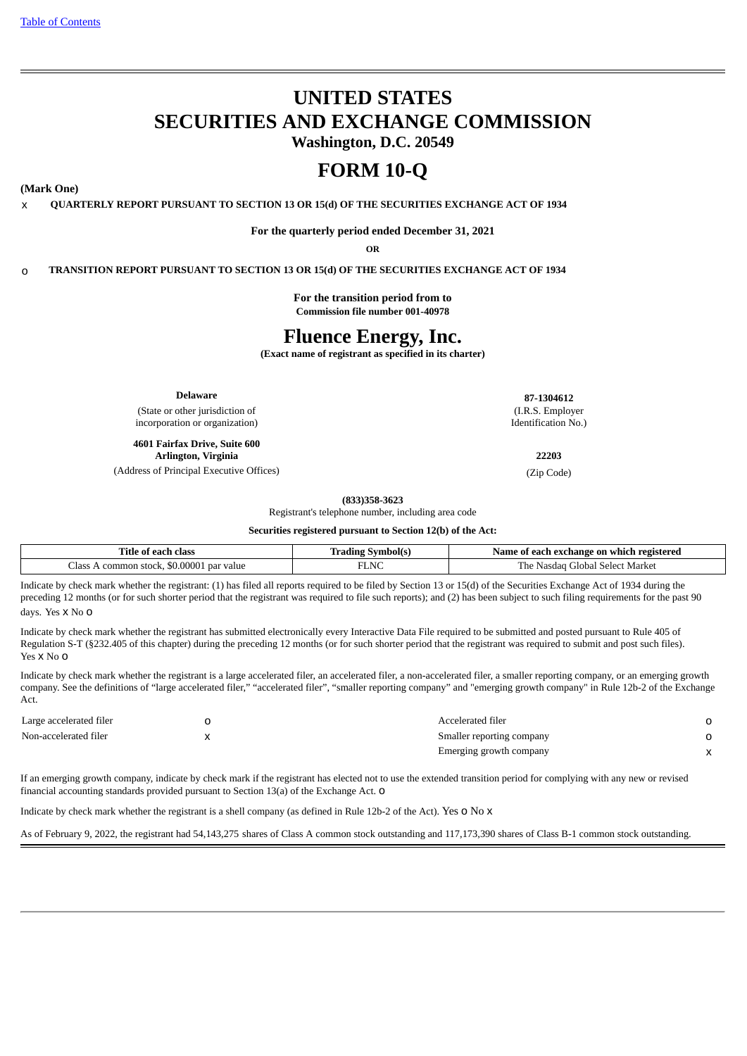# **UNITED STATES SECURITIES AND EXCHANGE COMMISSION**

**Washington, D.C. 20549**

## **FORM 10-Q**

## **(Mark One)**

x **QUARTERLY REPORT PURSUANT TO SECTION 13 OR 15(d) OF THE SECURITIES EXCHANGE ACT OF 1934**

**For the quarterly period ended December 31, 2021**

**OR**

o **TRANSITION REPORT PURSUANT TO SECTION 13 OR 15(d) OF THE SECURITIES EXCHANGE ACT OF 1934**

**For the transition period from to Commission file number 001-40978**

## **Fluence Energy, Inc.**

**(Exact name of registrant as specified in its charter)**

(State or other jurisdiction of incorporation or organization)

**4601 Fairfax Drive, Suite 600 Arlington, Virginia 22203**

(Address of Principal Executive Offices) (Zip Code)

**Delaware 87-1304612** (I.R.S. Employer Identification No.)

**(833)358-3623**

Registrant's telephone number, including area code

**Securities registered pursuant to Section 12(b) of the Act:**

| Title<br>each<br>class                   | -rading *<br>-vmbol(s)    | registered<br>same<br>-on<br>each<br>⊦exchange<br>which<br>-01                  |  |  |  |  |
|------------------------------------------|---------------------------|---------------------------------------------------------------------------------|--|--|--|--|
| 200.<br>par value<br>stock<br>ommo<br>n. | <b>NTC</b><br><b>LINU</b> | $\overline{\phantom{0}}$<br>. he<br>Marke<br>' TIODAI<br>INASO.<br><b>Selec</b> |  |  |  |  |

Indicate by check mark whether the registrant: (1) has filed all reports required to be filed by Section 13 or 15(d) of the Securities Exchange Act of 1934 during the preceding 12 months (or for such shorter period that the registrant was required to file such reports); and (2) has been subject to such filing requirements for the past 90 days. Yes x No o

Indicate by check mark whether the registrant has submitted electronically every Interactive Data File required to be submitted and posted pursuant to Rule 405 of Regulation S-T (§232.405 of this chapter) during the preceding 12 months (or for such shorter period that the registrant was required to submit and post such files). Yes x No o

Indicate by check mark whether the registrant is a large accelerated filer, an accelerated filer, a non-accelerated filer, a smaller reporting company, or an emerging growth company. See the definitions of "large accelerated filer," "accelerated filer", "smaller reporting company" and "emerging growth company" in Rule 12b-2 of the Exchange Act.

| Large accelerated filer | Accelerated filer         |  |
|-------------------------|---------------------------|--|
| Non-accelerated filer   | Smaller reporting company |  |
|                         | Emerging growth company   |  |

If an emerging growth company, indicate by check mark if the registrant has elected not to use the extended transition period for complying with any new or revised financial accounting standards provided pursuant to Section 13(a) of the Exchange Act. o

Indicate by check mark whether the registrant is a shell company (as defined in Rule 12b-2 of the Act). Yes o No x

<span id="page-0-0"></span>As of February 9, 2022, the registrant had 54,143,275 shares of Class A common stock outstanding and 117,173,390 shares of Class B-1 common stock outstanding.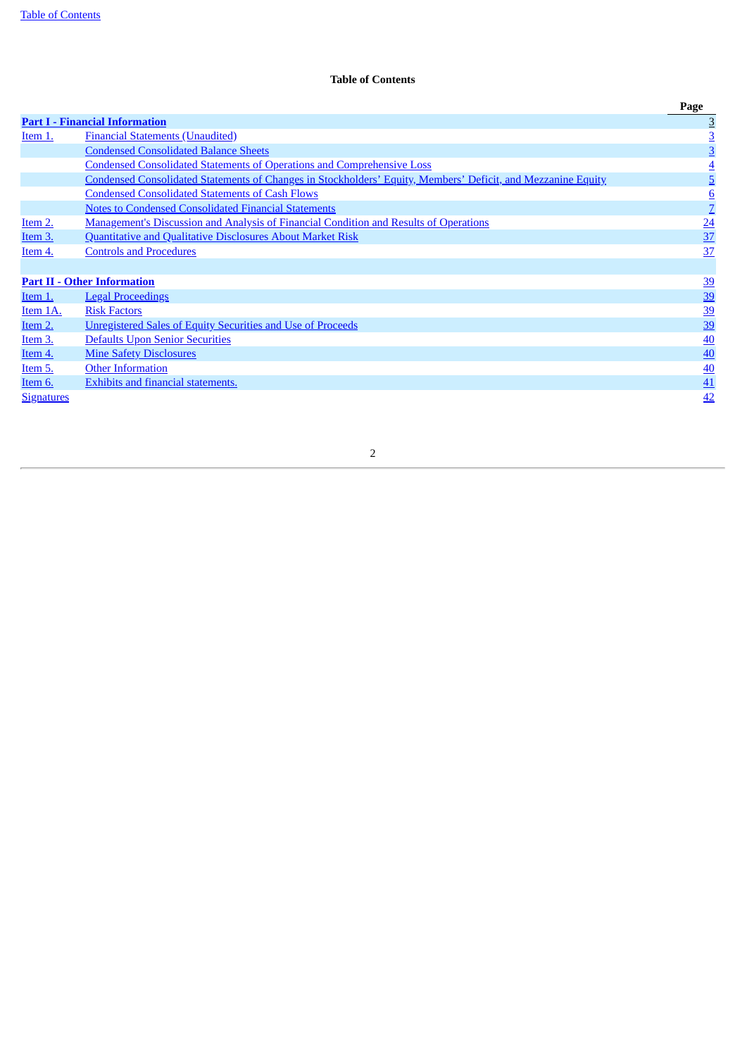## **Table of Contents**

<span id="page-1-0"></span>

|                   |                                                                                                              | Page            |
|-------------------|--------------------------------------------------------------------------------------------------------------|-----------------|
|                   | <b>Part I - Financial Information</b>                                                                        |                 |
| Item 1.           | <b>Financial Statements (Unaudited)</b>                                                                      |                 |
|                   | <b>Condensed Consolidated Balance Sheets</b>                                                                 |                 |
|                   | <b>Condensed Consolidated Statements of Operations and Comprehensive Loss</b>                                |                 |
|                   | Condensed Consolidated Statements of Changes in Stockholders' Equity, Members' Deficit, and Mezzanine Equity |                 |
|                   | <b>Condensed Consolidated Statements of Cash Flows</b>                                                       | 6               |
|                   | <b>Notes to Condensed Consolidated Financial Statements</b>                                                  |                 |
| Item 2.           | <b>Management's Discussion and Analysis of Financial Condition and Results of Operations</b>                 | $\overline{24}$ |
| Item 3.           | <b>Quantitative and Qualitative Disclosures About Market Risk</b>                                            | 37              |
| Item 4.           | <b>Controls and Procedures</b>                                                                               | 37              |
|                   |                                                                                                              |                 |
|                   | <b>Part II - Other Information</b>                                                                           | 39              |
| Item 1.           | <b>Legal Proceedings</b>                                                                                     | <u>39</u>       |
| Item 1A.          | <b>Risk Factors</b>                                                                                          | <u>39</u>       |
| Item 2.           | <b>Unregistered Sales of Equity Securities and Use of Proceeds</b>                                           | <u>39</u>       |
| Item 3.           | <b>Defaults Upon Senior Securities</b>                                                                       | 40              |
| Item 4.           | <b>Mine Safety Disclosures</b>                                                                               | 40              |
| Item 5.           | <b>Other Information</b>                                                                                     | 40              |
| Item 6.           | <b>Exhibits and financial statements.</b>                                                                    | 41              |
| <b>Signatures</b> |                                                                                                              | 42              |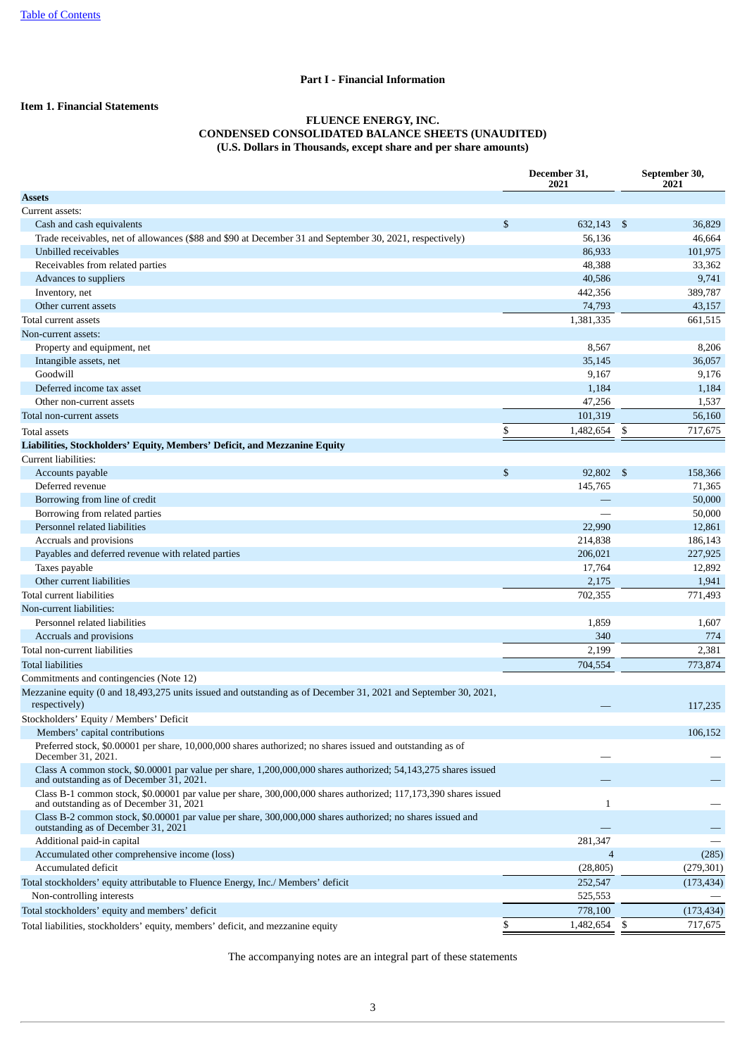## **Part I - Financial Information**

## <span id="page-2-1"></span><span id="page-2-0"></span>**Item 1. Financial Statements**

## **FLUENCE ENERGY, INC. CONDENSED CONSOLIDATED BALANCE SHEETS (UNAUDITED) (U.S. Dollars in Thousands, except share and per share amounts)**

|                                                                                                                                                            | December 31,<br>2021 |      | September 30,<br>2021 |
|------------------------------------------------------------------------------------------------------------------------------------------------------------|----------------------|------|-----------------------|
| <b>Assets</b>                                                                                                                                              |                      |      |                       |
| Current assets:                                                                                                                                            |                      |      |                       |
| Cash and cash equivalents                                                                                                                                  | \$<br>632,143        | - \$ | 36,829                |
| Trade receivables, net of allowances (\$88 and \$90 at December 31 and September 30, 2021, respectively)                                                   | 56,136               |      | 46,664                |
| Unbilled receivables                                                                                                                                       | 86,933               |      | 101,975               |
| Receivables from related parties                                                                                                                           | 48,388               |      | 33,362                |
| Advances to suppliers                                                                                                                                      | 40,586               |      | 9,741                 |
| Inventory, net                                                                                                                                             | 442,356              |      | 389,787               |
| Other current assets                                                                                                                                       | 74,793               |      | 43,157                |
| Total current assets                                                                                                                                       | 1,381,335            |      | 661,515               |
| Non-current assets:                                                                                                                                        |                      |      |                       |
| Property and equipment, net                                                                                                                                | 8,567                |      | 8,206                 |
| Intangible assets, net                                                                                                                                     | 35,145               |      | 36,057                |
| Goodwill                                                                                                                                                   | 9,167                |      | 9,176                 |
| Deferred income tax asset                                                                                                                                  | 1,184                |      | 1,184                 |
| Other non-current assets                                                                                                                                   | 47,256               |      | 1,537                 |
| Total non-current assets                                                                                                                                   | 101,319              |      | 56,160                |
| <b>Total assets</b>                                                                                                                                        | \$<br>1,482,654      | \$   | 717,675               |
| Liabilities, Stockholders' Equity, Members' Deficit, and Mezzanine Equity                                                                                  |                      |      |                       |
| Current liabilities:                                                                                                                                       |                      |      |                       |
| Accounts payable                                                                                                                                           | \$<br>92,802         | -\$  | 158,366               |
| Deferred revenue                                                                                                                                           | 145,765              |      | 71,365                |
| Borrowing from line of credit                                                                                                                              |                      |      | 50,000                |
| Borrowing from related parties                                                                                                                             |                      |      | 50,000                |
| Personnel related liabilities                                                                                                                              | 22,990               |      | 12,861                |
| Accruals and provisions                                                                                                                                    | 214,838              |      | 186,143               |
| Payables and deferred revenue with related parties                                                                                                         | 206,021              |      | 227,925               |
| Taxes payable                                                                                                                                              | 17,764               |      | 12,892                |
| Other current liabilities                                                                                                                                  | 2,175                |      | 1,941                 |
| Total current liabilities                                                                                                                                  | 702,355              |      | 771,493               |
| Non-current liabilities:<br>Personnel related liabilities                                                                                                  |                      |      |                       |
| Accruals and provisions                                                                                                                                    | 1,859<br>340         |      | 1,607<br>774          |
|                                                                                                                                                            |                      |      |                       |
| Total non-current liabilities                                                                                                                              | 2,199                |      | 2,381                 |
| <b>Total liabilities</b>                                                                                                                                   | 704,554              |      | 773,874               |
| Commitments and contingencies (Note 12)<br>Mezzanine equity (0 and 18,493,275 units issued and outstanding as of December 31, 2021 and September 30, 2021, |                      |      |                       |
| respectively)                                                                                                                                              |                      |      | 117,235               |
| Stockholders' Equity / Members' Deficit                                                                                                                    |                      |      |                       |
| Members' capital contributions                                                                                                                             |                      |      | 106,152               |
| Preferred stock, \$0.00001 per share, 10,000,000 shares authorized; no shares issued and outstanding as of<br>December 31, 2021.                           |                      |      |                       |
| Class A common stock, \$0.00001 par value per share, 1,200,000,000 shares authorized; 54,143,275 shares issued<br>and outstanding as of December 31, 2021. |                      |      |                       |
| Class B-1 common stock, \$0.00001 par value per share, 300,000,000 shares authorized; 117,173,390 shares issued<br>and outstanding as of December 31, 2021 | $\mathbf{1}$         |      |                       |
| Class B-2 common stock, \$0.00001 par value per share, 300,000,000 shares authorized; no shares issued and<br>outstanding as of December 31, 2021          |                      |      |                       |
| Additional paid-in capital                                                                                                                                 | 281,347              |      |                       |
| Accumulated other comprehensive income (loss)                                                                                                              | $\overline{4}$       |      | (285)                 |
| Accumulated deficit                                                                                                                                        | (28, 805)            |      | (279, 301)            |
| Total stockholders' equity attributable to Fluence Energy, Inc./ Members' deficit                                                                          | 252,547              |      | (173, 434)            |
| Non-controlling interests                                                                                                                                  | 525,553              |      |                       |
| Total stockholders' equity and members' deficit                                                                                                            | 778,100              |      | (173, 434)            |
| Total liabilities, stockholders' equity, members' deficit, and mezzanine equity                                                                            | \$<br>1,482,654      | \$   | 717,675               |

<span id="page-2-2"></span>The accompanying notes are an integral part of these statements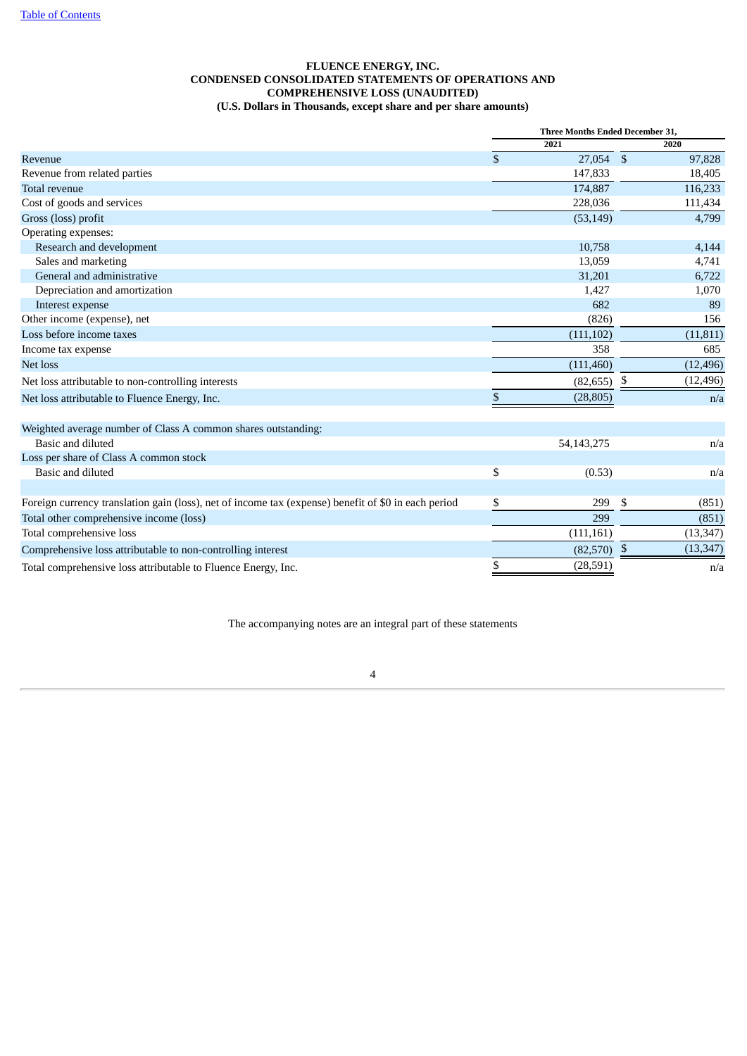## **FLUENCE ENERGY, INC. CONDENSED CONSOLIDATED STATEMENTS OF OPERATIONS AND COMPREHENSIVE LOSS (UNAUDITED) (U.S. Dollars in Thousands, except share and per share amounts)**

|                                                                                                     | Three Months Ended December 31, |            |    |           |
|-----------------------------------------------------------------------------------------------------|---------------------------------|------------|----|-----------|
|                                                                                                     |                                 | 2021       |    | 2020      |
| Revenue                                                                                             | $\mathbb{S}$                    | 27,054 \$  |    | 97,828    |
| Revenue from related parties                                                                        |                                 | 147,833    |    | 18,405    |
| <b>Total revenue</b>                                                                                |                                 | 174,887    |    | 116,233   |
| Cost of goods and services                                                                          |                                 | 228,036    |    | 111,434   |
| Gross (loss) profit                                                                                 |                                 | (53, 149)  |    | 4,799     |
| Operating expenses:                                                                                 |                                 |            |    |           |
| Research and development                                                                            |                                 | 10,758     |    | 4,144     |
| Sales and marketing                                                                                 |                                 | 13,059     |    | 4,741     |
| General and administrative                                                                          |                                 | 31,201     |    | 6,722     |
| Depreciation and amortization                                                                       |                                 | 1,427      |    | 1,070     |
| Interest expense                                                                                    |                                 | 682        |    | 89        |
| Other income (expense), net                                                                         |                                 | (826)      |    | 156       |
| Loss before income taxes                                                                            |                                 | (111, 102) |    | (11, 811) |
| Income tax expense                                                                                  |                                 | 358        |    | 685       |
| Net loss                                                                                            |                                 | (111, 460) |    | (12, 496) |
| Net loss attributable to non-controlling interests                                                  |                                 | (82, 655)  | \$ | (12, 496) |
| Net loss attributable to Fluence Energy, Inc.                                                       | \$                              | (28, 805)  |    | n/a       |
| Weighted average number of Class A common shares outstanding:                                       |                                 |            |    |           |
| Basic and diluted                                                                                   |                                 | 54,143,275 |    | n/a       |
| Loss per share of Class A common stock                                                              |                                 |            |    |           |
| Basic and diluted                                                                                   | \$                              | (0.53)     |    | n/a       |
| Foreign currency translation gain (loss), net of income tax (expense) benefit of \$0 in each period | \$                              | 299        | \$ | (851)     |
| Total other comprehensive income (loss)                                                             |                                 | 299        |    | (851)     |
| Total comprehensive loss                                                                            |                                 | (111, 161) |    | (13, 347) |
|                                                                                                     |                                 |            |    |           |
| Comprehensive loss attributable to non-controlling interest                                         |                                 | (82,570)   | \$ | (13, 347) |
| Total comprehensive loss attributable to Fluence Energy, Inc.                                       | \$                              | (28, 591)  |    | n/a       |

<span id="page-3-0"></span>The accompanying notes are an integral part of these statements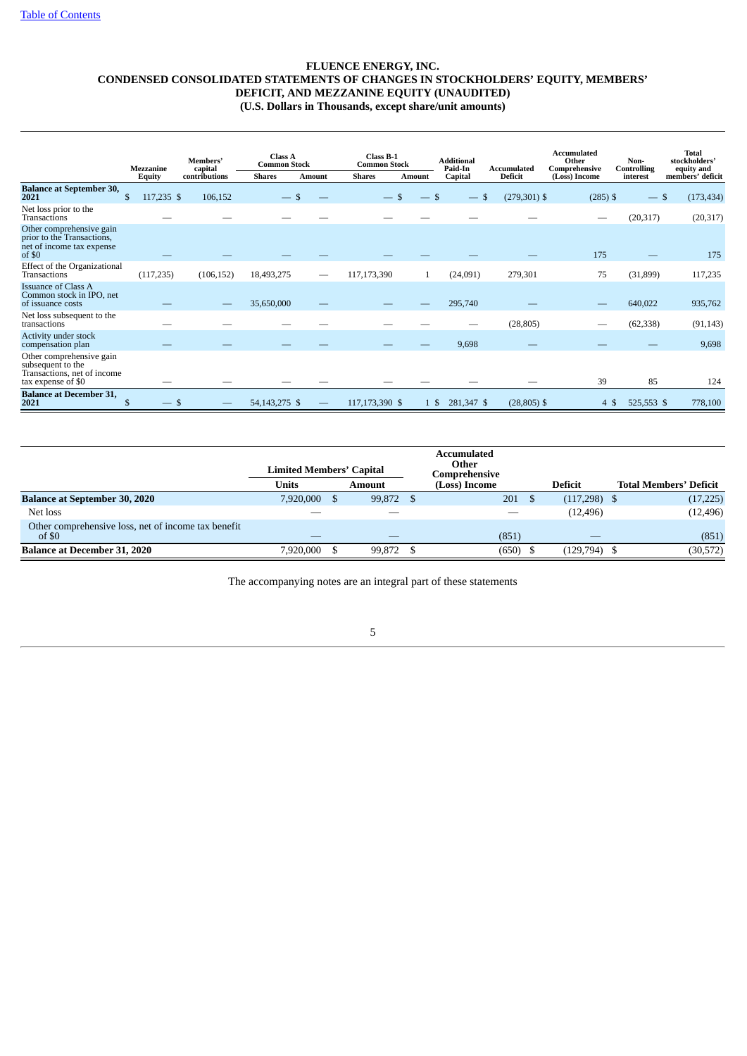## **FLUENCE ENERGY, INC. CONDENSED CONSOLIDATED STATEMENTS OF CHANGES IN STOCKHOLDERS' EQUITY, MEMBERS' DEFICIT, AND MEZZANINE EQUITY (UNAUDITED) (U.S. Dollars in Thousands, except share/unit amounts)**

|                                                                                                    | Mezzanine<br>Equity          | Members'<br>capital<br>contributions | Class A<br><b>Common Stock</b><br><b>Shares</b> | <b>Amount</b> | Class B-1<br><b>Shares</b> | <b>Common Stock</b><br><b>Amount</b> | <b>Additional</b><br>Paid-In<br>Capital | Accumulated<br>Deficit | <b>Accumulated</b><br>Other<br>Comprehensive<br>(Loss) Income | Non-<br>Controlling<br>interest | <b>Total</b><br>stockholders'<br>equity and<br>members' deficit |
|----------------------------------------------------------------------------------------------------|------------------------------|--------------------------------------|-------------------------------------------------|---------------|----------------------------|--------------------------------------|-----------------------------------------|------------------------|---------------------------------------------------------------|---------------------------------|-----------------------------------------------------------------|
| <b>Balance at September 30,<br/>2021</b>                                                           | $\mathfrak{L}$<br>117,235 \$ | 106,152                              |                                                 | $-$ \$        |                            | $-$ \$                               | $-$ \$<br>.¢                            | $(279, 301)$ \$        | $(285)$ \$                                                    | $-$ \$                          | (173, 434)                                                      |
| Net loss prior to the<br>Transactions                                                              |                              |                                      |                                                 |               |                            |                                      |                                         |                        |                                                               | (20, 317)                       | (20, 317)                                                       |
| Other comprehensive gain<br>prior to the Transactions,<br>net of income tax expense<br>of \$0      |                              |                                      |                                                 |               |                            |                                      |                                         |                        | 175                                                           |                                 | 175                                                             |
| Effect of the Organizational<br>Transactions                                                       | (117, 235)                   | (106, 152)                           | 18,493,275                                      |               | 117,173,390                |                                      | (24,091)                                | 279,301                | 75                                                            | (31,899)                        | 117,235                                                         |
| <b>Issuance of Class A</b><br>Common stock in IPO, net<br>of issuance costs                        |                              |                                      | 35,650,000                                      |               |                            |                                      | 295,740                                 |                        |                                                               | 640,022                         | 935,762                                                         |
| Net loss subsequent to the<br>transactions                                                         |                              |                                      |                                                 |               |                            |                                      |                                         | (28, 805)              |                                                               | (62, 338)                       | (91, 143)                                                       |
| Activity under stock<br>compensation plan                                                          |                              |                                      |                                                 |               |                            |                                      | 9,698                                   |                        |                                                               |                                 | 9,698                                                           |
| Other comprehensive gain<br>subsequent to the<br>Transactions, net of income<br>tax expense of \$0 |                              |                                      |                                                 |               |                            |                                      |                                         |                        | 39                                                            | 85                              | 124                                                             |
| <b>Balance at December 31,</b><br>2021                                                             | \$                           | $-$ \$                               | 54, 143, 275 \$                                 |               | 117,173,390 \$             |                                      | 281,347 \$<br>1 \$                      | $(28, 805)$ \$         | $4\frac{6}{5}$                                                | 525,553 \$                      | 778,100                                                         |

<span id="page-4-0"></span>

|                                                               | <b>Limited Members' Capital</b> |           | <b>Accumulated</b><br>Other<br>Comprehensive |  |                |                               |
|---------------------------------------------------------------|---------------------------------|-----------|----------------------------------------------|--|----------------|-------------------------------|
|                                                               | Units                           | Amount    | (Loss) Income                                |  | Deficit        | <b>Total Members' Deficit</b> |
| <b>Balance at September 30, 2020</b>                          | 7,920,000                       | 99.872 \$ | 201                                          |  | $(117,298)$ \$ | (17,225)                      |
| Net loss                                                      |                                 |           | ---                                          |  | (12, 496)      | (12, 496)                     |
| Other comprehensive loss, net of income tax benefit<br>of \$0 |                                 | __        | (851)                                        |  |                | (851)                         |
| <b>Balance at December 31, 2020</b>                           | 7,920,000                       | 99.872 \$ | (650)                                        |  | (129,794)      | (30, 572)                     |

The accompanying notes are an integral part of these statements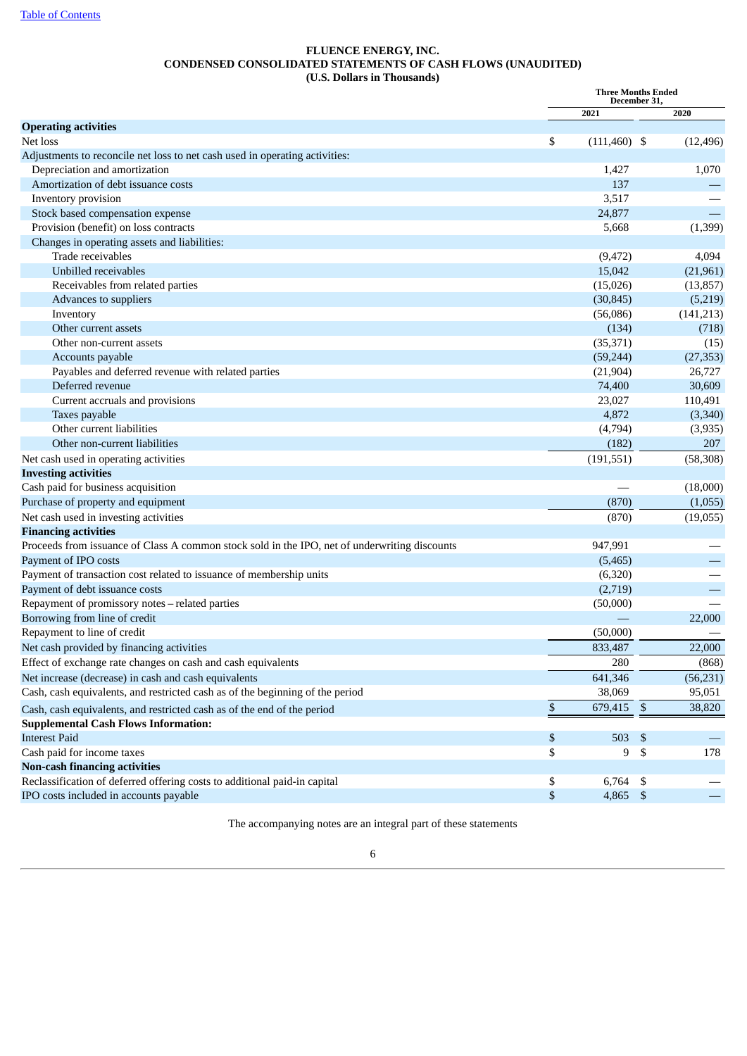## **FLUENCE ENERGY, INC. CONDENSED CONSOLIDATED STATEMENTS OF CASH FLOWS (UNAUDITED) (U.S. Dollars in Thousands)**

|                                                                                               | <b>Three Months Ended</b><br>December 31, |                |     |            |
|-----------------------------------------------------------------------------------------------|-------------------------------------------|----------------|-----|------------|
|                                                                                               |                                           | 2021           |     | 2020       |
| <b>Operating activities</b>                                                                   |                                           |                |     |            |
| Net loss                                                                                      | \$                                        | $(111,460)$ \$ |     | (12, 496)  |
| Adjustments to reconcile net loss to net cash used in operating activities:                   |                                           |                |     |            |
| Depreciation and amortization                                                                 |                                           | 1,427          |     | 1,070      |
| Amortization of debt issuance costs                                                           |                                           | 137            |     |            |
| Inventory provision                                                                           |                                           | 3,517          |     |            |
| Stock based compensation expense                                                              |                                           | 24,877         |     |            |
| Provision (benefit) on loss contracts                                                         |                                           | 5,668          |     | (1, 399)   |
| Changes in operating assets and liabilities:                                                  |                                           |                |     |            |
| Trade receivables                                                                             |                                           | (9, 472)       |     | 4,094      |
| Unbilled receivables                                                                          |                                           | 15,042         |     | (21,961)   |
| Receivables from related parties                                                              |                                           | (15,026)       |     | (13, 857)  |
| Advances to suppliers                                                                         |                                           | (30, 845)      |     | (5,219)    |
| Inventory                                                                                     |                                           | (56,086)       |     | (141, 213) |
| Other current assets                                                                          |                                           | (134)          |     | (718)      |
| Other non-current assets                                                                      |                                           | (35, 371)      |     | (15)       |
| Accounts payable                                                                              |                                           | (59, 244)      |     | (27, 353)  |
| Payables and deferred revenue with related parties                                            |                                           | (21, 904)      |     | 26,727     |
| Deferred revenue                                                                              |                                           | 74,400         |     | 30,609     |
| Current accruals and provisions                                                               |                                           | 23,027         |     | 110,491    |
| Taxes payable                                                                                 |                                           | 4,872          |     | (3,340)    |
| Other current liabilities                                                                     |                                           | (4,794)        |     | (3,935)    |
| Other non-current liabilities                                                                 |                                           | (182)          |     | 207        |
| Net cash used in operating activities                                                         |                                           | (191, 551)     |     | (58, 308)  |
| <b>Investing activities</b>                                                                   |                                           |                |     |            |
| Cash paid for business acquisition                                                            |                                           |                |     | (18,000)   |
| Purchase of property and equipment                                                            |                                           | (870)          |     | (1,055)    |
| Net cash used in investing activities                                                         |                                           | (870)          |     | (19,055)   |
| <b>Financing activities</b>                                                                   |                                           |                |     |            |
| Proceeds from issuance of Class A common stock sold in the IPO, net of underwriting discounts |                                           | 947,991        |     |            |
| Payment of IPO costs                                                                          |                                           | (5,465)        |     |            |
| Payment of transaction cost related to issuance of membership units                           |                                           | (6,320)        |     |            |
| Payment of debt issuance costs                                                                |                                           | (2,719)        |     |            |
| Repayment of promissory notes - related parties                                               |                                           | (50,000)       |     |            |
| Borrowing from line of credit                                                                 |                                           |                |     | 22,000     |
| Repayment to line of credit                                                                   |                                           | (50,000)       |     |            |
| Net cash provided by financing activities                                                     |                                           | 833,487        |     | 22,000     |
| Effect of exchange rate changes on cash and cash equivalents                                  |                                           | 280            |     | (868)      |
| Net increase (decrease) in cash and cash equivalents                                          |                                           | 641,346        |     | (56, 231)  |
| Cash, cash equivalents, and restricted cash as of the beginning of the period                 |                                           | 38,069         |     | 95,051     |
| Cash, cash equivalents, and restricted cash as of the end of the period                       | \$                                        | 679,415 \$     |     | 38,820     |
| <b>Supplemental Cash Flows Information:</b>                                                   |                                           |                |     |            |
| <b>Interest Paid</b>                                                                          | \$                                        | 503            | -\$ |            |
| Cash paid for income taxes                                                                    | \$                                        | 9S             |     | 178        |
| <b>Non-cash financing activities</b>                                                          |                                           |                |     |            |
| Reclassification of deferred offering costs to additional paid-in capital                     | \$                                        | $6,764$ \$     |     |            |
| IPO costs included in accounts payable                                                        | \$                                        | 4,865 \$       |     |            |

<span id="page-5-0"></span>The accompanying notes are an integral part of these statements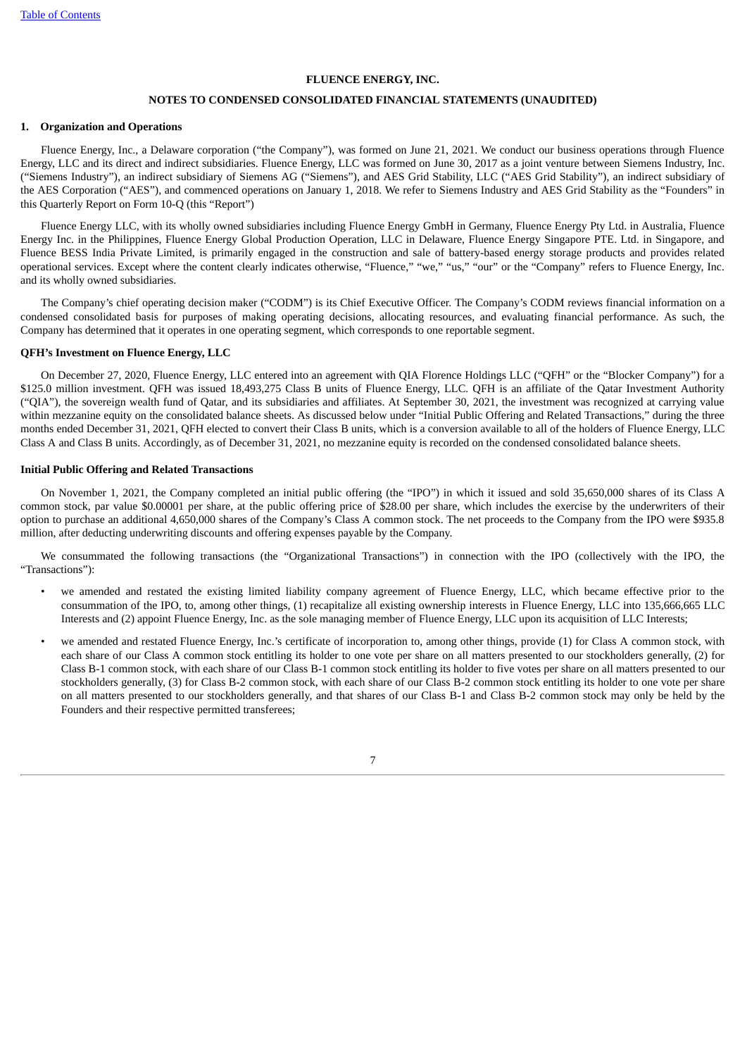## **FLUENCE ENERGY, INC.**

## **NOTES TO CONDENSED CONSOLIDATED FINANCIAL STATEMENTS (UNAUDITED)**

#### **1. Organization and Operations**

Fluence Energy, Inc., a Delaware corporation ("the Company"), was formed on June 21, 2021. We conduct our business operations through Fluence Energy, LLC and its direct and indirect subsidiaries. Fluence Energy, LLC was formed on June 30, 2017 as a joint venture between Siemens Industry, Inc. ("Siemens Industry"), an indirect subsidiary of Siemens AG ("Siemens"), and AES Grid Stability, LLC ("AES Grid Stability"), an indirect subsidiary of the AES Corporation ("AES"), and commenced operations on January 1, 2018. We refer to Siemens Industry and AES Grid Stability as the "Founders" in this Quarterly Report on Form 10-Q (this "Report")

Fluence Energy LLC, with its wholly owned subsidiaries including Fluence Energy GmbH in Germany, Fluence Energy Pty Ltd. in Australia, Fluence Energy Inc. in the Philippines, Fluence Energy Global Production Operation, LLC in Delaware, Fluence Energy Singapore PTE. Ltd. in Singapore, and Fluence BESS India Private Limited, is primarily engaged in the construction and sale of battery-based energy storage products and provides related operational services. Except where the content clearly indicates otherwise, "Fluence," "we," "us," "our" or the "Company" refers to Fluence Energy, Inc. and its wholly owned subsidiaries.

The Company's chief operating decision maker ("CODM") is its Chief Executive Officer. The Company's CODM reviews financial information on a condensed consolidated basis for purposes of making operating decisions, allocating resources, and evaluating financial performance. As such, the Company has determined that it operates in one operating segment, which corresponds to one reportable segment.

## **QFH's Investment on Fluence Energy, LLC**

On December 27, 2020, Fluence Energy, LLC entered into an agreement with QIA Florence Holdings LLC ("QFH" or the "Blocker Company") for a \$125.0 million investment. QFH was issued 18,493,275 Class B units of Fluence Energy, LLC. QFH is an affiliate of the Qatar Investment Authority ("QIA"), the sovereign wealth fund of Qatar, and its subsidiaries and affiliates. At September 30, 2021, the investment was recognized at carrying value within mezzanine equity on the consolidated balance sheets. As discussed below under "Initial Public Offering and Related Transactions," during the three months ended December 31, 2021, QFH elected to convert their Class B units, which is a conversion available to all of the holders of Fluence Energy, LLC Class A and Class B units. Accordingly, as of December 31, 2021, no mezzanine equity is recorded on the condensed consolidated balance sheets.

#### **Initial Public Offering and Related Transactions**

On November 1, 2021, the Company completed an initial public offering (the "IPO") in which it issued and sold 35,650,000 shares of its Class A common stock, par value \$0.00001 per share, at the public offering price of \$28.00 per share, which includes the exercise by the underwriters of their option to purchase an additional 4,650,000 shares of the Company's Class A common stock. The net proceeds to the Company from the IPO were \$935.8 million, after deducting underwriting discounts and offering expenses payable by the Company.

We consummated the following transactions (the "Organizational Transactions") in connection with the IPO (collectively with the IPO, the "Transactions"):

- we amended and restated the existing limited liability company agreement of Fluence Energy, LLC, which became effective prior to the consummation of the IPO, to, among other things, (1) recapitalize all existing ownership interests in Fluence Energy, LLC into 135,666,665 LLC Interests and (2) appoint Fluence Energy, Inc. as the sole managing member of Fluence Energy, LLC upon its acquisition of LLC Interests;
- we amended and restated Fluence Energy, Inc.'s certificate of incorporation to, among other things, provide (1) for Class A common stock, with each share of our Class A common stock entitling its holder to one vote per share on all matters presented to our stockholders generally, (2) for Class B-1 common stock, with each share of our Class B-1 common stock entitling its holder to five votes per share on all matters presented to our stockholders generally, (3) for Class B-2 common stock, with each share of our Class B-2 common stock entitling its holder to one vote per share on all matters presented to our stockholders generally, and that shares of our Class B-1 and Class B-2 common stock may only be held by the Founders and their respective permitted transferees;

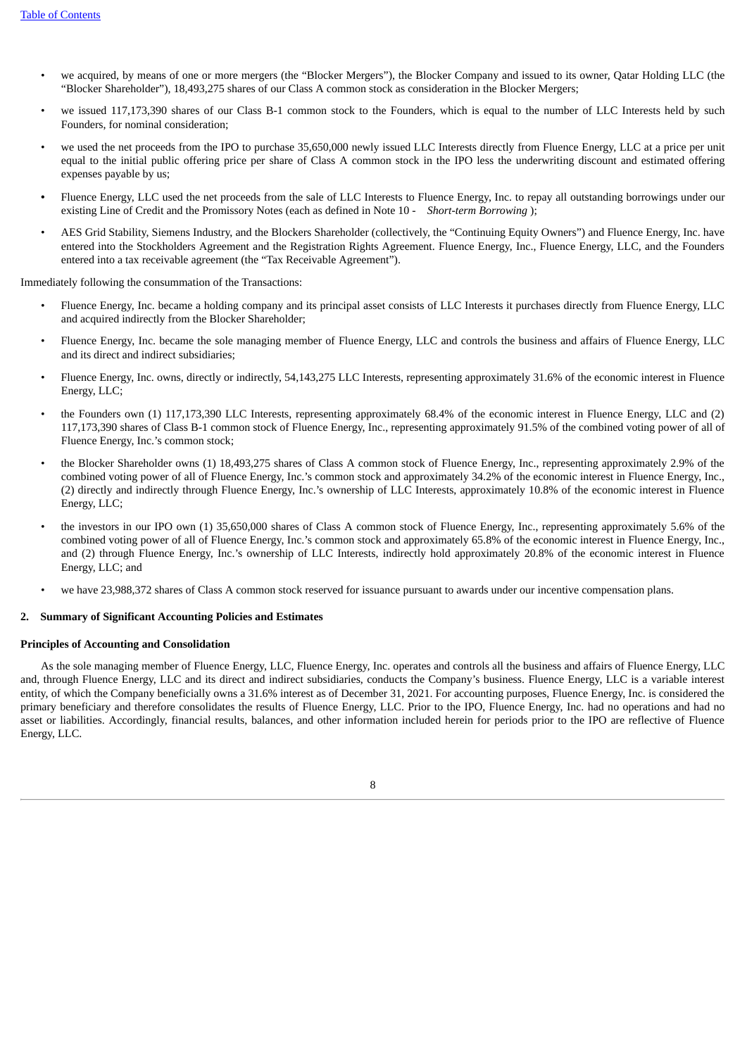- we acquired, by means of one or more mergers (the "Blocker Mergers"), the Blocker Company and issued to its owner, Qatar Holding LLC (the "Blocker Shareholder"), 18,493,275 shares of our Class A common stock as consideration in the Blocker Mergers;
- we issued 117,173,390 shares of our Class B-1 common stock to the Founders, which is equal to the number of LLC Interests held by such Founders, for nominal consideration;
- we used the net proceeds from the IPO to purchase 35,650,000 newly issued LLC Interests directly from Fluence Energy, LLC at a price per unit equal to the initial public offering price per share of Class A common stock in the IPO less the underwriting discount and estimated offering expenses payable by us;
- **•** Fluence Energy, LLC used the net proceeds from the sale of LLC Interests to Fluence Energy, Inc. to repay all outstanding borrowings under our existing Line of Credit and the Promissory Notes (each as defined in Note 10 - *Short-term Borrowing* );
- AES Grid Stability, Siemens Industry, and the Blockers Shareholder (collectively, the "Continuing Equity Owners") and Fluence Energy, Inc. have entered into the Stockholders Agreement and the Registration Rights Agreement. Fluence Energy, Inc., Fluence Energy, LLC, and the Founders entered into a tax receivable agreement (the "Tax Receivable Agreement").

Immediately following the consummation of the Transactions:

- Fluence Energy, Inc. became a holding company and its principal asset consists of LLC Interests it purchases directly from Fluence Energy, LLC and acquired indirectly from the Blocker Shareholder;
- Fluence Energy, Inc. became the sole managing member of Fluence Energy, LLC and controls the business and affairs of Fluence Energy, LLC and its direct and indirect subsidiaries;
- Fluence Energy, Inc. owns, directly or indirectly, 54,143,275 LLC Interests, representing approximately 31.6% of the economic interest in Fluence Energy, LLC;
- the Founders own (1) 117,173,390 LLC Interests, representing approximately 68.4% of the economic interest in Fluence Energy, LLC and (2) 117,173,390 shares of Class B-1 common stock of Fluence Energy, Inc., representing approximately 91.5% of the combined voting power of all of Fluence Energy, Inc.'s common stock;
- the Blocker Shareholder owns (1) 18,493,275 shares of Class A common stock of Fluence Energy, Inc., representing approximately 2.9% of the combined voting power of all of Fluence Energy, Inc.'s common stock and approximately 34.2% of the economic interest in Fluence Energy, Inc., (2) directly and indirectly through Fluence Energy, Inc.'s ownership of LLC Interests, approximately 10.8% of the economic interest in Fluence Energy, LLC;
- the investors in our IPO own (1) 35,650,000 shares of Class A common stock of Fluence Energy, Inc., representing approximately 5.6% of the combined voting power of all of Fluence Energy, Inc.'s common stock and approximately 65.8% of the economic interest in Fluence Energy, Inc., and (2) through Fluence Energy, Inc.'s ownership of LLC Interests, indirectly hold approximately 20.8% of the economic interest in Fluence Energy, LLC; and
- we have 23,988,372 shares of Class A common stock reserved for issuance pursuant to awards under our incentive compensation plans.

## **2. Summary of Significant Accounting Policies and Estimates**

## **Principles of Accounting and Consolidation**

As the sole managing member of Fluence Energy, LLC, Fluence Energy, Inc. operates and controls all the business and affairs of Fluence Energy, LLC and, through Fluence Energy, LLC and its direct and indirect subsidiaries, conducts the Company's business. Fluence Energy, LLC is a variable interest entity, of which the Company beneficially owns a 31.6% interest as of December 31, 2021. For accounting purposes, Fluence Energy, Inc. is considered the primary beneficiary and therefore consolidates the results of Fluence Energy, LLC. Prior to the IPO, Fluence Energy, Inc. had no operations and had no asset or liabilities. Accordingly, financial results, balances, and other information included herein for periods prior to the IPO are reflective of Fluence Energy, LLC.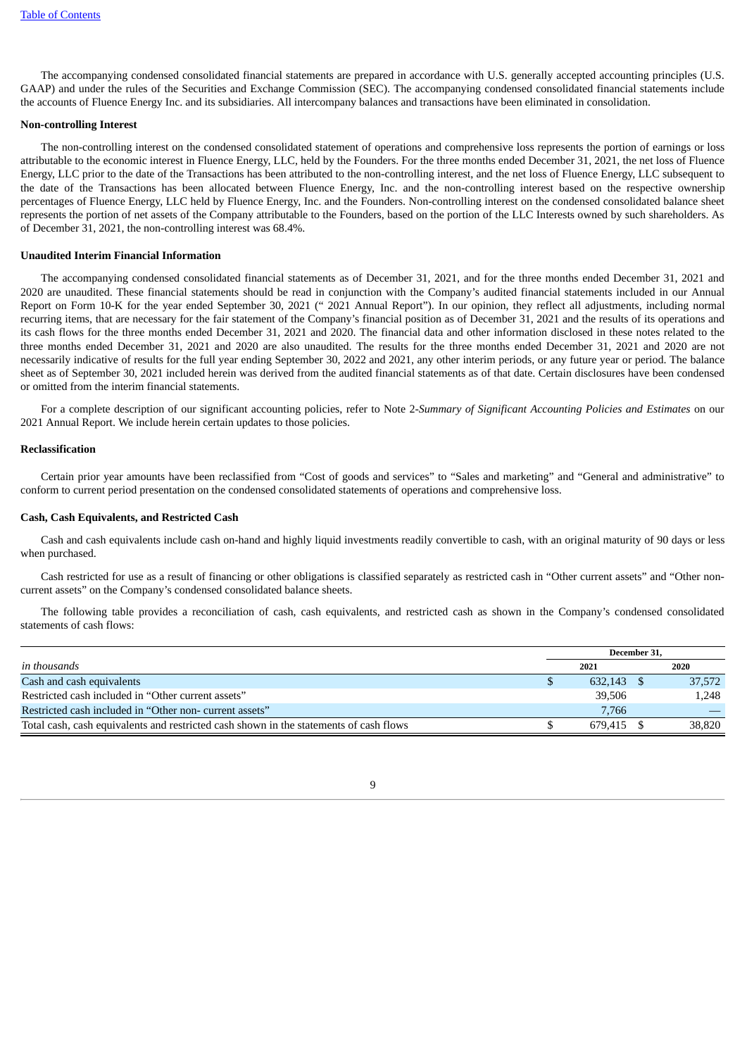The accompanying condensed consolidated financial statements are prepared in accordance with U.S. generally accepted accounting principles (U.S. GAAP) and under the rules of the Securities and Exchange Commission (SEC). The accompanying condensed consolidated financial statements include the accounts of Fluence Energy Inc. and its subsidiaries. All intercompany balances and transactions have been eliminated in consolidation.

## **Non-controlling Interest**

The non-controlling interest on the condensed consolidated statement of operations and comprehensive loss represents the portion of earnings or loss attributable to the economic interest in Fluence Energy, LLC, held by the Founders. For the three months ended December 31, 2021, the net loss of Fluence Energy, LLC prior to the date of the Transactions has been attributed to the non-controlling interest, and the net loss of Fluence Energy, LLC subsequent to the date of the Transactions has been allocated between Fluence Energy, Inc. and the non-controlling interest based on the respective ownership percentages of Fluence Energy, LLC held by Fluence Energy, Inc. and the Founders. Non-controlling interest on the condensed consolidated balance sheet represents the portion of net assets of the Company attributable to the Founders, based on the portion of the LLC Interests owned by such shareholders. As of December 31, 2021, the non-controlling interest was 68.4%.

#### **Unaudited Interim Financial Information**

The accompanying condensed consolidated financial statements as of December 31, 2021, and for the three months ended December 31, 2021 and 2020 are unaudited. These financial statements should be read in conjunction with the Company's audited financial statements included in our Annual Report on Form 10-K for the year ended September 30, 2021 (" 2021 Annual Report"). In our opinion, they reflect all adjustments, including normal recurring items, that are necessary for the fair statement of the Company's financial position as of December 31, 2021 and the results of its operations and its cash flows for the three months ended December 31, 2021 and 2020. The financial data and other information disclosed in these notes related to the three months ended December 31, 2021 and 2020 are also unaudited. The results for the three months ended December 31, 2021 and 2020 are not necessarily indicative of results for the full year ending September 30, 2022 and 2021, any other interim periods, or any future year or period. The balance sheet as of September 30, 2021 included herein was derived from the audited financial statements as of that date. Certain disclosures have been condensed or omitted from the interim financial statements.

For a complete description of our significant accounting policies, refer to Note 2-*Summary of Significant Accounting Policies and Estimates* on our 2021 Annual Report. We include herein certain updates to those policies.

#### **Reclassification**

Certain prior year amounts have been reclassified from "Cost of goods and services" to "Sales and marketing" and "General and administrative" to conform to current period presentation on the condensed consolidated statements of operations and comprehensive loss.

## **Cash, Cash Equivalents, and Restricted Cash**

Cash and cash equivalents include cash on-hand and highly liquid investments readily convertible to cash, with an original maturity of 90 days or less when purchased.

Cash restricted for use as a result of financing or other obligations is classified separately as restricted cash in "Other current assets" and "Other noncurrent assets" on the Company's condensed consolidated balance sheets.

The following table provides a reconciliation of cash, cash equivalents, and restricted cash as shown in the Company's condensed consolidated statements of cash flows:

|                                                                                        | December 31. |            |  |        |
|----------------------------------------------------------------------------------------|--------------|------------|--|--------|
| in thousands                                                                           |              | 2021       |  | 2020   |
| Cash and cash equivalents                                                              |              | 632,143 \$ |  | 37,572 |
| Restricted cash included in "Other current assets"                                     |              | 39,506     |  | 1.248  |
| Restricted cash included in "Other non- current assets"                                |              | 7.766      |  |        |
| Total cash, cash equivalents and restricted cash shown in the statements of cash flows |              | 679.415 \$ |  | 38,820 |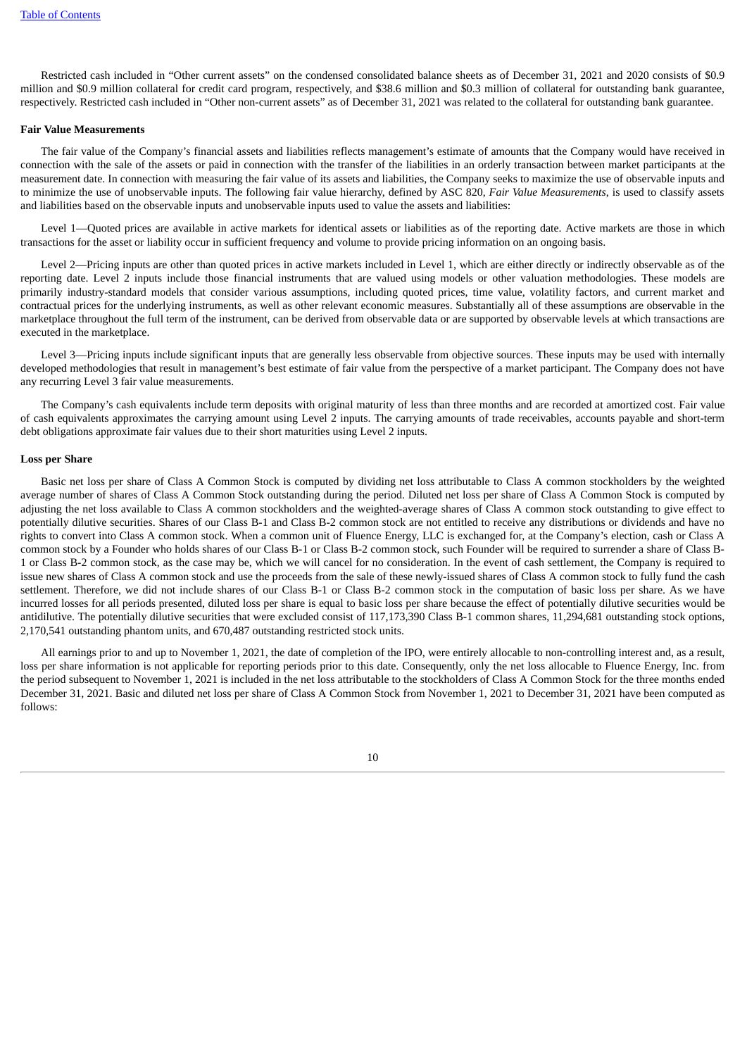Restricted cash included in "Other current assets" on the condensed consolidated balance sheets as of December 31, 2021 and 2020 consists of \$0.9 million and \$0.9 million collateral for credit card program, respectively, and \$38.6 million and \$0.3 million of collateral for outstanding bank guarantee, respectively. Restricted cash included in "Other non-current assets" as of December 31, 2021 was related to the collateral for outstanding bank guarantee.

## **Fair Value Measurements**

The fair value of the Company's financial assets and liabilities reflects management's estimate of amounts that the Company would have received in connection with the sale of the assets or paid in connection with the transfer of the liabilities in an orderly transaction between market participants at the measurement date. In connection with measuring the fair value of its assets and liabilities, the Company seeks to maximize the use of observable inputs and to minimize the use of unobservable inputs. The following fair value hierarchy, defined by ASC 820, *Fair Value Measurements*, is used to classify assets and liabilities based on the observable inputs and unobservable inputs used to value the assets and liabilities:

Level 1—Quoted prices are available in active markets for identical assets or liabilities as of the reporting date. Active markets are those in which transactions for the asset or liability occur in sufficient frequency and volume to provide pricing information on an ongoing basis.

Level 2—Pricing inputs are other than quoted prices in active markets included in Level 1, which are either directly or indirectly observable as of the reporting date. Level 2 inputs include those financial instruments that are valued using models or other valuation methodologies. These models are primarily industry-standard models that consider various assumptions, including quoted prices, time value, volatility factors, and current market and contractual prices for the underlying instruments, as well as other relevant economic measures. Substantially all of these assumptions are observable in the marketplace throughout the full term of the instrument, can be derived from observable data or are supported by observable levels at which transactions are executed in the marketplace.

Level 3—Pricing inputs include significant inputs that are generally less observable from objective sources. These inputs may be used with internally developed methodologies that result in management's best estimate of fair value from the perspective of a market participant. The Company does not have any recurring Level 3 fair value measurements.

The Company's cash equivalents include term deposits with original maturity of less than three months and are recorded at amortized cost. Fair value of cash equivalents approximates the carrying amount using Level 2 inputs. The carrying amounts of trade receivables, accounts payable and short-term debt obligations approximate fair values due to their short maturities using Level 2 inputs.

## **Loss per Share**

Basic net loss per share of Class A Common Stock is computed by dividing net loss attributable to Class A common stockholders by the weighted average number of shares of Class A Common Stock outstanding during the period. Diluted net loss per share of Class A Common Stock is computed by adjusting the net loss available to Class A common stockholders and the weighted-average shares of Class A common stock outstanding to give effect to potentially dilutive securities. Shares of our Class B-1 and Class B-2 common stock are not entitled to receive any distributions or dividends and have no rights to convert into Class A common stock. When a common unit of Fluence Energy, LLC is exchanged for, at the Company's election, cash or Class A common stock by a Founder who holds shares of our Class B-1 or Class B-2 common stock, such Founder will be required to surrender a share of Class B-1 or Class B-2 common stock, as the case may be, which we will cancel for no consideration. In the event of cash settlement, the Company is required to issue new shares of Class A common stock and use the proceeds from the sale of these newly-issued shares of Class A common stock to fully fund the cash settlement. Therefore, we did not include shares of our Class B-1 or Class B-2 common stock in the computation of basic loss per share. As we have incurred losses for all periods presented, diluted loss per share is equal to basic loss per share because the effect of potentially dilutive securities would be antidilutive. The potentially dilutive securities that were excluded consist of 117,173,390 Class B-1 common shares, 11,294,681 outstanding stock options, 2,170,541 outstanding phantom units, and 670,487 outstanding restricted stock units.

All earnings prior to and up to November 1, 2021, the date of completion of the IPO, were entirely allocable to non-controlling interest and, as a result, loss per share information is not applicable for reporting periods prior to this date. Consequently, only the net loss allocable to Fluence Energy, Inc. from the period subsequent to November 1, 2021 is included in the net loss attributable to the stockholders of Class A Common Stock for the three months ended December 31, 2021. Basic and diluted net loss per share of Class A Common Stock from November 1, 2021 to December 31, 2021 have been computed as follows:

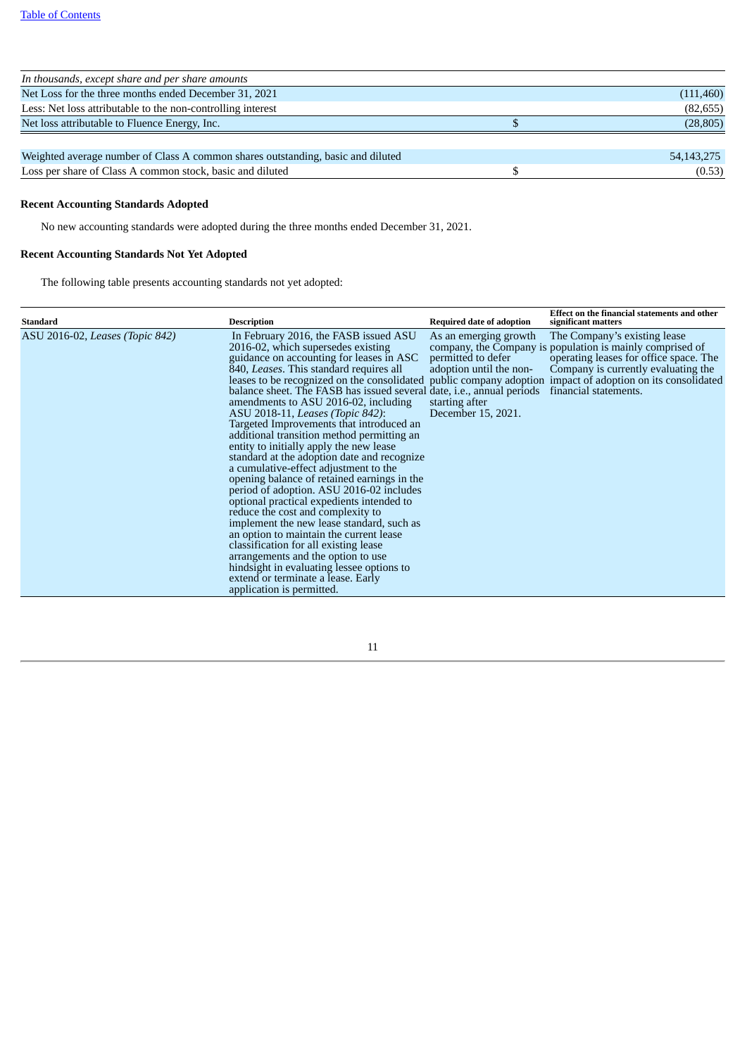| In thousands, except share and per share amounts                                |  |            |  |  |  |
|---------------------------------------------------------------------------------|--|------------|--|--|--|
| Net Loss for the three months ended December 31, 2021                           |  |            |  |  |  |
| Less: Net loss attributable to the non-controlling interest                     |  |            |  |  |  |
| Net loss attributable to Fluence Energy, Inc.                                   |  | (28, 805)  |  |  |  |
|                                                                                 |  |            |  |  |  |
| Weighted average number of Class A common shares outstanding, basic and diluted |  | 54,143,275 |  |  |  |
| Loss per share of Class A common stock, basic and diluted                       |  | (0.53)     |  |  |  |

## **Recent Accounting Standards Adopted**

No new accounting standards were adopted during the three months ended December 31, 2021.

## **Recent Accounting Standards Not Yet Adopted**

The following table presents accounting standards not yet adopted:

| <b>Standard</b>                 | <b>Description</b>                                                                                                                                                                                                                                                                                                                                                                                                                                                                                                                                                                                                                                                                                                                                                                                                                                                                                                                                                                                                                                                      | <b>Required date of adoption</b>                                                                               | Effect on the financial statements and other<br>significant matters                                                                                                                                                                                                   |
|---------------------------------|-------------------------------------------------------------------------------------------------------------------------------------------------------------------------------------------------------------------------------------------------------------------------------------------------------------------------------------------------------------------------------------------------------------------------------------------------------------------------------------------------------------------------------------------------------------------------------------------------------------------------------------------------------------------------------------------------------------------------------------------------------------------------------------------------------------------------------------------------------------------------------------------------------------------------------------------------------------------------------------------------------------------------------------------------------------------------|----------------------------------------------------------------------------------------------------------------|-----------------------------------------------------------------------------------------------------------------------------------------------------------------------------------------------------------------------------------------------------------------------|
| ASU 2016-02, Leases (Topic 842) | In February 2016, the FASB issued ASU<br>2016-02, which supersedes existing<br>guidance on accounting for leases in ASC<br>840, Leases. This standard requires all<br>leases to be recognized on the consolidated<br>balance sheet. The FASB has issued several date, i.e., annual periods<br>amendments to ASU 2016-02, including<br>ASU 2018-11, Leases (Topic 842):<br>Targeted Improvements that introduced an<br>additional transition method permitting an<br>entity to initially apply the new lease<br>standard at the adoption date and recognize<br>a cumulative-effect adjustment to the<br>opening balance of retained earnings in the<br>period of adoption. ASU 2016-02 includes<br>optional practical expedients intended to<br>reduce the cost and complexity to<br>implement the new lease standard, such as<br>an option to maintain the current lease<br>classification for all existing lease<br>arrangements and the option to use<br>hindsight in evaluating lessee options to<br>extend or terminate a lease. Early<br>application is permitted. | As an emerging growth<br>permitted to defer<br>adoption until the non-<br>starting after<br>December 15, 2021. | The Company's existing lease<br>company, the Company is population is mainly comprised of<br>operating leases for office space. The<br>Company is currently evaluating the<br>public company adoption impact of adoption on its consolidated<br>financial statements. |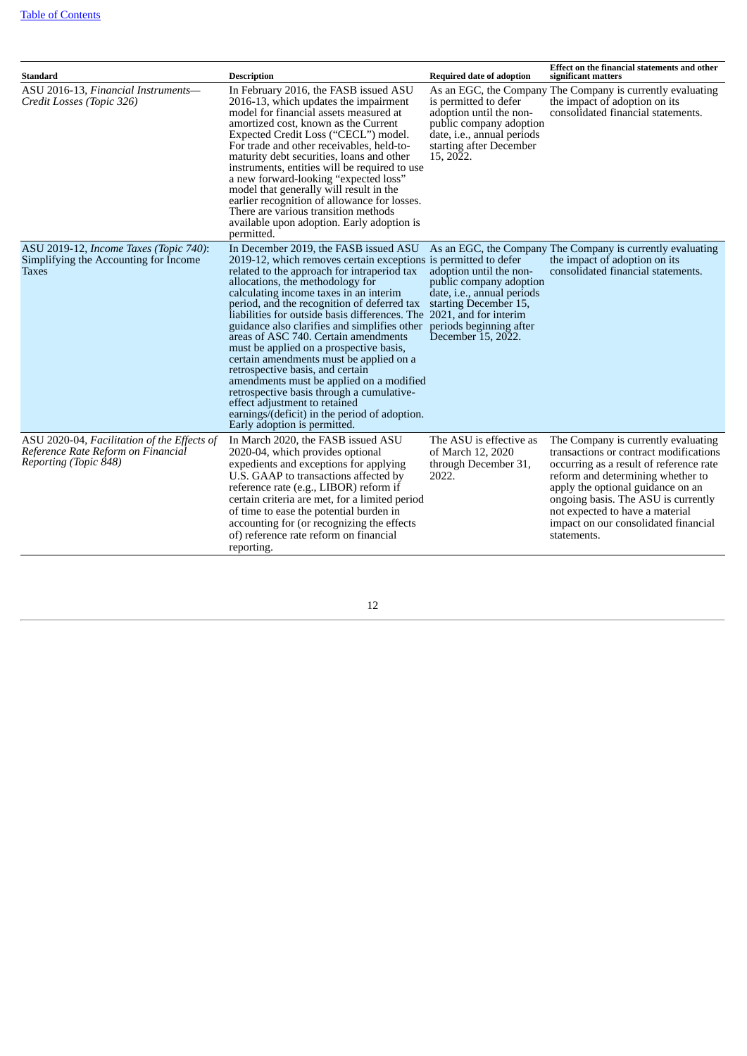| <b>Standard</b>                                                                                            | <b>Description</b>                                                                                                                                                                                                                                                                                                                                                                                                                                                                                                                                                                                                                                                                                                                                                  | <b>Required date of adoption</b>                                                                                                                                                            | Effect on the financial statements and other<br>significant matters                                                                                                                                                                                                                                                                 |
|------------------------------------------------------------------------------------------------------------|---------------------------------------------------------------------------------------------------------------------------------------------------------------------------------------------------------------------------------------------------------------------------------------------------------------------------------------------------------------------------------------------------------------------------------------------------------------------------------------------------------------------------------------------------------------------------------------------------------------------------------------------------------------------------------------------------------------------------------------------------------------------|---------------------------------------------------------------------------------------------------------------------------------------------------------------------------------------------|-------------------------------------------------------------------------------------------------------------------------------------------------------------------------------------------------------------------------------------------------------------------------------------------------------------------------------------|
| ASU 2016-13. Financial Instruments-<br>Credit Losses (Topic 326)                                           | In February 2016, the FASB issued ASU<br>2016-13, which updates the impairment<br>model for financial assets measured at<br>amortized cost, known as the Current<br>Expected Credit Loss ("CECL") model.<br>For trade and other receivables, held-to-<br>maturity debt securities, loans and other<br>instruments, entities will be required to use<br>a new forward-looking "expected loss"<br>model that generally will result in the<br>earlier recognition of allowance for losses.<br>There are various transition methods<br>available upon adoption. Early adoption is<br>permitted.                                                                                                                                                                         | is permitted to defer<br>adoption until the non-<br>public company adoption<br>date, <i>i.e.</i> , annual periods<br>starting after December<br>15, 2022.                                   | As an EGC, the Company The Company is currently evaluating<br>the impact of adoption on its<br>consolidated financial statements.                                                                                                                                                                                                   |
| ASU 2019-12, Income Taxes (Topic 740):<br>Simplifying the Accounting for Income<br><b>Taxes</b>            | In December 2019, the FASB issued ASU<br>2019-12, which removes certain exceptions is permitted to defer<br>related to the approach for intraperiod tax<br>allocations, the methodology for<br>calculating income taxes in an interim<br>period, and the recognition of deferred tax<br>liabilities for outside basis differences. The<br>guidance also clarifies and simplifies other<br>areas of ASC 740. Certain amendments<br>must be applied on a prospective basis,<br>certain amendments must be applied on a<br>retrospective basis, and certain<br>amendments must be applied on a modified<br>retrospective basis through a cumulative-<br>effect adjustment to retained<br>earnings/(deficit) in the period of adoption.<br>Early adoption is permitted. | adoption until the non-<br>public company adoption<br>date, <i>i.e.</i> , annual periods<br>starting December 15,<br>2021, and for interim<br>periods beginning after<br>December 15, 2022. | As an EGC, the Company The Company is currently evaluating<br>the impact of adoption on its<br>consolidated financial statements.                                                                                                                                                                                                   |
| ASU 2020-04, Facilitation of the Effects of<br>Reference Rate Reform on Financial<br>Reporting (Topic 848) | In March 2020, the FASB issued ASU<br>2020-04, which provides optional<br>expedients and exceptions for applying<br>U.S. GAAP to transactions affected by<br>reference rate (e.g., LIBOR) reform if<br>certain criteria are met, for a limited period<br>of time to ease the potential burden in<br>accounting for (or recognizing the effects<br>of) reference rate reform on financial<br>reporting.                                                                                                                                                                                                                                                                                                                                                              | The ASU is effective as<br>of March 12, 2020<br>through December 31,<br>2022.                                                                                                               | The Company is currently evaluating<br>transactions or contract modifications<br>occurring as a result of reference rate<br>reform and determining whether to<br>apply the optional guidance on an<br>ongoing basis. The ASU is currently<br>not expected to have a material<br>impact on our consolidated financial<br>statements. |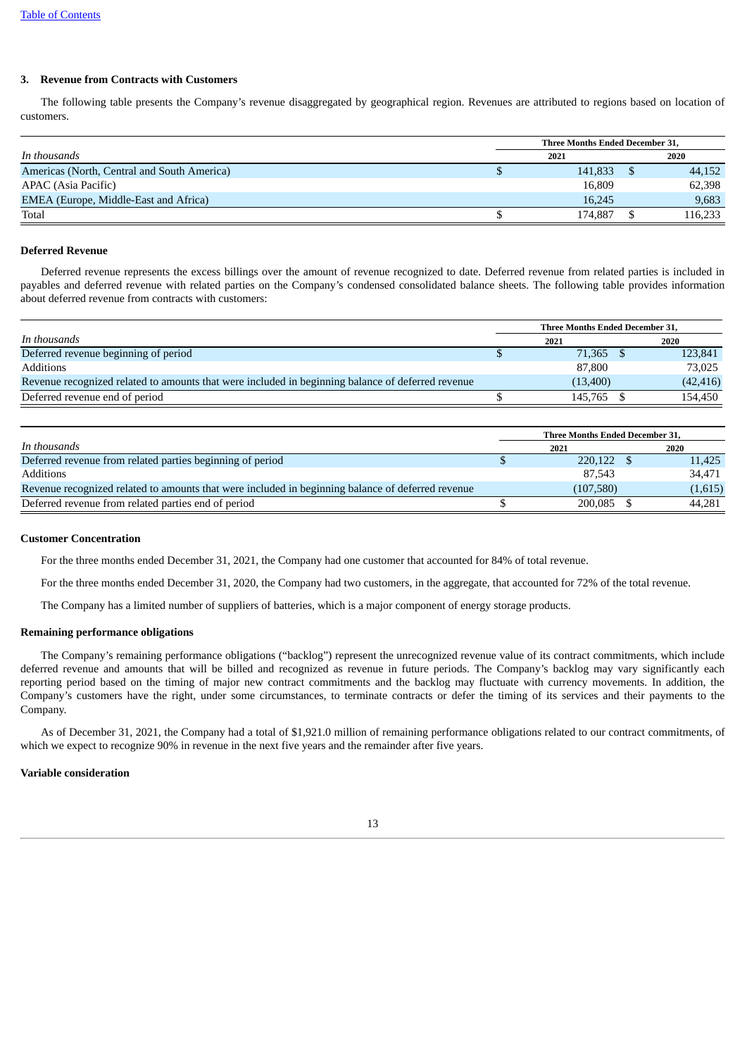## **3. Revenue from Contracts with Customers**

The following table presents the Company's revenue disaggregated by geographical region. Revenues are attributed to regions based on location of customers.

|                                             | Three Months Ended December 31, |         |  |         |  |  |
|---------------------------------------------|---------------------------------|---------|--|---------|--|--|
| In thousands                                |                                 | 2021    |  | 2020    |  |  |
| Americas (North, Central and South America) |                                 | 141.833 |  | 44,152  |  |  |
| APAC (Asia Pacific)                         |                                 | 16,809  |  | 62,398  |  |  |
| EMEA (Europe, Middle-East and Africa)       |                                 | 16.245  |  | 9,683   |  |  |
| Total                                       |                                 | 174.887 |  | 116,233 |  |  |

## **Deferred Revenue**

Deferred revenue represents the excess billings over the amount of revenue recognized to date. Deferred revenue from related parties is included in payables and deferred revenue with related parties on the Company's condensed consolidated balance sheets. The following table provides information about deferred revenue from contracts with customers:

|                                                                                                   | Three Months Ended December 31, |           |  |  |  |
|---------------------------------------------------------------------------------------------------|---------------------------------|-----------|--|--|--|
| In thousands                                                                                      | 2021                            | 2020      |  |  |  |
| Deferred revenue beginning of period                                                              | 71,365                          | 123,841   |  |  |  |
| Additions                                                                                         | 87,800                          | 73.025    |  |  |  |
| Revenue recognized related to amounts that were included in beginning balance of deferred revenue | (13, 400)                       | (42, 416) |  |  |  |
| Deferred revenue end of period                                                                    | 145.765                         | 154,450   |  |  |  |

|                                                                                                   | <b>Three Months Ended December 31.</b> |           |  |         |  |
|---------------------------------------------------------------------------------------------------|----------------------------------------|-----------|--|---------|--|
| In thousands                                                                                      |                                        | 2021      |  | 2020    |  |
| Deferred revenue from related parties beginning of period                                         |                                        | 220,122   |  | 11,425  |  |
| Additions                                                                                         |                                        | 87.543    |  | 34,471  |  |
| Revenue recognized related to amounts that were included in beginning balance of deferred revenue |                                        | (107,580) |  | (1,615) |  |
| Deferred revenue from related parties end of period                                               |                                        | 200.085   |  | 44.281  |  |

## **Customer Concentration**

For the three months ended December 31, 2021, the Company had one customer that accounted for 84% of total revenue.

For the three months ended December 31, 2020, the Company had two customers, in the aggregate, that accounted for 72% of the total revenue.

The Company has a limited number of suppliers of batteries, which is a major component of energy storage products.

## **Remaining performance obligations**

The Company's remaining performance obligations ("backlog") represent the unrecognized revenue value of its contract commitments, which include deferred revenue and amounts that will be billed and recognized as revenue in future periods. The Company's backlog may vary significantly each reporting period based on the timing of major new contract commitments and the backlog may fluctuate with currency movements. In addition, the Company's customers have the right, under some circumstances, to terminate contracts or defer the timing of its services and their payments to the Company.

As of December 31, 2021, the Company had a total of \$1,921.0 million of remaining performance obligations related to our contract commitments, of which we expect to recognize 90% in revenue in the next five years and the remainder after five years.

## **Variable consideration**

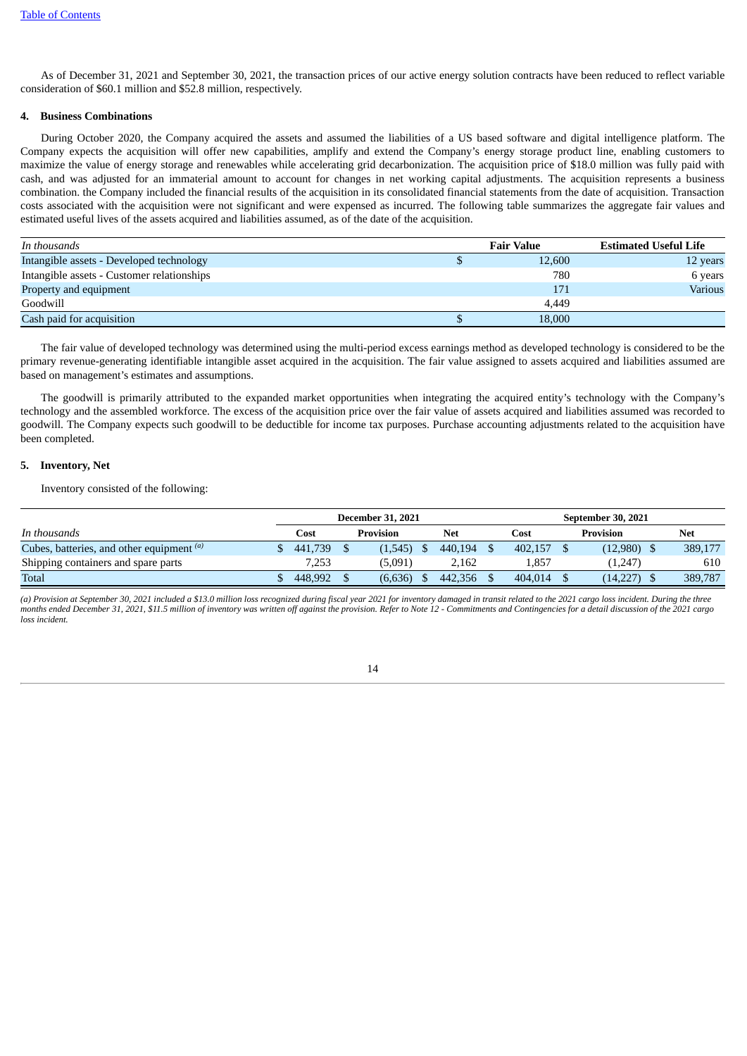As of December 31, 2021 and September 30, 2021, the transaction prices of our active energy solution contracts have been reduced to reflect variable consideration of \$60.1 million and \$52.8 million, respectively.

## **4. Business Combinations**

During October 2020, the Company acquired the assets and assumed the liabilities of a US based software and digital intelligence platform. The Company expects the acquisition will offer new capabilities, amplify and extend the Company's energy storage product line, enabling customers to maximize the value of energy storage and renewables while accelerating grid decarbonization. The acquisition price of \$18.0 million was fully paid with cash, and was adjusted for an immaterial amount to account for changes in net working capital adjustments. The acquisition represents a business combination. the Company included the financial results of the acquisition in its consolidated financial statements from the date of acquisition. Transaction costs associated with the acquisition were not significant and were expensed as incurred. The following table summarizes the aggregate fair values and estimated useful lives of the assets acquired and liabilities assumed, as of the date of the acquisition.

| In thousands                               |     | <b>Fair Value</b> | <b>Estimated Useful Life</b> |
|--------------------------------------------|-----|-------------------|------------------------------|
| Intangible assets - Developed technology   |     | 12,600            | 12 years                     |
| Intangible assets - Customer relationships |     | 780               | 6 years                      |
| Property and equipment                     |     | 171               | Various                      |
| Goodwill                                   |     | 4.449             |                              |
| Cash paid for acquisition                  | ĸIJ | 18,000            |                              |

The fair value of developed technology was determined using the multi-period excess earnings method as developed technology is considered to be the primary revenue-generating identifiable intangible asset acquired in the acquisition. The fair value assigned to assets acquired and liabilities assumed are based on management's estimates and assumptions.

The goodwill is primarily attributed to the expanded market opportunities when integrating the acquired entity's technology with the Company's technology and the assembled workforce. The excess of the acquisition price over the fair value of assets acquired and liabilities assumed was recorded to goodwill. The Company expects such goodwill to be deductible for income tax purposes. Purchase accounting adjustments related to the acquisition have been completed.

### **5. Inventory, Net**

Inventory consisted of the following:

|                                                      | <b>December 31, 2021</b> |         |  |           |  |         | September 30, 2021 |         |  |                  |            |
|------------------------------------------------------|--------------------------|---------|--|-----------|--|---------|--------------------|---------|--|------------------|------------|
| In thousands                                         |                          | Cost    |  | Provision |  | Net     |                    | Cost    |  | <b>Provision</b> | <b>Net</b> |
| Cubes, batteries, and other equipment $\binom{a}{b}$ |                          | 441,739 |  | (1,545)   |  | 440.194 |                    | 402.157 |  | (12,980)         | 389,177    |
| Shipping containers and spare parts                  |                          | 7,253   |  | (5.091)   |  | 2.162   |                    | 1,857   |  | (1,247)          | 610        |
| <b>Total</b>                                         |                          | 448.992 |  | (6,636)   |  | 442,356 |                    | 404.014 |  | (14.227)         | 389,787    |

(a) Provision at September 30, 2021 included a \$13.0 million loss recoanized during fiscal year 2021 for inventory damaged in transit related to the 2021 cargo loss incident. During the three months ended December 31, 2021, \$11.5 million of inventory was written off against the provision. Refer to Note 12 - Commitments and Contingencies for a detail discussion of the 2021 cargo *loss incident.*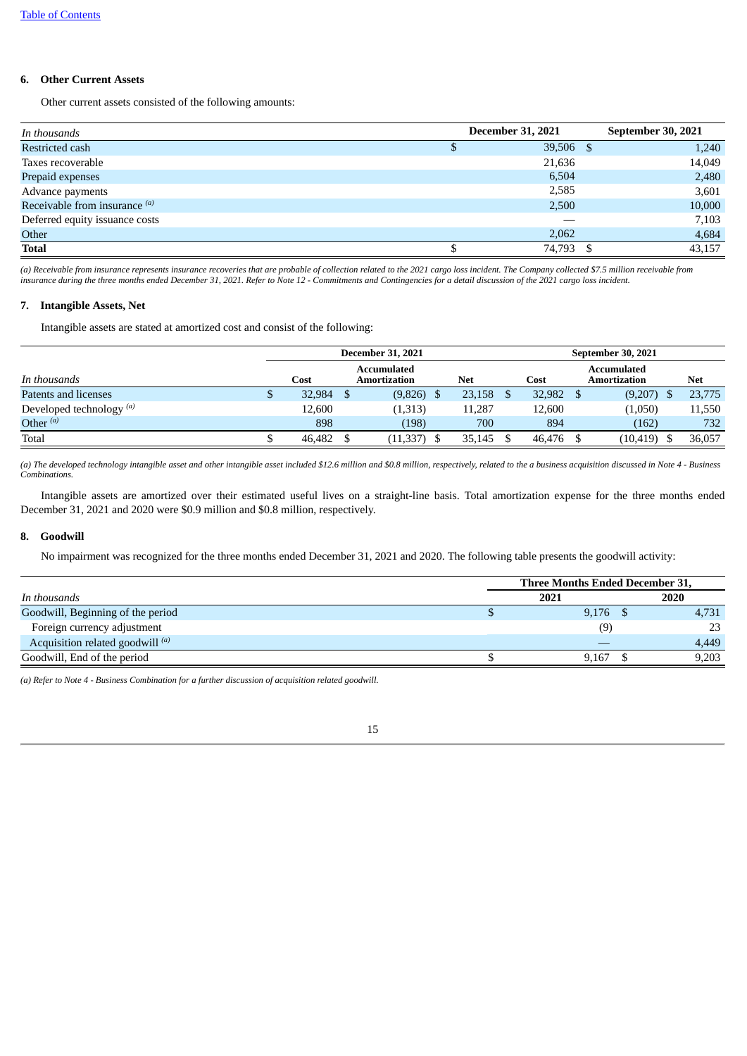## **6. Other Current Assets**

Other current assets consisted of the following amounts:

| In thousands                   | <b>December 31, 2021</b> | September 30, 2021 |
|--------------------------------|--------------------------|--------------------|
| Restricted cash                | 39,506                   | 1,240              |
| Taxes recoverable              | 21,636                   | 14,049             |
| Prepaid expenses               | 6,504                    | 2,480              |
| Advance payments               | 2,585                    | 3,601              |
| Receivable from insurance (a)  | 2,500                    | 10,000             |
| Deferred equity issuance costs |                          | 7,103              |
| Other                          | 2,062                    | 4,684              |
| <b>Total</b>                   | 74,793                   | 43,157             |

(a) Receivable from insurance represents insurance recoveries that are probable of collection related to the 2021 cargo loss incident. The Company collected \$7.5 million receivable from insurance during the three months ended December 31, 2021. Refer to Note 12 - Commitments and Contingencies for a detail discussion of the 2021 cargo loss incident.

## **7. Intangible Assets, Net**

Intangible assets are stated at amortized cost and consist of the following:

|                                     | <b>December 31, 2021</b> |                                                   |  |           |  |        | September 30, 2021 |                             |           |            |        |  |  |
|-------------------------------------|--------------------------|---------------------------------------------------|--|-----------|--|--------|--------------------|-----------------------------|-----------|------------|--------|--|--|
| In thousands                        |                          | Accumulated<br>Cost<br><b>Amortization</b><br>Net |  |           |  | Cost   |                    | Accumulated<br>Amortization |           | <b>Net</b> |        |  |  |
| Patents and licenses                | rU.                      | 32,984                                            |  | (9,826)   |  | 23,158 | 32,982             |                             | (9,207)   |            | 23,775 |  |  |
| Developed technology $\binom{a}{b}$ |                          | 12,600                                            |  | (1,313)   |  | 11,287 | 12,600             |                             | (1,050)   |            | 11,550 |  |  |
| Other $^{(a)}$                      |                          | 898                                               |  | (198)     |  | 700    | 894                |                             | (162)     |            | 732    |  |  |
| Total                               |                          | 46,482                                            |  | (11, 337) |  | 35.145 | 46.476             |                             | (10, 419) |            | 36,057 |  |  |

(a) The developed technology intangible asset and other intangible asset included \$12.6 million and \$0.8 million, respectively, related to the a business acquisition discussed in Note 4 - Business *Combinations.*

Intangible assets are amortized over their estimated useful lives on a straight-line basis. Total amortization expense for the three months ended December 31, 2021 and 2020 were \$0.9 million and \$0.8 million, respectively.

## **8. Goodwill**

No impairment was recognized for the three months ended December 31, 2021 and 2020. The following table presents the goodwill activity:

|                                   | Three Months Ended December 31, |       |       |
|-----------------------------------|---------------------------------|-------|-------|
| In thousands                      | 2021                            |       | 2020  |
| Goodwill, Beginning of the period |                                 | 9,176 | 4,731 |
| Foreign currency adjustment       |                                 | (9)   | 23    |
| Acquisition related goodwill (a)  |                                 |       | 4.449 |
| Goodwill, End of the period       |                                 | 9.167 | 9,203 |

*(a) Refer to Note 4 - Business Combination for a further discussion of acquisition related goodwill.*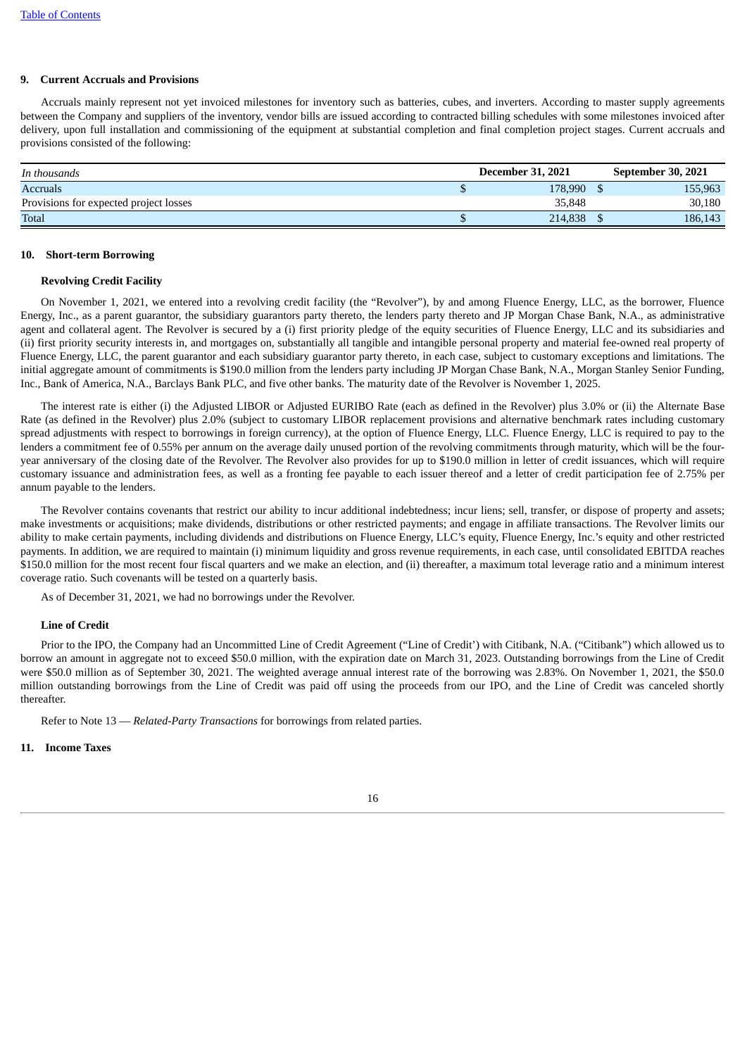## **9. Current Accruals and Provisions**

Accruals mainly represent not yet invoiced milestones for inventory such as batteries, cubes, and inverters. According to master supply agreements between the Company and suppliers of the inventory, vendor bills are issued according to contracted billing schedules with some milestones invoiced after delivery, upon full installation and commissioning of the equipment at substantial completion and final completion project stages. Current accruals and provisions consisted of the following:

| In thousands                           | <b>December 31, 2021</b> | September 30, 2021 |
|----------------------------------------|--------------------------|--------------------|
| <b>Accruals</b>                        | 178,990                  | 155,963            |
| Provisions for expected project losses | 35,848                   | 30,180             |
| <b>Total</b>                           | 214,838                  | 186,143            |

#### **10. Short-term Borrowing**

## **Revolving Credit Facility**

On November 1, 2021, we entered into a revolving credit facility (the "Revolver"), by and among Fluence Energy, LLC, as the borrower, Fluence Energy, Inc., as a parent guarantor, the subsidiary guarantors party thereto, the lenders party thereto and JP Morgan Chase Bank, N.A., as administrative agent and collateral agent. The Revolver is secured by a (i) first priority pledge of the equity securities of Fluence Energy, LLC and its subsidiaries and (ii) first priority security interests in, and mortgages on, substantially all tangible and intangible personal property and material fee-owned real property of Fluence Energy, LLC, the parent guarantor and each subsidiary guarantor party thereto, in each case, subject to customary exceptions and limitations. The initial aggregate amount of commitments is \$190.0 million from the lenders party including JP Morgan Chase Bank, N.A., Morgan Stanley Senior Funding, Inc., Bank of America, N.A., Barclays Bank PLC, and five other banks. The maturity date of the Revolver is November 1, 2025.

The interest rate is either (i) the Adjusted LIBOR or Adjusted EURIBO Rate (each as defined in the Revolver) plus 3.0% or (ii) the Alternate Base Rate (as defined in the Revolver) plus 2.0% (subject to customary LIBOR replacement provisions and alternative benchmark rates including customary spread adjustments with respect to borrowings in foreign currency), at the option of Fluence Energy, LLC. Fluence Energy, LLC is required to pay to the lenders a commitment fee of 0.55% per annum on the average daily unused portion of the revolving commitments through maturity, which will be the fouryear anniversary of the closing date of the Revolver. The Revolver also provides for up to \$190.0 million in letter of credit issuances, which will require customary issuance and administration fees, as well as a fronting fee payable to each issuer thereof and a letter of credit participation fee of 2.75% per annum payable to the lenders.

The Revolver contains covenants that restrict our ability to incur additional indebtedness; incur liens; sell, transfer, or dispose of property and assets; make investments or acquisitions; make dividends, distributions or other restricted payments; and engage in affiliate transactions. The Revolver limits our ability to make certain payments, including dividends and distributions on Fluence Energy, LLC's equity, Fluence Energy, Inc.'s equity and other restricted payments. In addition, we are required to maintain (i) minimum liquidity and gross revenue requirements, in each case, until consolidated EBITDA reaches \$150.0 million for the most recent four fiscal quarters and we make an election, and (ii) thereafter, a maximum total leverage ratio and a minimum interest coverage ratio. Such covenants will be tested on a quarterly basis.

As of December 31, 2021, we had no borrowings under the Revolver.

#### **Line of Credit**

Prior to the IPO, the Company had an Uncommitted Line of Credit Agreement ("Line of Credit') with Citibank, N.A. ("Citibank") which allowed us to borrow an amount in aggregate not to exceed \$50.0 million, with the expiration date on March 31, 2023. Outstanding borrowings from the Line of Credit were \$50.0 million as of September 30, 2021. The weighted average annual interest rate of the borrowing was 2.83%. On November 1, 2021, the \$50.0 million outstanding borrowings from the Line of Credit was paid off using the proceeds from our IPO, and the Line of Credit was canceled shortly thereafter.

Refer to Note 13 — *Related-Party Transactions* for borrowings from related parties.

## **11. Income Taxes**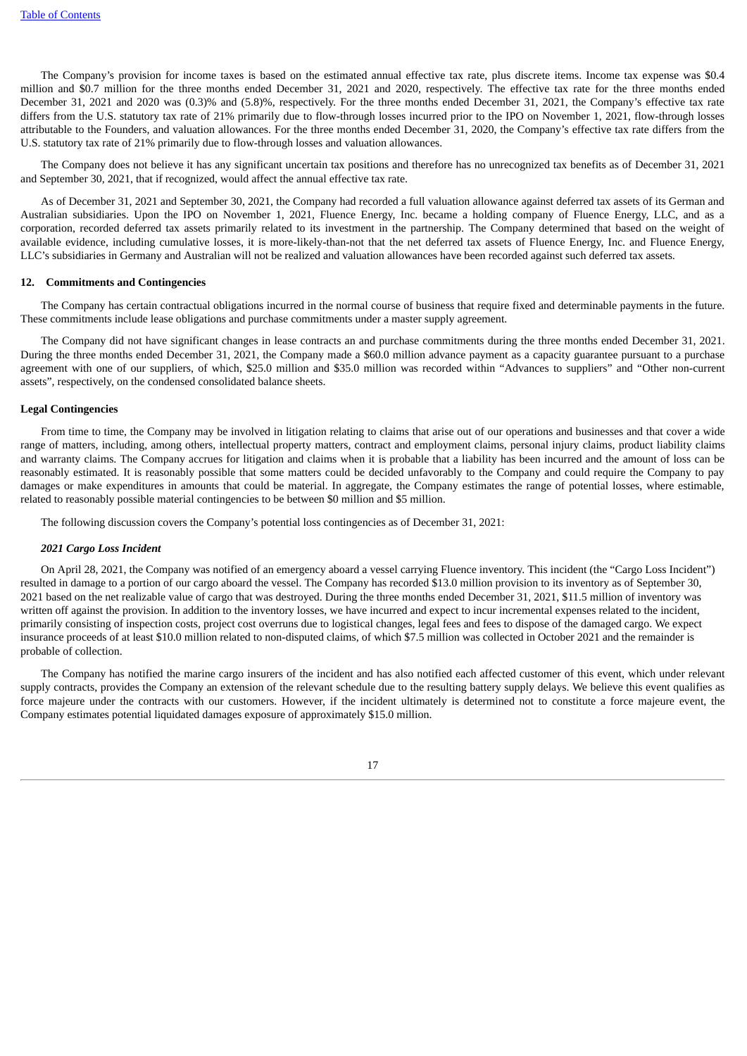The Company's provision for income taxes is based on the estimated annual effective tax rate, plus discrete items. Income tax expense was \$0.4 million and \$0.7 million for the three months ended December 31, 2021 and 2020, respectively. The effective tax rate for the three months ended December 31, 2021 and 2020 was (0.3)% and (5.8)%, respectively. For the three months ended December 31, 2021, the Company's effective tax rate differs from the U.S. statutory tax rate of 21% primarily due to flow-through losses incurred prior to the IPO on November 1, 2021, flow-through losses attributable to the Founders, and valuation allowances. For the three months ended December 31, 2020, the Company's effective tax rate differs from the U.S. statutory tax rate of 21% primarily due to flow-through losses and valuation allowances.

The Company does not believe it has any significant uncertain tax positions and therefore has no unrecognized tax benefits as of December 31, 2021 and September 30, 2021, that if recognized, would affect the annual effective tax rate.

As of December 31, 2021 and September 30, 2021, the Company had recorded a full valuation allowance against deferred tax assets of its German and Australian subsidiaries. Upon the IPO on November 1, 2021, Fluence Energy, Inc. became a holding company of Fluence Energy, LLC, and as a corporation, recorded deferred tax assets primarily related to its investment in the partnership. The Company determined that based on the weight of available evidence, including cumulative losses, it is more-likely-than-not that the net deferred tax assets of Fluence Energy, Inc. and Fluence Energy, LLC's subsidiaries in Germany and Australian will not be realized and valuation allowances have been recorded against such deferred tax assets.

#### **12. Commitments and Contingencies**

The Company has certain contractual obligations incurred in the normal course of business that require fixed and determinable payments in the future. These commitments include lease obligations and purchase commitments under a master supply agreement.

The Company did not have significant changes in lease contracts an and purchase commitments during the three months ended December 31, 2021. During the three months ended December 31, 2021, the Company made a \$60.0 million advance payment as a capacity guarantee pursuant to a purchase agreement with one of our suppliers, of which, \$25.0 million and \$35.0 million was recorded within "Advances to suppliers" and "Other non-current assets", respectively, on the condensed consolidated balance sheets.

## **Legal Contingencies**

From time to time, the Company may be involved in litigation relating to claims that arise out of our operations and businesses and that cover a wide range of matters, including, among others, intellectual property matters, contract and employment claims, personal injury claims, product liability claims and warranty claims. The Company accrues for litigation and claims when it is probable that a liability has been incurred and the amount of loss can be reasonably estimated. It is reasonably possible that some matters could be decided unfavorably to the Company and could require the Company to pay damages or make expenditures in amounts that could be material. In aggregate, the Company estimates the range of potential losses, where estimable, related to reasonably possible material contingencies to be between \$0 million and \$5 million.

The following discussion covers the Company's potential loss contingencies as of December 31, 2021:

#### *2021 Cargo Loss Incident*

On April 28, 2021, the Company was notified of an emergency aboard a vessel carrying Fluence inventory. This incident (the "Cargo Loss Incident") resulted in damage to a portion of our cargo aboard the vessel. The Company has recorded \$13.0 million provision to its inventory as of September 30, 2021 based on the net realizable value of cargo that was destroyed. During the three months ended December 31, 2021, \$11.5 million of inventory was written off against the provision. In addition to the inventory losses, we have incurred and expect to incur incremental expenses related to the incident, primarily consisting of inspection costs, project cost overruns due to logistical changes, legal fees and fees to dispose of the damaged cargo. We expect insurance proceeds of at least \$10.0 million related to non-disputed claims, of which \$7.5 million was collected in October 2021 and the remainder is probable of collection.

The Company has notified the marine cargo insurers of the incident and has also notified each affected customer of this event, which under relevant supply contracts, provides the Company an extension of the relevant schedule due to the resulting battery supply delays. We believe this event qualifies as force majeure under the contracts with our customers. However, if the incident ultimately is determined not to constitute a force majeure event, the Company estimates potential liquidated damages exposure of approximately \$15.0 million.

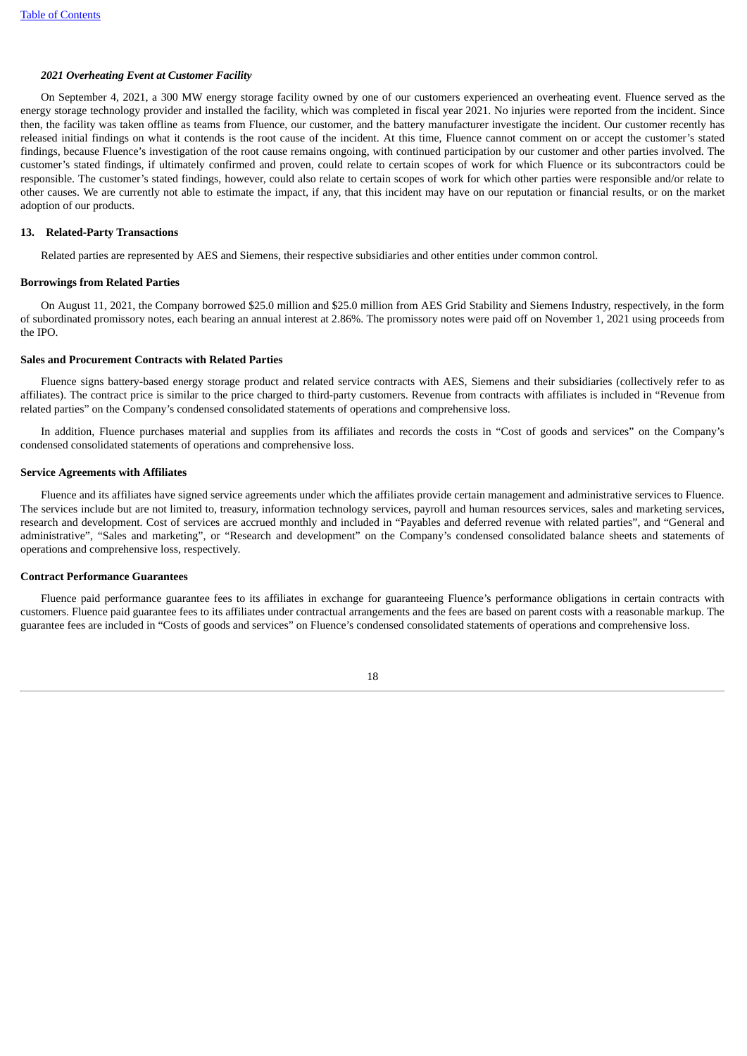## *2021 Overheating Event at Customer Facility*

On September 4, 2021, a 300 MW energy storage facility owned by one of our customers experienced an overheating event. Fluence served as the energy storage technology provider and installed the facility, which was completed in fiscal year 2021. No injuries were reported from the incident. Since then, the facility was taken offline as teams from Fluence, our customer, and the battery manufacturer investigate the incident. Our customer recently has released initial findings on what it contends is the root cause of the incident. At this time, Fluence cannot comment on or accept the customer's stated findings, because Fluence's investigation of the root cause remains ongoing, with continued participation by our customer and other parties involved. The customer's stated findings, if ultimately confirmed and proven, could relate to certain scopes of work for which Fluence or its subcontractors could be responsible. The customer's stated findings, however, could also relate to certain scopes of work for which other parties were responsible and/or relate to other causes. We are currently not able to estimate the impact, if any, that this incident may have on our reputation or financial results, or on the market adoption of our products.

#### **13. Related-Party Transactions**

Related parties are represented by AES and Siemens, their respective subsidiaries and other entities under common control.

#### **Borrowings from Related Parties**

On August 11, 2021, the Company borrowed \$25.0 million and \$25.0 million from AES Grid Stability and Siemens Industry, respectively, in the form of subordinated promissory notes, each bearing an annual interest at 2.86%. The promissory notes were paid off on November 1, 2021 using proceeds from the IPO.

## **Sales and Procurement Contracts with Related Parties**

Fluence signs battery-based energy storage product and related service contracts with AES, Siemens and their subsidiaries (collectively refer to as affiliates). The contract price is similar to the price charged to third-party customers. Revenue from contracts with affiliates is included in "Revenue from related parties" on the Company's condensed consolidated statements of operations and comprehensive loss.

In addition, Fluence purchases material and supplies from its affiliates and records the costs in "Cost of goods and services" on the Company's condensed consolidated statements of operations and comprehensive loss.

## **Service Agreements with Affiliates**

Fluence and its affiliates have signed service agreements under which the affiliates provide certain management and administrative services to Fluence. The services include but are not limited to, treasury, information technology services, payroll and human resources services, sales and marketing services, research and development. Cost of services are accrued monthly and included in "Payables and deferred revenue with related parties", and "General and administrative", "Sales and marketing", or "Research and development" on the Company's condensed consolidated balance sheets and statements of operations and comprehensive loss, respectively.

#### **Contract Performance Guarantees**

Fluence paid performance guarantee fees to its affiliates in exchange for guaranteeing Fluence's performance obligations in certain contracts with customers. Fluence paid guarantee fees to its affiliates under contractual arrangements and the fees are based on parent costs with a reasonable markup. The guarantee fees are included in "Costs of goods and services" on Fluence's condensed consolidated statements of operations and comprehensive loss.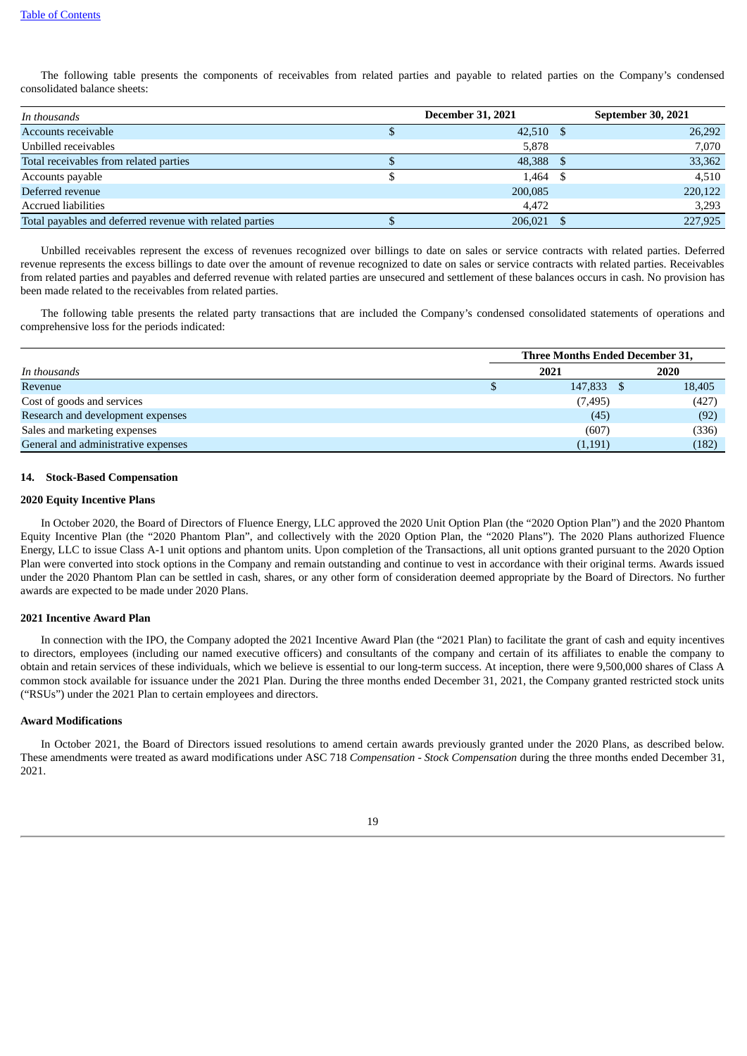The following table presents the components of receivables from related parties and payable to related parties on the Company's condensed consolidated balance sheets:

| In thousands                                             | <b>December 31, 2021</b> | September 30, 2021 |
|----------------------------------------------------------|--------------------------|--------------------|
| Accounts receivable                                      | $42,510$ \$              | 26,292             |
| Unbilled receivables                                     | 5,878                    | 7,070              |
| Total receivables from related parties                   | 48,388                   | 33,362             |
| Accounts payable                                         | 1.464                    | 4,510              |
| Deferred revenue                                         | 200,085                  | 220,122            |
| Accrued liabilities                                      | 4.472                    | 3,293              |
| Total payables and deferred revenue with related parties | 206.021                  | 227,925            |

Unbilled receivables represent the excess of revenues recognized over billings to date on sales or service contracts with related parties. Deferred revenue represents the excess billings to date over the amount of revenue recognized to date on sales or service contracts with related parties. Receivables from related parties and payables and deferred revenue with related parties are unsecured and settlement of these balances occurs in cash. No provision has been made related to the receivables from related parties.

The following table presents the related party transactions that are included the Company's condensed consolidated statements of operations and comprehensive loss for the periods indicated:

|                                     |   | Three Months Ended December 31, |        |  |  |  |
|-------------------------------------|---|---------------------------------|--------|--|--|--|
| In thousands                        |   | 2021                            | 2020   |  |  |  |
| Revenue                             | Φ | 147,833 \$                      | 18,405 |  |  |  |
| Cost of goods and services          |   | (7, 495)                        | (427)  |  |  |  |
| Research and development expenses   |   | (45)                            | (92)   |  |  |  |
| Sales and marketing expenses        |   | (607)                           | (336)  |  |  |  |
| General and administrative expenses |   | (1, 191)                        | (182)  |  |  |  |

#### **14. Stock-Based Compensation**

## **2020 Equity Incentive Plans**

In October 2020, the Board of Directors of Fluence Energy, LLC approved the 2020 Unit Option Plan (the "2020 Option Plan") and the 2020 Phantom Equity Incentive Plan (the "2020 Phantom Plan", and collectively with the 2020 Option Plan, the "2020 Plans"). The 2020 Plans authorized Fluence Energy, LLC to issue Class A-1 unit options and phantom units. Upon completion of the Transactions, all unit options granted pursuant to the 2020 Option Plan were converted into stock options in the Company and remain outstanding and continue to vest in accordance with their original terms. Awards issued under the 2020 Phantom Plan can be settled in cash, shares, or any other form of consideration deemed appropriate by the Board of Directors. No further awards are expected to be made under 2020 Plans.

## **2021 Incentive Award Plan**

In connection with the IPO, the Company adopted the 2021 Incentive Award Plan (the "2021 Plan) to facilitate the grant of cash and equity incentives to directors, employees (including our named executive officers) and consultants of the company and certain of its affiliates to enable the company to obtain and retain services of these individuals, which we believe is essential to our long-term success. At inception, there were 9,500,000 shares of Class A common stock available for issuance under the 2021 Plan. During the three months ended December 31, 2021, the Company granted restricted stock units ("RSUs") under the 2021 Plan to certain employees and directors.

## **Award Modifications**

In October 2021, the Board of Directors issued resolutions to amend certain awards previously granted under the 2020 Plans, as described below. These amendments were treated as award modifications under ASC 718 *Compensation - Stock Compensation* during the three months ended December 31, 2021.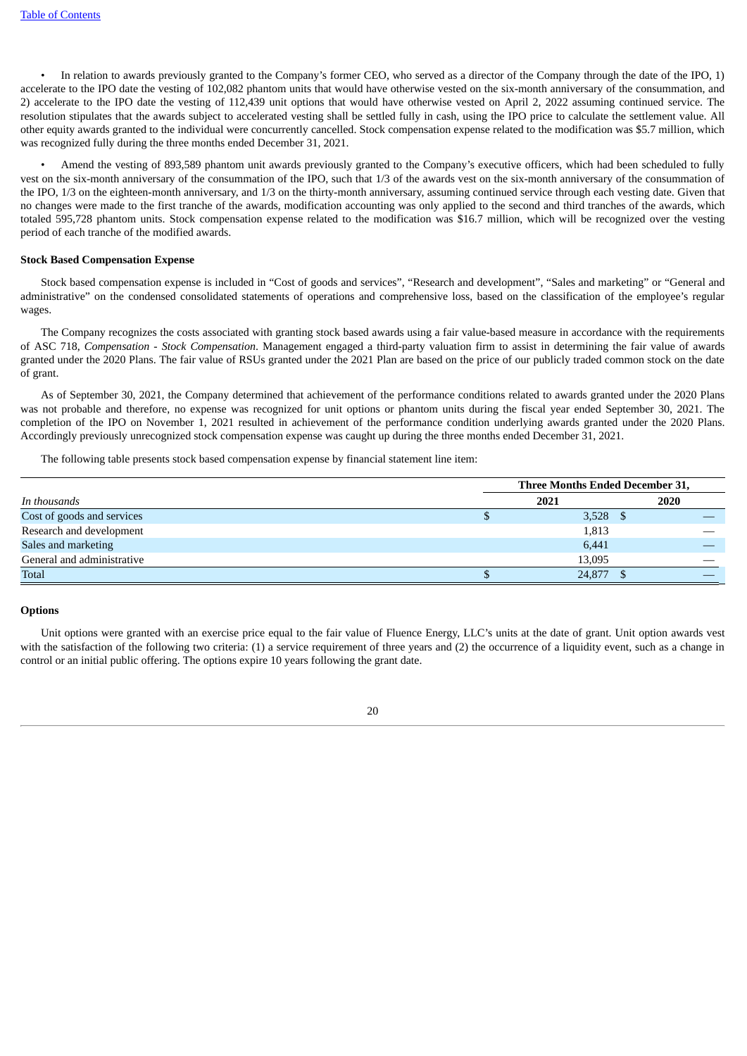• In relation to awards previously granted to the Company's former CEO, who served as a director of the Company through the date of the IPO, 1) accelerate to the IPO date the vesting of 102,082 phantom units that would have otherwise vested on the six-month anniversary of the consummation, and 2) accelerate to the IPO date the vesting of 112,439 unit options that would have otherwise vested on April 2, 2022 assuming continued service. The resolution stipulates that the awards subject to accelerated vesting shall be settled fully in cash, using the IPO price to calculate the settlement value. All other equity awards granted to the individual were concurrently cancelled. Stock compensation expense related to the modification was \$5.7 million, which was recognized fully during the three months ended December 31, 2021.

• Amend the vesting of 893,589 phantom unit awards previously granted to the Company's executive officers, which had been scheduled to fully vest on the six-month anniversary of the consummation of the IPO, such that 1/3 of the awards vest on the six-month anniversary of the consummation of the IPO, 1/3 on the eighteen-month anniversary, and 1/3 on the thirty-month anniversary, assuming continued service through each vesting date. Given that no changes were made to the first tranche of the awards, modification accounting was only applied to the second and third tranches of the awards, which totaled 595,728 phantom units. Stock compensation expense related to the modification was \$16.7 million, which will be recognized over the vesting period of each tranche of the modified awards.

## **Stock Based Compensation Expense**

Stock based compensation expense is included in "Cost of goods and services", "Research and development", "Sales and marketing" or "General and administrative" on the condensed consolidated statements of operations and comprehensive loss, based on the classification of the employee's regular wages.

The Company recognizes the costs associated with granting stock based awards using a fair value-based measure in accordance with the requirements of ASC 718, *Compensation - Stock Compensation*. Management engaged a third-party valuation firm to assist in determining the fair value of awards granted under the 2020 Plans. The fair value of RSUs granted under the 2021 Plan are based on the price of our publicly traded common stock on the date of grant.

As of September 30, 2021, the Company determined that achievement of the performance conditions related to awards granted under the 2020 Plans was not probable and therefore, no expense was recognized for unit options or phantom units during the fiscal year ended September 30, 2021. The completion of the IPO on November 1, 2021 resulted in achievement of the performance condition underlying awards granted under the 2020 Plans. Accordingly previously unrecognized stock compensation expense was caught up during the three months ended December 31, 2021.

The following table presents stock based compensation expense by financial statement line item:

|                            | Three Months Ended December 31, |        |      |  |  |
|----------------------------|---------------------------------|--------|------|--|--|
| In thousands               | 2021                            |        | 2020 |  |  |
| Cost of goods and services |                                 | 3,528  |      |  |  |
| Research and development   |                                 | 1,813  |      |  |  |
| Sales and marketing        |                                 | 6,441  |      |  |  |
| General and administrative |                                 | 13,095 |      |  |  |
| <b>Total</b>               |                                 | 24,877 |      |  |  |

## **Options**

Unit options were granted with an exercise price equal to the fair value of Fluence Energy, LLC's units at the date of grant. Unit option awards vest with the satisfaction of the following two criteria: (1) a service requirement of three years and (2) the occurrence of a liquidity event, such as a change in control or an initial public offering. The options expire 10 years following the grant date.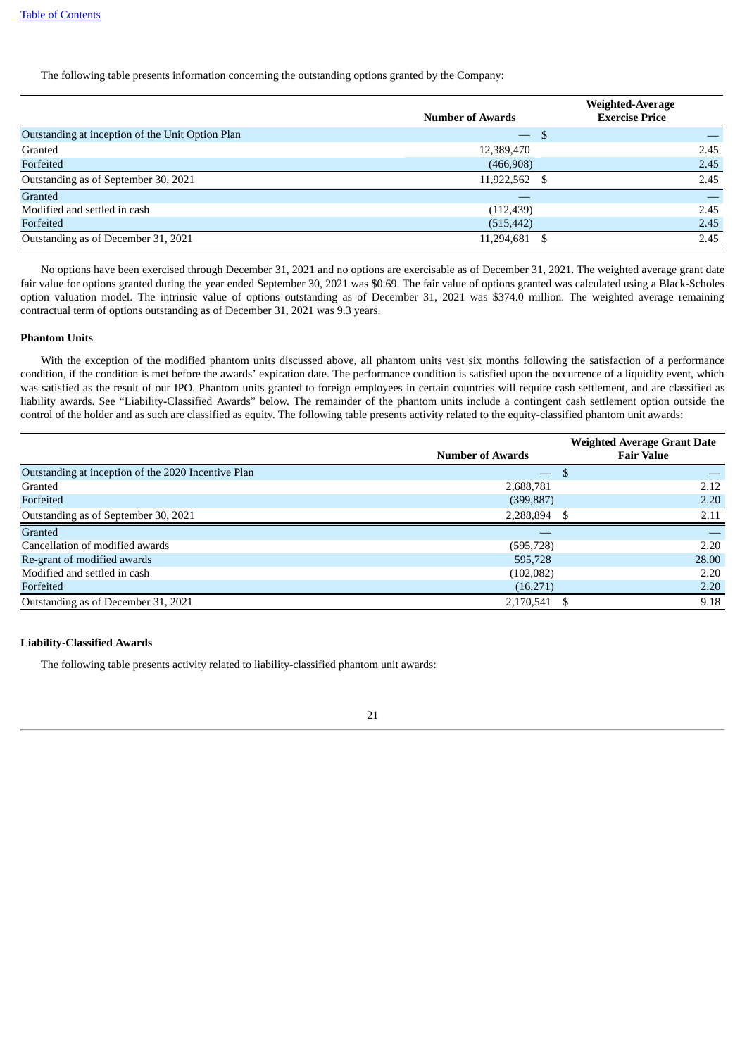The following table presents information concerning the outstanding options granted by the Company:

|                                                  | <b>Number of Awards</b>         |      | Weighted-Average<br><b>Exercise Price</b> |  |
|--------------------------------------------------|---------------------------------|------|-------------------------------------------|--|
| Outstanding at inception of the Unit Option Plan | $\hspace{0.1mm}-\hspace{0.1mm}$ |      |                                           |  |
| Granted                                          | 12,389,470                      |      | 2.45                                      |  |
| Forfeited                                        | (466,908)                       |      | 2.45                                      |  |
| Outstanding as of September 30, 2021             | 11,922,562                      | - \$ | 2.45                                      |  |
| Granted                                          |                                 |      |                                           |  |
| Modified and settled in cash                     | (112, 439)                      |      | 2.45                                      |  |
| Forfeited                                        | (515, 442)                      |      | 2.45                                      |  |
| Outstanding as of December 31, 2021              | 11,294,681                      |      | 2.45                                      |  |

No options have been exercised through December 31, 2021 and no options are exercisable as of December 31, 2021. The weighted average grant date fair value for options granted during the year ended September 30, 2021 was \$0.69. The fair value of options granted was calculated using a Black-Scholes option valuation model. The intrinsic value of options outstanding as of December 31, 2021 was \$374.0 million. The weighted average remaining contractual term of options outstanding as of December 31, 2021 was 9.3 years.

## **Phantom Units**

With the exception of the modified phantom units discussed above, all phantom units vest six months following the satisfaction of a performance condition, if the condition is met before the awards' expiration date. The performance condition is satisfied upon the occurrence of a liquidity event, which was satisfied as the result of our IPO. Phantom units granted to foreign employees in certain countries will require cash settlement, and are classified as liability awards. See "Liability-Classified Awards" below. The remainder of the phantom units include a contingent cash settlement option outside the control of the holder and as such are classified as equity. The following table presents activity related to the equity-classified phantom unit awards:

|                                                     |                         | <b>Weighted Average Grant Date</b> |
|-----------------------------------------------------|-------------------------|------------------------------------|
|                                                     | <b>Number of Awards</b> | <b>Fair Value</b>                  |
| Outstanding at inception of the 2020 Incentive Plan | $\qquad \qquad -$       | -\$                                |
| Granted                                             | 2,688,781               | 2.12                               |
| Forfeited                                           | (399, 887)              | 2.20                               |
| Outstanding as of September 30, 2021                | 2,288,894 \$            | 2.11                               |
| Granted                                             |                         |                                    |
| Cancellation of modified awards                     | (595, 728)              | 2.20                               |
| Re-grant of modified awards                         | 595,728                 | 28.00                              |
| Modified and settled in cash                        | (102,082)               | 2.20                               |
| Forfeited                                           | (16,271)                | 2.20                               |
| Outstanding as of December 31, 2021                 | 2,170,541 \$            | 9.18                               |

## **Liability-Classified Awards**

The following table presents activity related to liability-classified phantom unit awards: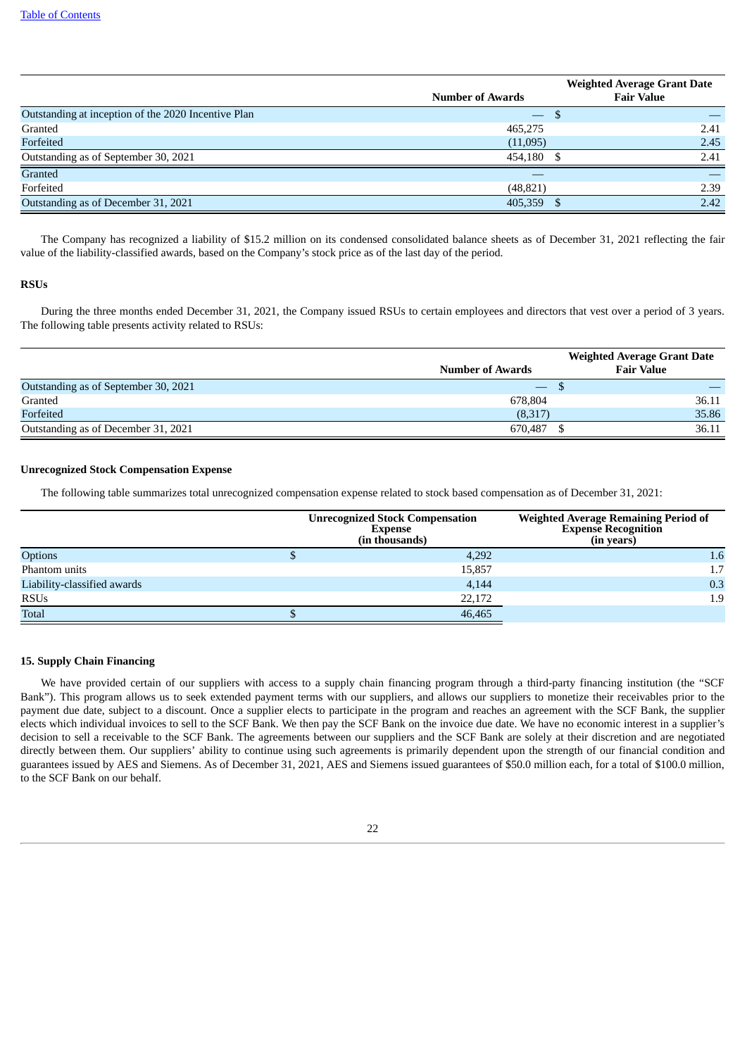|                                                     | <b>Number of Awards</b> | <b>Weighted Average Grant Date</b><br><b>Fair Value</b> |
|-----------------------------------------------------|-------------------------|---------------------------------------------------------|
|                                                     |                         |                                                         |
| Outstanding at inception of the 2020 Incentive Plan | $\sim$                  |                                                         |
| Granted                                             | 465,275                 | 2.41                                                    |
| Forfeited                                           | (11,095)                | 2.45                                                    |
| Outstanding as of September 30, 2021                | 454,180                 | 2.41                                                    |
| Granted                                             |                         |                                                         |
| Forfeited                                           | (48, 821)               | 2.39                                                    |
| Outstanding as of December 31, 2021                 | 405,359                 | 2.42                                                    |

The Company has recognized a liability of \$15.2 million on its condensed consolidated balance sheets as of December 31, 2021 reflecting the fair value of the liability-classified awards, based on the Company's stock price as of the last day of the period.

## **RSUs**

During the three months ended December 31, 2021, the Company issued RSUs to certain employees and directors that vest over a period of 3 years. The following table presents activity related to RSUs:

|                                      | <b>Number of Awards</b>  | <b>Weighted Average Grant Date</b><br><b>Fair Value</b> |
|--------------------------------------|--------------------------|---------------------------------------------------------|
| Outstanding as of September 30, 2021 | $\overline{\phantom{a}}$ | - 35                                                    |
| Granted                              | 678,804                  | 36.11                                                   |
| Forfeited                            | (8,317)                  | 35.86                                                   |
| Outstanding as of December 31, 2021  | 670.487                  | 36.11                                                   |

## **Unrecognized Stock Compensation Expense**

The following table summarizes total unrecognized compensation expense related to stock based compensation as of December 31, 2021:

|                             | <b>Unrecognized Stock Compensation</b><br><b>Expense</b><br>(in thousands) | <b>Weighted Average Remaining Period of</b><br><b>Expense Recognition</b><br>(in years) |
|-----------------------------|----------------------------------------------------------------------------|-----------------------------------------------------------------------------------------|
| Options                     | 4,292                                                                      | 1.6                                                                                     |
| Phantom units               | 15,857                                                                     | 1.7                                                                                     |
| Liability-classified awards | 4.144                                                                      | 0.3                                                                                     |
| <b>RSUs</b>                 | 22,172                                                                     | 1.9                                                                                     |
| <b>Total</b>                | 46,465                                                                     |                                                                                         |

#### **15. Supply Chain Financing**

We have provided certain of our suppliers with access to a supply chain financing program through a third-party financing institution (the "SCF Bank"). This program allows us to seek extended payment terms with our suppliers, and allows our suppliers to monetize their receivables prior to the payment due date, subject to a discount. Once a supplier elects to participate in the program and reaches an agreement with the SCF Bank, the supplier elects which individual invoices to sell to the SCF Bank. We then pay the SCF Bank on the invoice due date. We have no economic interest in a supplier's decision to sell a receivable to the SCF Bank. The agreements between our suppliers and the SCF Bank are solely at their discretion and are negotiated directly between them. Our suppliers' ability to continue using such agreements is primarily dependent upon the strength of our financial condition and guarantees issued by AES and Siemens. As of December 31, 2021, AES and Siemens issued guarantees of \$50.0 million each, for a total of \$100.0 million, to the SCF Bank on our behalf.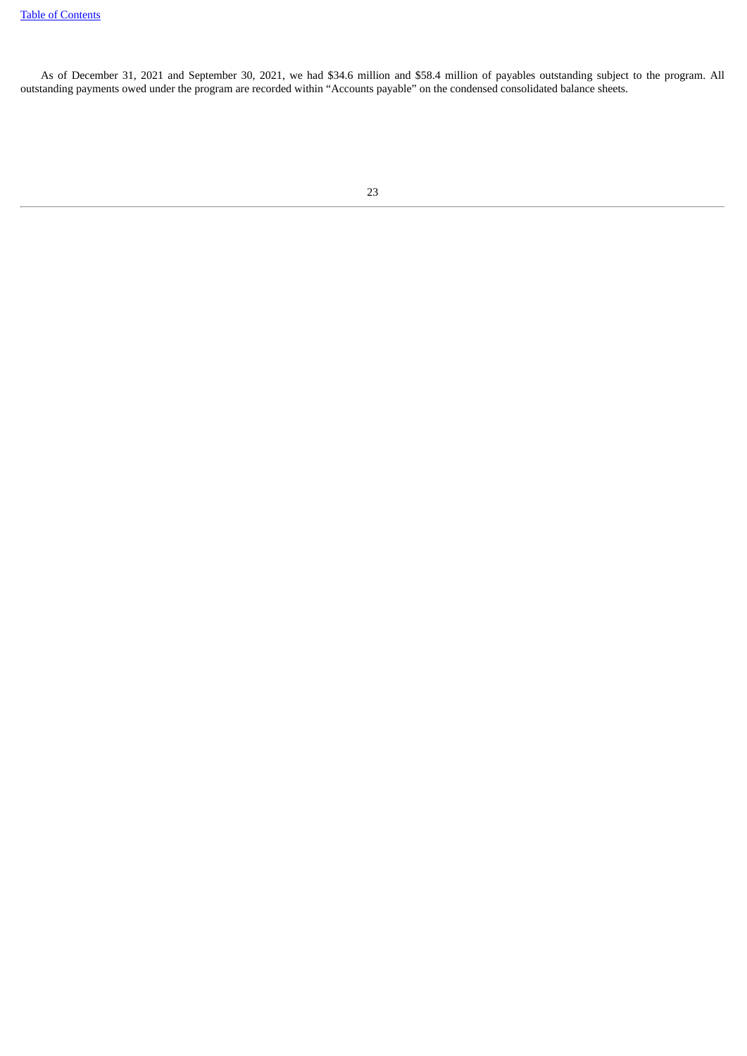<span id="page-22-0"></span>As of December 31, 2021 and September 30, 2021, we had \$34.6 million and \$58.4 million of payables outstanding subject to the program. All outstanding payments owed under the program are recorded within "Accounts payable" on the condensed consolidated balance sheets.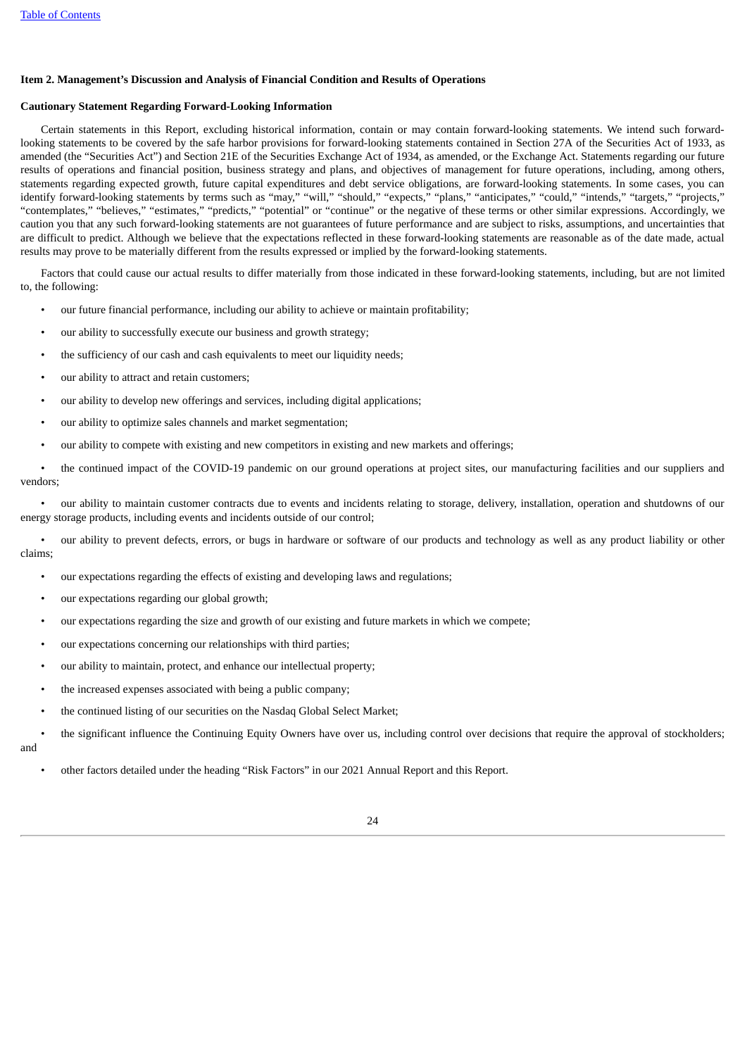## **Item 2. Management's Discussion and Analysis of Financial Condition and Results of Operations**

## **Cautionary Statement Regarding Forward-Looking Information**

Certain statements in this Report, excluding historical information, contain or may contain forward-looking statements. We intend such forwardlooking statements to be covered by the safe harbor provisions for forward-looking statements contained in Section 27A of the Securities Act of 1933, as amended (the "Securities Act") and Section 21E of the Securities Exchange Act of 1934, as amended, or the Exchange Act. Statements regarding our future results of operations and financial position, business strategy and plans, and objectives of management for future operations, including, among others, statements regarding expected growth, future capital expenditures and debt service obligations, are forward-looking statements. In some cases, you can identify forward-looking statements by terms such as "may," "will," "should," "expects," "plans," "anticipates," "could," "intends," "targets," "projects," "contemplates," "believes," "estimates," "predicts," "potential" or "continue" or the negative of these terms or other similar expressions. Accordingly, we caution you that any such forward-looking statements are not guarantees of future performance and are subject to risks, assumptions, and uncertainties that are difficult to predict. Although we believe that the expectations reflected in these forward-looking statements are reasonable as of the date made, actual results may prove to be materially different from the results expressed or implied by the forward-looking statements.

Factors that could cause our actual results to differ materially from those indicated in these forward-looking statements, including, but are not limited to, the following:

- our future financial performance, including our ability to achieve or maintain profitability;
- our ability to successfully execute our business and growth strategy;
- the sufficiency of our cash and cash equivalents to meet our liquidity needs;
- our ability to attract and retain customers:
- our ability to develop new offerings and services, including digital applications;
- our ability to optimize sales channels and market segmentation;
- our ability to compete with existing and new competitors in existing and new markets and offerings;

• the continued impact of the COVID-19 pandemic on our ground operations at project sites, our manufacturing facilities and our suppliers and vendors;

• our ability to maintain customer contracts due to events and incidents relating to storage, delivery, installation, operation and shutdowns of our energy storage products, including events and incidents outside of our control;

• our ability to prevent defects, errors, or bugs in hardware or software of our products and technology as well as any product liability or other claims;

- our expectations regarding the effects of existing and developing laws and regulations;
- our expectations regarding our global growth;
- our expectations regarding the size and growth of our existing and future markets in which we compete;
- our expectations concerning our relationships with third parties;
- our ability to maintain, protect, and enhance our intellectual property;
- the increased expenses associated with being a public company;
- the continued listing of our securities on the Nasdaq Global Select Market;

• the significant influence the Continuing Equity Owners have over us, including control over decisions that require the approval of stockholders; and

• other factors detailed under the heading "Risk Factors" in our 2021 Annual Report and this Report.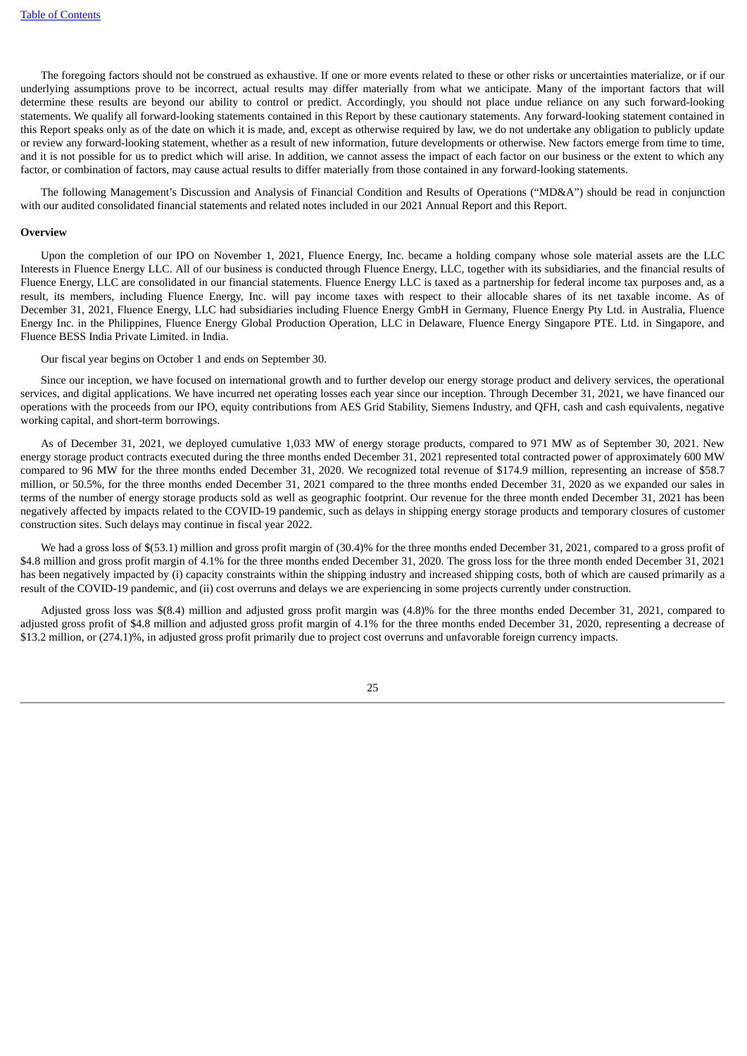The foregoing factors should not be construed as exhaustive. If one or more events related to these or other risks or uncertainties materialize, or if our underlying assumptions prove to be incorrect, actual results may differ materially from what we anticipate. Many of the important factors that will determine these results are beyond our ability to control or predict. Accordingly, you should not place undue reliance on any such forward-looking statements. We qualify all forward-looking statements contained in this Report by these cautionary statements. Any forward-looking statement contained in this Report speaks only as of the date on which it is made, and, except as otherwise required by law, we do not undertake any obligation to publicly update or review any forward-looking statement, whether as a result of new information, future developments or otherwise. New factors emerge from time to time, and it is not possible for us to predict which will arise. In addition, we cannot assess the impact of each factor on our business or the extent to which any factor, or combination of factors, may cause actual results to differ materially from those contained in any forward-looking statements.

The following Management's Discussion and Analysis of Financial Condition and Results of Operations ("MD&A") should be read in conjunction with our audited consolidated financial statements and related notes included in our 2021 Annual Report and this Report.

#### **Overview**

Upon the completion of our IPO on November 1, 2021, Fluence Energy, Inc. became a holding company whose sole material assets are the LLC Interests in Fluence Energy LLC. All of our business is conducted through Fluence Energy, LLC, together with its subsidiaries, and the financial results of Fluence Energy, LLC are consolidated in our financial statements. Fluence Energy LLC is taxed as a partnership for federal income tax purposes and, as a result, its members, including Fluence Energy, Inc. will pay income taxes with respect to their allocable shares of its net taxable income. As of December 31, 2021, Fluence Energy, LLC had subsidiaries including Fluence Energy GmbH in Germany, Fluence Energy Pty Ltd. in Australia, Fluence Energy Inc. in the Philippines, Fluence Energy Global Production Operation, LLC in Delaware, Fluence Energy Singapore PTE. Ltd. in Singapore, and Fluence BESS India Private Limited. in India.

Our fiscal year begins on October 1 and ends on September 30.

Since our inception, we have focused on international growth and to further develop our energy storage product and delivery services, the operational services, and digital applications. We have incurred net operating losses each year since our inception. Through December 31, 2021, we have financed our operations with the proceeds from our IPO, equity contributions from AES Grid Stability, Siemens Industry, and QFH, cash and cash equivalents, negative working capital, and short-term borrowings.

As of December 31, 2021, we deployed cumulative 1,033 MW of energy storage products, compared to 971 MW as of September 30, 2021. New energy storage product contracts executed during the three months ended December 31, 2021 represented total contracted power of approximately 600 MW compared to 96 MW for the three months ended December 31, 2020. We recognized total revenue of \$174.9 million, representing an increase of \$58.7 million, or 50.5%, for the three months ended December 31, 2021 compared to the three months ended December 31, 2020 as we expanded our sales in terms of the number of energy storage products sold as well as geographic footprint. Our revenue for the three month ended December 31, 2021 has been negatively affected by impacts related to the COVID-19 pandemic, such as delays in shipping energy storage products and temporary closures of customer construction sites. Such delays may continue in fiscal year 2022.

We had a gross loss of \$(53.1) million and gross profit margin of (30.4)% for the three months ended December 31, 2021, compared to a gross profit of \$4.8 million and gross profit margin of 4.1% for the three months ended December 31, 2020. The gross loss for the three month ended December 31, 2021 has been negatively impacted by (i) capacity constraints within the shipping industry and increased shipping costs, both of which are caused primarily as a result of the COVID-19 pandemic, and (ii) cost overruns and delays we are experiencing in some projects currently under construction.

Adjusted gross loss was \$(8.4) million and adjusted gross profit margin was (4.8)% for the three months ended December 31, 2021, compared to adjusted gross profit of \$4.8 million and adjusted gross profit margin of 4.1% for the three months ended December 31, 2020, representing a decrease of \$13.2 million, or (274.1)%, in adjusted gross profit primarily due to project cost overruns and unfavorable foreign currency impacts.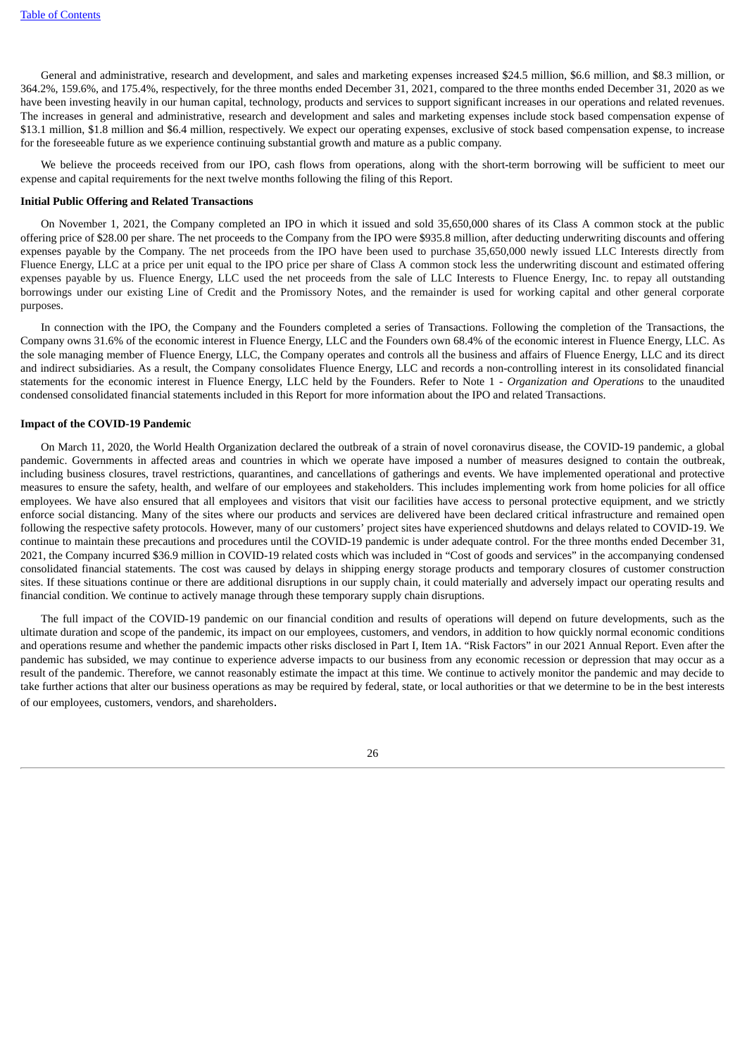General and administrative, research and development, and sales and marketing expenses increased \$24.5 million, \$6.6 million, and \$8.3 million, or 364.2%, 159.6%, and 175.4%, respectively, for the three months ended December 31, 2021, compared to the three months ended December 31, 2020 as we have been investing heavily in our human capital, technology, products and services to support significant increases in our operations and related revenues. The increases in general and administrative, research and development and sales and marketing expenses include stock based compensation expense of \$13.1 million, \$1.8 million and \$6.4 million, respectively. We expect our operating expenses, exclusive of stock based compensation expense, to increase for the foreseeable future as we experience continuing substantial growth and mature as a public company.

We believe the proceeds received from our IPO, cash flows from operations, along with the short-term borrowing will be sufficient to meet our expense and capital requirements for the next twelve months following the filing of this Report.

## **Initial Public Offering and Related Transactions**

On November 1, 2021, the Company completed an IPO in which it issued and sold 35,650,000 shares of its Class A common stock at the public offering price of \$28.00 per share. The net proceeds to the Company from the IPO were \$935.8 million, after deducting underwriting discounts and offering expenses payable by the Company. The net proceeds from the IPO have been used to purchase 35,650,000 newly issued LLC Interests directly from Fluence Energy, LLC at a price per unit equal to the IPO price per share of Class A common stock less the underwriting discount and estimated offering expenses payable by us. Fluence Energy, LLC used the net proceeds from the sale of LLC Interests to Fluence Energy, Inc. to repay all outstanding borrowings under our existing Line of Credit and the Promissory Notes, and the remainder is used for working capital and other general corporate purposes.

In connection with the IPO, the Company and the Founders completed a series of Transactions. Following the completion of the Transactions, the Company owns 31.6% of the economic interest in Fluence Energy, LLC and the Founders own 68.4% of the economic interest in Fluence Energy, LLC. As the sole managing member of Fluence Energy, LLC, the Company operates and controls all the business and affairs of Fluence Energy, LLC and its direct and indirect subsidiaries. As a result, the Company consolidates Fluence Energy, LLC and records a non-controlling interest in its consolidated financial statements for the economic interest in Fluence Energy, LLC held by the Founders. Refer to Note 1 - *Organization and Operations* to the unaudited condensed consolidated financial statements included in this Report for more information about the IPO and related Transactions.

#### **Impact of the COVID-19 Pandemic**

On March 11, 2020, the World Health Organization declared the outbreak of a strain of novel coronavirus disease, the COVID-19 pandemic, a global pandemic. Governments in affected areas and countries in which we operate have imposed a number of measures designed to contain the outbreak, including business closures, travel restrictions, quarantines, and cancellations of gatherings and events. We have implemented operational and protective measures to ensure the safety, health, and welfare of our employees and stakeholders. This includes implementing work from home policies for all office employees. We have also ensured that all employees and visitors that visit our facilities have access to personal protective equipment, and we strictly enforce social distancing. Many of the sites where our products and services are delivered have been declared critical infrastructure and remained open following the respective safety protocols. However, many of our customers' project sites have experienced shutdowns and delays related to COVID-19. We continue to maintain these precautions and procedures until the COVID-19 pandemic is under adequate control. For the three months ended December 31, 2021, the Company incurred \$36.9 million in COVID-19 related costs which was included in "Cost of goods and services" in the accompanying condensed consolidated financial statements. The cost was caused by delays in shipping energy storage products and temporary closures of customer construction sites. If these situations continue or there are additional disruptions in our supply chain, it could materially and adversely impact our operating results and financial condition. We continue to actively manage through these temporary supply chain disruptions.

The full impact of the COVID-19 pandemic on our financial condition and results of operations will depend on future developments, such as the ultimate duration and scope of the pandemic, its impact on our employees, customers, and vendors, in addition to how quickly normal economic conditions and operations resume and whether the pandemic impacts other risks disclosed in Part I, Item 1A. "Risk Factors" in our 2021 Annual Report. Even after the pandemic has subsided, we may continue to experience adverse impacts to our business from any economic recession or depression that may occur as a result of the pandemic. Therefore, we cannot reasonably estimate the impact at this time. We continue to actively monitor the pandemic and may decide to take further actions that alter our business operations as may be required by federal, state, or local authorities or that we determine to be in the best interests of our employees, customers, vendors, and shareholders.

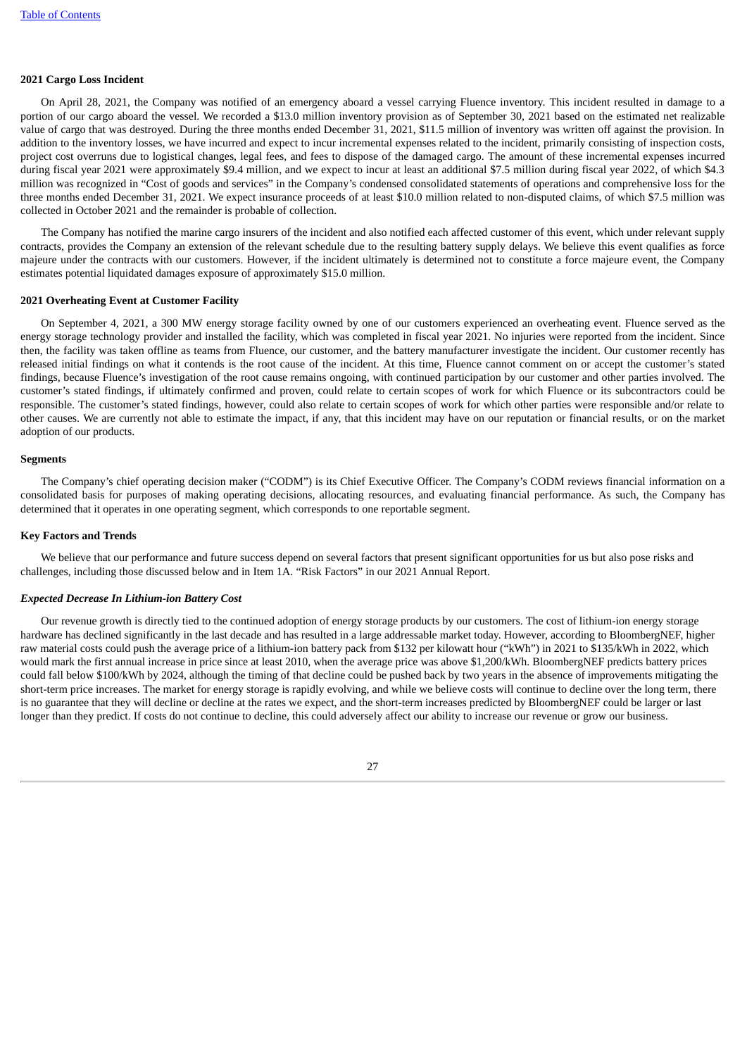## **2021 Cargo Loss Incident**

On April 28, 2021, the Company was notified of an emergency aboard a vessel carrying Fluence inventory. This incident resulted in damage to a portion of our cargo aboard the vessel. We recorded a \$13.0 million inventory provision as of September 30, 2021 based on the estimated net realizable value of cargo that was destroyed. During the three months ended December 31, 2021, \$11.5 million of inventory was written off against the provision. In addition to the inventory losses, we have incurred and expect to incur incremental expenses related to the incident, primarily consisting of inspection costs, project cost overruns due to logistical changes, legal fees, and fees to dispose of the damaged cargo. The amount of these incremental expenses incurred during fiscal year 2021 were approximately \$9.4 million, and we expect to incur at least an additional \$7.5 million during fiscal year 2022, of which \$4.3 million was recognized in "Cost of goods and services" in the Company's condensed consolidated statements of operations and comprehensive loss for the three months ended December 31, 2021. We expect insurance proceeds of at least \$10.0 million related to non-disputed claims, of which \$7.5 million was collected in October 2021 and the remainder is probable of collection.

The Company has notified the marine cargo insurers of the incident and also notified each affected customer of this event, which under relevant supply contracts, provides the Company an extension of the relevant schedule due to the resulting battery supply delays. We believe this event qualifies as force majeure under the contracts with our customers. However, if the incident ultimately is determined not to constitute a force majeure event, the Company estimates potential liquidated damages exposure of approximately \$15.0 million.

#### **2021 Overheating Event at Customer Facility**

On September 4, 2021, a 300 MW energy storage facility owned by one of our customers experienced an overheating event. Fluence served as the energy storage technology provider and installed the facility, which was completed in fiscal year 2021. No injuries were reported from the incident. Since then, the facility was taken offline as teams from Fluence, our customer, and the battery manufacturer investigate the incident. Our customer recently has released initial findings on what it contends is the root cause of the incident. At this time, Fluence cannot comment on or accept the customer's stated findings, because Fluence's investigation of the root cause remains ongoing, with continued participation by our customer and other parties involved. The customer's stated findings, if ultimately confirmed and proven, could relate to certain scopes of work for which Fluence or its subcontractors could be responsible. The customer's stated findings, however, could also relate to certain scopes of work for which other parties were responsible and/or relate to other causes. We are currently not able to estimate the impact, if any, that this incident may have on our reputation or financial results, or on the market adoption of our products.

## **Segments**

The Company's chief operating decision maker ("CODM") is its Chief Executive Officer. The Company's CODM reviews financial information on a consolidated basis for purposes of making operating decisions, allocating resources, and evaluating financial performance. As such, the Company has determined that it operates in one operating segment, which corresponds to one reportable segment.

## **Key Factors and Trends**

We believe that our performance and future success depend on several factors that present significant opportunities for us but also pose risks and challenges, including those discussed below and in Item 1A. "Risk Factors" in our 2021 Annual Report.

## *Expected Decrease In Lithium-ion Battery Cost*

Our revenue growth is directly tied to the continued adoption of energy storage products by our customers. The cost of lithium-ion energy storage hardware has declined significantly in the last decade and has resulted in a large addressable market today. However, according to BloombergNEF, higher raw material costs could push the average price of a lithium-ion battery pack from \$132 per kilowatt hour ("kWh") in 2021 to \$135/kWh in 2022, which would mark the first annual increase in price since at least 2010, when the average price was above \$1,200/kWh. BloombergNEF predicts battery prices could fall below \$100/kWh by 2024, although the timing of that decline could be pushed back by two years in the absence of improvements mitigating the short-term price increases. The market for energy storage is rapidly evolving, and while we believe costs will continue to decline over the long term, there is no guarantee that they will decline or decline at the rates we expect, and the short-term increases predicted by BloombergNEF could be larger or last longer than they predict. If costs do not continue to decline, this could adversely affect our ability to increase our revenue or grow our business.

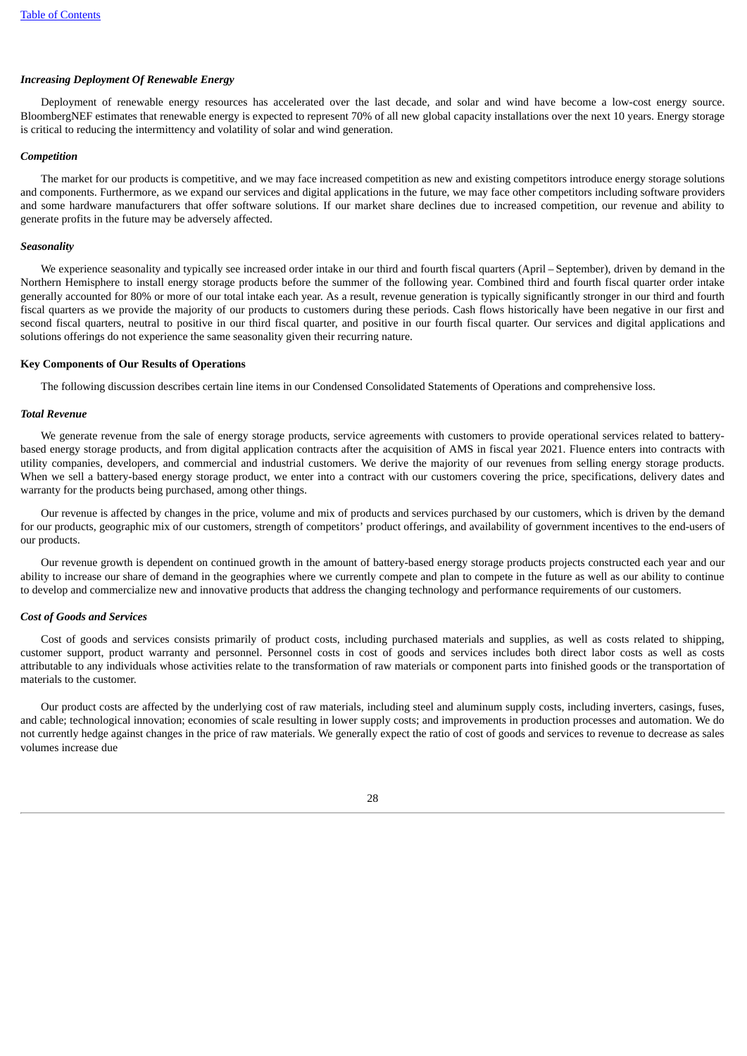## *Increasing Deployment Of Renewable Energy*

Deployment of renewable energy resources has accelerated over the last decade, and solar and wind have become a low-cost energy source. BloombergNEF estimates that renewable energy is expected to represent 70% of all new global capacity installations over the next 10 years. Energy storage is critical to reducing the intermittency and volatility of solar and wind generation.

## *Competition*

The market for our products is competitive, and we may face increased competition as new and existing competitors introduce energy storage solutions and components. Furthermore, as we expand our services and digital applications in the future, we may face other competitors including software providers and some hardware manufacturers that offer software solutions. If our market share declines due to increased competition, our revenue and ability to generate profits in the future may be adversely affected.

#### *Seasonality*

We experience seasonality and typically see increased order intake in our third and fourth fiscal quarters (April – September), driven by demand in the Northern Hemisphere to install energy storage products before the summer of the following year. Combined third and fourth fiscal quarter order intake generally accounted for 80% or more of our total intake each year. As a result, revenue generation is typically significantly stronger in our third and fourth fiscal quarters as we provide the majority of our products to customers during these periods. Cash flows historically have been negative in our first and second fiscal quarters, neutral to positive in our third fiscal quarter, and positive in our fourth fiscal quarter. Our services and digital applications and solutions offerings do not experience the same seasonality given their recurring nature.

## **Key Components of Our Results of Operations**

The following discussion describes certain line items in our Condensed Consolidated Statements of Operations and comprehensive loss.

#### *Total Revenue*

We generate revenue from the sale of energy storage products, service agreements with customers to provide operational services related to batterybased energy storage products, and from digital application contracts after the acquisition of AMS in fiscal year 2021. Fluence enters into contracts with utility companies, developers, and commercial and industrial customers. We derive the majority of our revenues from selling energy storage products. When we sell a battery-based energy storage product, we enter into a contract with our customers covering the price, specifications, delivery dates and warranty for the products being purchased, among other things.

Our revenue is affected by changes in the price, volume and mix of products and services purchased by our customers, which is driven by the demand for our products, geographic mix of our customers, strength of competitors' product offerings, and availability of government incentives to the end-users of our products.

Our revenue growth is dependent on continued growth in the amount of battery-based energy storage products projects constructed each year and our ability to increase our share of demand in the geographies where we currently compete and plan to compete in the future as well as our ability to continue to develop and commercialize new and innovative products that address the changing technology and performance requirements of our customers.

## *Cost of Goods and Services*

Cost of goods and services consists primarily of product costs, including purchased materials and supplies, as well as costs related to shipping, customer support, product warranty and personnel. Personnel costs in cost of goods and services includes both direct labor costs as well as costs attributable to any individuals whose activities relate to the transformation of raw materials or component parts into finished goods or the transportation of materials to the customer.

Our product costs are affected by the underlying cost of raw materials, including steel and aluminum supply costs, including inverters, casings, fuses, and cable; technological innovation; economies of scale resulting in lower supply costs; and improvements in production processes and automation. We do not currently hedge against changes in the price of raw materials. We generally expect the ratio of cost of goods and services to revenue to decrease as sales volumes increase due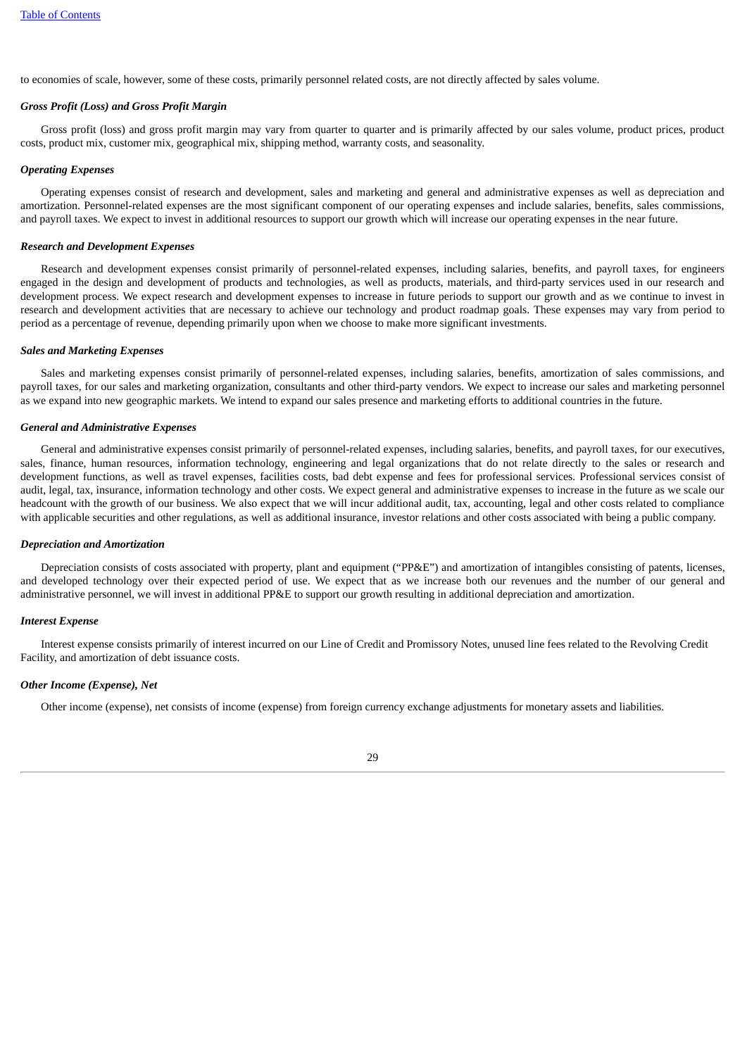to economies of scale, however, some of these costs, primarily personnel related costs, are not directly affected by sales volume.

## *Gross Profit (Loss) and Gross Profit Margin*

Gross profit (loss) and gross profit margin may vary from quarter to quarter and is primarily affected by our sales volume, product prices, product costs, product mix, customer mix, geographical mix, shipping method, warranty costs, and seasonality.

## *Operating Expenses*

Operating expenses consist of research and development, sales and marketing and general and administrative expenses as well as depreciation and amortization. Personnel-related expenses are the most significant component of our operating expenses and include salaries, benefits, sales commissions, and payroll taxes. We expect to invest in additional resources to support our growth which will increase our operating expenses in the near future.

## *Research and Development Expenses*

Research and development expenses consist primarily of personnel-related expenses, including salaries, benefits, and payroll taxes, for engineers engaged in the design and development of products and technologies, as well as products, materials, and third-party services used in our research and development process. We expect research and development expenses to increase in future periods to support our growth and as we continue to invest in research and development activities that are necessary to achieve our technology and product roadmap goals. These expenses may vary from period to period as a percentage of revenue, depending primarily upon when we choose to make more significant investments.

#### *Sales and Marketing Expenses*

Sales and marketing expenses consist primarily of personnel-related expenses, including salaries, benefits, amortization of sales commissions, and payroll taxes, for our sales and marketing organization, consultants and other third-party vendors. We expect to increase our sales and marketing personnel as we expand into new geographic markets. We intend to expand our sales presence and marketing efforts to additional countries in the future.

#### *General and Administrative Expenses*

General and administrative expenses consist primarily of personnel-related expenses, including salaries, benefits, and payroll taxes, for our executives, sales, finance, human resources, information technology, engineering and legal organizations that do not relate directly to the sales or research and development functions, as well as travel expenses, facilities costs, bad debt expense and fees for professional services. Professional services consist of audit, legal, tax, insurance, information technology and other costs. We expect general and administrative expenses to increase in the future as we scale our headcount with the growth of our business. We also expect that we will incur additional audit, tax, accounting, legal and other costs related to compliance with applicable securities and other regulations, as well as additional insurance, investor relations and other costs associated with being a public company.

## *Depreciation and Amortization*

Depreciation consists of costs associated with property, plant and equipment ("PP&E") and amortization of intangibles consisting of patents, licenses, and developed technology over their expected period of use. We expect that as we increase both our revenues and the number of our general and administrative personnel, we will invest in additional PP&E to support our growth resulting in additional depreciation and amortization.

## *Interest Expense*

Interest expense consists primarily of interest incurred on our Line of Credit and Promissory Notes, unused line fees related to the Revolving Credit Facility, and amortization of debt issuance costs.

## *Other Income (Expense), Net*

Other income (expense), net consists of income (expense) from foreign currency exchange adjustments for monetary assets and liabilities.

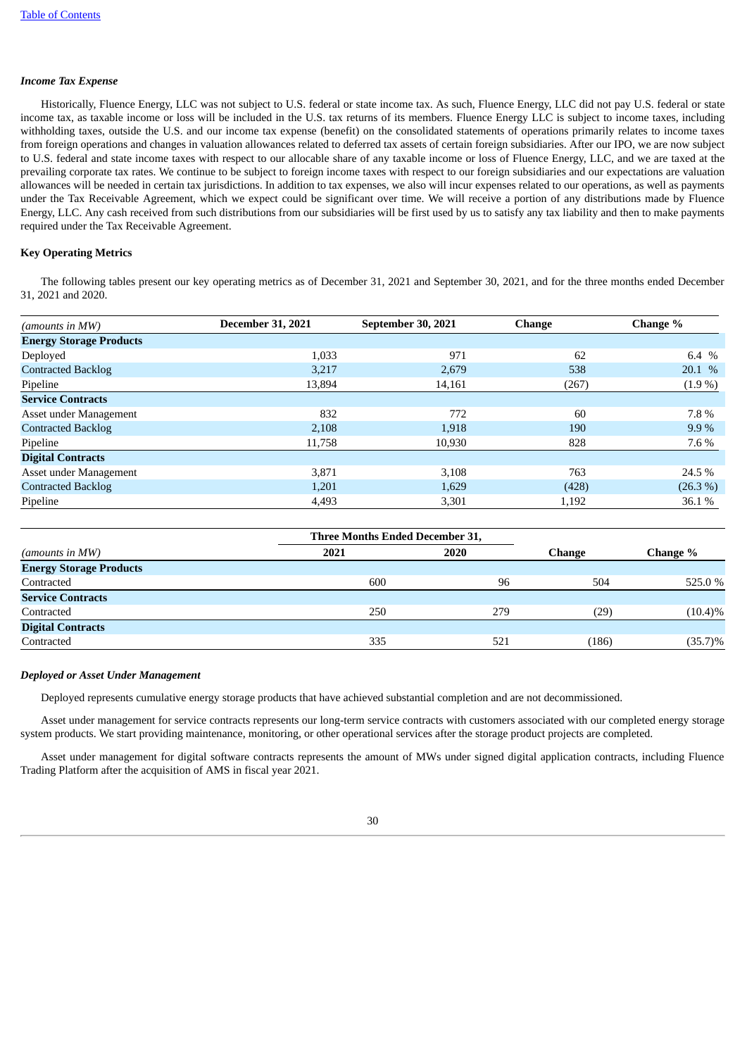## *Income Tax Expense*

Historically, Fluence Energy, LLC was not subject to U.S. federal or state income tax. As such, Fluence Energy, LLC did not pay U.S. federal or state income tax, as taxable income or loss will be included in the U.S. tax returns of its members. Fluence Energy LLC is subject to income taxes, including withholding taxes, outside the U.S. and our income tax expense (benefit) on the consolidated statements of operations primarily relates to income taxes from foreign operations and changes in valuation allowances related to deferred tax assets of certain foreign subsidiaries. After our IPO, we are now subject to U.S. federal and state income taxes with respect to our allocable share of any taxable income or loss of Fluence Energy, LLC, and we are taxed at the prevailing corporate tax rates. We continue to be subject to foreign income taxes with respect to our foreign subsidiaries and our expectations are valuation allowances will be needed in certain tax jurisdictions. In addition to tax expenses, we also will incur expenses related to our operations, as well as payments under the Tax Receivable Agreement, which we expect could be significant over time. We will receive a portion of any distributions made by Fluence Energy, LLC. Any cash received from such distributions from our subsidiaries will be first used by us to satisfy any tax liability and then to make payments required under the Tax Receivable Agreement.

## **Key Operating Metrics**

The following tables present our key operating metrics as of December 31, 2021 and September 30, 2021, and for the three months ended December 31, 2021 and 2020.

| (amounts in MW)                | <b>December 31, 2021</b> | September 30, 2021 | <b>Change</b> | Change %   |
|--------------------------------|--------------------------|--------------------|---------------|------------|
| <b>Energy Storage Products</b> |                          |                    |               |            |
| Deployed                       | 1,033                    | 971                | 62            | 6.4 $%$    |
| <b>Contracted Backlog</b>      | 3,217                    | 2,679              | 538           | 20.1%      |
| Pipeline                       | 13,894                   | 14,161             | (267)         | $(1.9\%)$  |
| <b>Service Contracts</b>       |                          |                    |               |            |
| Asset under Management         | 832                      | 772                | 60            | 7.8%       |
| <b>Contracted Backlog</b>      | 2,108                    | 1,918              | 190           | 9.9%       |
| Pipeline                       | 11,758                   | 10,930             | 828           | 7.6 %      |
| <b>Digital Contracts</b>       |                          |                    |               |            |
| Asset under Management         | 3,871                    | 3,108              | 763           | 24.5 %     |
| <b>Contracted Backlog</b>      | 1,201                    | 1,629              | (428)         | $(26.3\%)$ |
| Pipeline                       | 4,493                    | 3,301              | 1,192         | 36.1 %     |

|                                |      | <b>Three Months Ended December 31,</b> |        |            |
|--------------------------------|------|----------------------------------------|--------|------------|
| (amounts in MW)                | 2021 | 2020                                   | Change | Change %   |
| <b>Energy Storage Products</b> |      |                                        |        |            |
| Contracted                     | 600  | 96                                     | 504    | 525.0 %    |
| <b>Service Contracts</b>       |      |                                        |        |            |
| Contracted                     | 250  | 279                                    | (29)   | $(10.4)\%$ |
| <b>Digital Contracts</b>       |      |                                        |        |            |
| Contracted                     | 335  | 521                                    | 186)   | (35.7)%    |

## *Deployed or Asset Under Management*

Deployed represents cumulative energy storage products that have achieved substantial completion and are not decommissioned.

Asset under management for service contracts represents our long-term service contracts with customers associated with our completed energy storage system products. We start providing maintenance, monitoring, or other operational services after the storage product projects are completed.

Asset under management for digital software contracts represents the amount of MWs under signed digital application contracts, including Fluence Trading Platform after the acquisition of AMS in fiscal year 2021.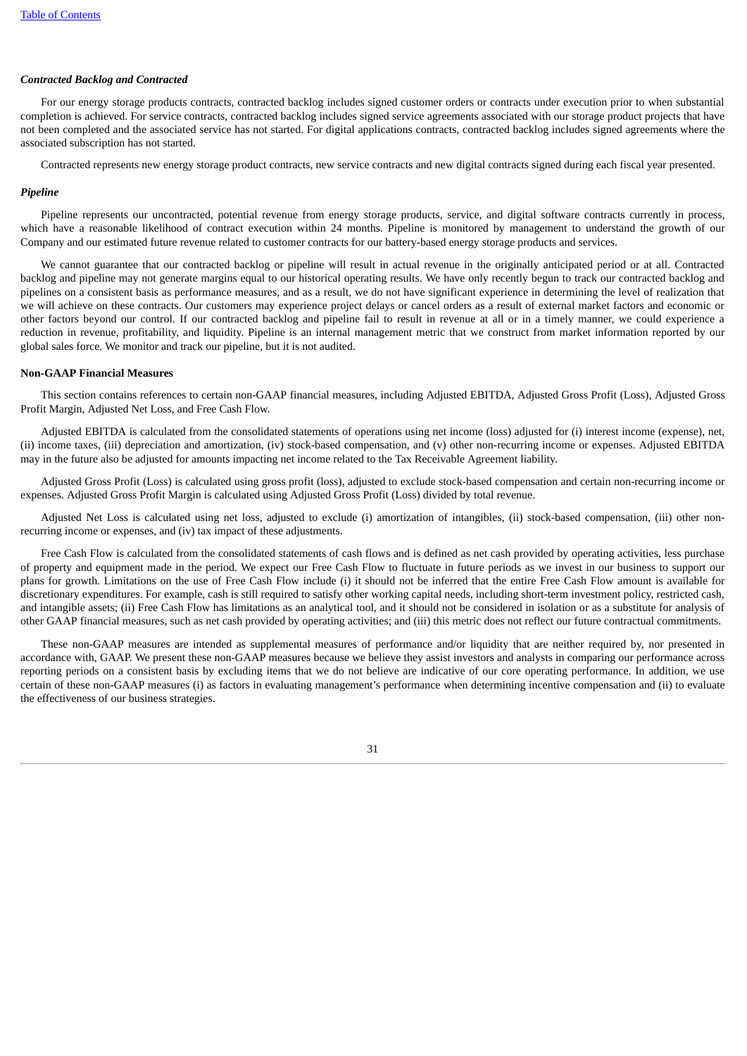## *Contracted Backlog and Contracted*

For our energy storage products contracts, contracted backlog includes signed customer orders or contracts under execution prior to when substantial completion is achieved. For service contracts, contracted backlog includes signed service agreements associated with our storage product projects that have not been completed and the associated service has not started. For digital applications contracts, contracted backlog includes signed agreements where the associated subscription has not started.

Contracted represents new energy storage product contracts, new service contracts and new digital contracts signed during each fiscal year presented.

#### *Pipeline*

Pipeline represents our uncontracted, potential revenue from energy storage products, service, and digital software contracts currently in process, which have a reasonable likelihood of contract execution within 24 months. Pipeline is monitored by management to understand the growth of our Company and our estimated future revenue related to customer contracts for our battery-based energy storage products and services.

We cannot guarantee that our contracted backlog or pipeline will result in actual revenue in the originally anticipated period or at all. Contracted backlog and pipeline may not generate margins equal to our historical operating results. We have only recently begun to track our contracted backlog and pipelines on a consistent basis as performance measures, and as a result, we do not have significant experience in determining the level of realization that we will achieve on these contracts. Our customers may experience project delays or cancel orders as a result of external market factors and economic or other factors beyond our control. If our contracted backlog and pipeline fail to result in revenue at all or in a timely manner, we could experience a reduction in revenue, profitability, and liquidity. Pipeline is an internal management metric that we construct from market information reported by our global sales force. We monitor and track our pipeline, but it is not audited.

#### **Non-GAAP Financial Measures**

This section contains references to certain non-GAAP financial measures, including Adjusted EBITDA, Adjusted Gross Profit (Loss), Adjusted Gross Profit Margin, Adjusted Net Loss, and Free Cash Flow.

Adjusted EBITDA is calculated from the consolidated statements of operations using net income (loss) adjusted for (i) interest income (expense), net, (ii) income taxes, (iii) depreciation and amortization, (iv) stock-based compensation, and (v) other non-recurring income or expenses. Adjusted EBITDA may in the future also be adjusted for amounts impacting net income related to the Tax Receivable Agreement liability.

Adjusted Gross Profit (Loss) is calculated using gross profit (loss), adjusted to exclude stock-based compensation and certain non-recurring income or expenses. Adjusted Gross Profit Margin is calculated using Adjusted Gross Profit (Loss) divided by total revenue.

Adjusted Net Loss is calculated using net loss, adjusted to exclude (i) amortization of intangibles, (ii) stock-based compensation, (iii) other nonrecurring income or expenses, and (iv) tax impact of these adjustments.

Free Cash Flow is calculated from the consolidated statements of cash flows and is defined as net cash provided by operating activities, less purchase of property and equipment made in the period. We expect our Free Cash Flow to fluctuate in future periods as we invest in our business to support our plans for growth. Limitations on the use of Free Cash Flow include (i) it should not be inferred that the entire Free Cash Flow amount is available for discretionary expenditures. For example, cash is still required to satisfy other working capital needs, including short-term investment policy, restricted cash, and intangible assets; (ii) Free Cash Flow has limitations as an analytical tool, and it should not be considered in isolation or as a substitute for analysis of other GAAP financial measures, such as net cash provided by operating activities; and (iii) this metric does not reflect our future contractual commitments.

These non-GAAP measures are intended as supplemental measures of performance and/or liquidity that are neither required by, nor presented in accordance with, GAAP. We present these non-GAAP measures because we believe they assist investors and analysts in comparing our performance across reporting periods on a consistent basis by excluding items that we do not believe are indicative of our core operating performance. In addition, we use certain of these non-GAAP measures (i) as factors in evaluating management's performance when determining incentive compensation and (ii) to evaluate the effectiveness of our business strategies.

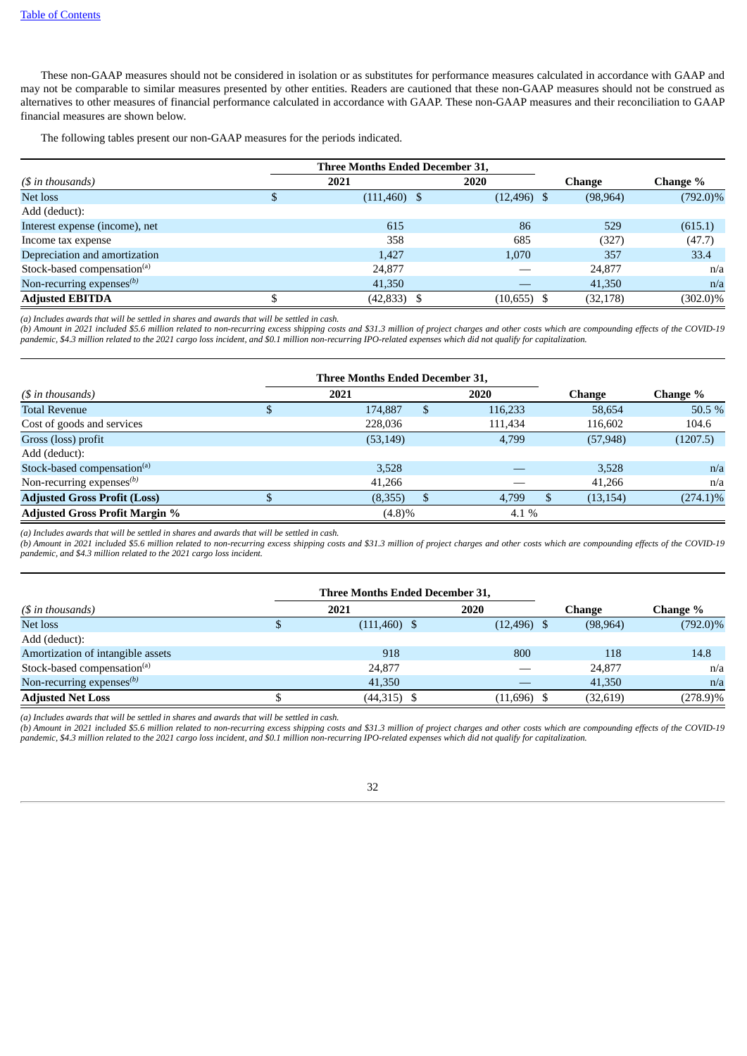These non-GAAP measures should not be considered in isolation or as substitutes for performance measures calculated in accordance with GAAP and may not be comparable to similar measures presented by other entities. Readers are cautioned that these non-GAAP measures should not be construed as alternatives to other measures of financial performance calculated in accordance with GAAP. These non-GAAP measures and their reconciliation to GAAP financial measures are shown below.

The following tables present our non-GAAP measures for the periods indicated.

|                                         | <b>Three Months Ended December 31,</b> |                |           |             |
|-----------------------------------------|----------------------------------------|----------------|-----------|-------------|
| $(S \in \mathbb{R})$ in thousands)      | 2021                                   | 2020           | Change    | Change %    |
| Net loss                                | $(111,460)$ \$                         | $(12, 496)$ \$ | (98, 964) | $(792.0)\%$ |
| Add (deduct):                           |                                        |                |           |             |
| Interest expense (income), net          | 615                                    | 86             | 529       | (615.1)     |
| Income tax expense                      | 358                                    | 685            | (327)     | (47.7)      |
| Depreciation and amortization           | 1.427                                  | 1,070          | 357       | 33.4        |
| Stock-based compensation <sup>(a)</sup> | 24,877                                 |                | 24,877    | n/a         |
| Non-recurring expenses $^{(b)}$         | 41,350                                 |                | 41,350    | n/a         |
| <b>Adjusted EBITDA</b>                  | (42, 833)                              | (10, 655)      | (32, 178) | $(302.0)\%$ |

*(a) Includes awards that will be settled in shares and awards that will be settled in cash.*

(b) Amount in 2021 included \$5.6 million related to non-recurring excess shipping costs and \$31.3 million of project charges and other costs which are compounding effects of the COVID-19 pandemic, \$4.3 million related to the 2021 cargo loss incident, and \$0.1 million non-recurring IPO-related expenses which did not qualify for capitalization.

|                                         | <b>Three Months Ended December 31,</b> |           |     |         |     |               |             |
|-----------------------------------------|----------------------------------------|-----------|-----|---------|-----|---------------|-------------|
| $(S$ in thousands)                      |                                        | 2021      |     | 2020    |     | <b>Change</b> | Change %    |
| <b>Total Revenue</b>                    |                                        | 174,887   | \$. | 116,233 |     | 58,654        | 50.5 %      |
| Cost of goods and services              |                                        | 228,036   |     | 111,434 |     | 116,602       | 104.6       |
| Gross (loss) profit                     |                                        | (53, 149) |     | 4,799   |     | (57, 948)     | (1207.5)    |
| Add (deduct):                           |                                        |           |     |         |     |               |             |
| Stock-based compensation <sup>(a)</sup> |                                        | 3,528     |     |         |     | 3,528         | n/a         |
| Non-recurring expenses $^{(b)}$         |                                        | 41,266    |     |         |     | 41,266        | n/a         |
| <b>Adjusted Gross Profit (Loss)</b>     |                                        | (8,355)   | -S  | 4.799   | \$. | (13, 154)     | $(274.1)\%$ |
| <b>Adjusted Gross Profit Margin %</b>   |                                        | $(4.8)\%$ |     | 4.1 %   |     |               |             |

*(a) Includes awards that will be settled in shares and awards that will be settled in cash.*

(b) Amount in 2021 included \$5.6 million related to non-recurring excess shipping costs and \$31.3 million of project charges and other costs which are compounding effects of the COVID-19 *pandemic, and \$4.3 million related to the 2021 cargo loss incident.*

|                                         | Three Months Ended December 31, |                |           |             |
|-----------------------------------------|---------------------------------|----------------|-----------|-------------|
| (\$ in thousands)                       | 2021                            | 2020           | Change    | Change %    |
| Net loss                                | $(111,460)$ \$                  | $(12, 496)$ \$ | (98, 964) | $(792.0)\%$ |
| Add (deduct):                           |                                 |                |           |             |
| Amortization of intangible assets       | 918                             | 800            | 118       | 14.8        |
| Stock-based compensation <sup>(a)</sup> | 24.877                          |                | 24,877    | n/a         |
| Non-recurring expenses $^{(b)}$         | 41,350                          |                | 41,350    | n/a         |
| <b>Adjusted Net Loss</b>                | $(44,315)$ \$                   | $(11,696)$ \$  | (32,619)  | $(278.9)\%$ |

*(a) Includes awards that will be settled in shares and awards that will be settled in cash.*

(b) Amount in 2021 included \$5.6 million related to non-recurring excess shipping costs and \$31.3 million of project charges and other costs which are compounding effects of the COVID-19 pandemic, \$4.3 million related to the 2021 cargo loss incident, and \$0.1 million non-recurring IPO-related expenses which did not qualify for capitalization.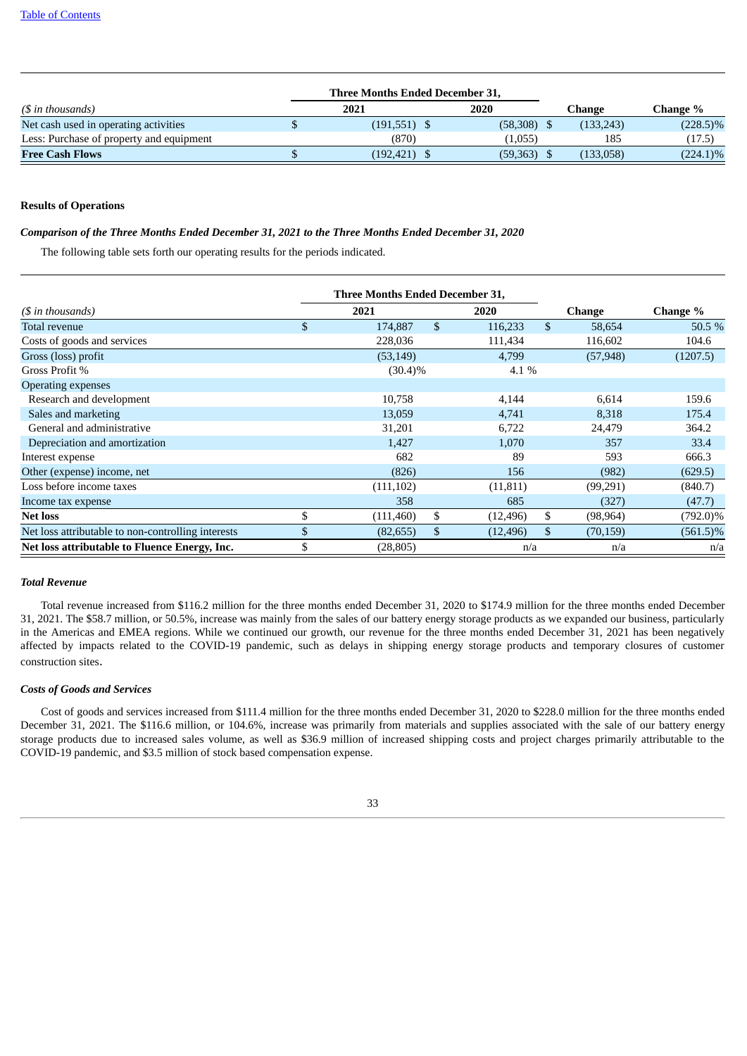|                                          | <b>Three Months Ended December 31.</b> |           |            |             |
|------------------------------------------|----------------------------------------|-----------|------------|-------------|
| $(S \in \mathbb{R})$ in thousands)       | 2021                                   | 2020      | Change     | Change %    |
| Net cash used in operating activities    | (191, 551)                             | (58, 308) | (133, 243) | $(228.5)\%$ |
| Less: Purchase of property and equipment | (870)                                  | (1,055)   | 185        | (17.5)      |
| <b>Free Cash Flows</b>                   | (192.421)                              | (59, 363) | (133.058)  | $(224.1)\%$ |

## **Results of Operations**

## *Comparison of the Three Months Ended December 31, 2021 to the Three Months Ended December 31, 2020*

The following table sets forth our operating results for the periods indicated.

|                                                    | <b>Three Months Ended December 31,</b> |            |                 |                |               |             |
|----------------------------------------------------|----------------------------------------|------------|-----------------|----------------|---------------|-------------|
| $(S$ in thousands)                                 |                                        | 2021       | 2020            |                | <b>Change</b> | Change %    |
| Total revenue                                      | \$                                     | 174,887    | \$<br>116,233   | $\mathbb{S}$   | 58,654        | 50.5 %      |
| Costs of goods and services                        |                                        | 228,036    | 111,434         |                | 116,602       | 104.6       |
| Gross (loss) profit                                |                                        | (53, 149)  |                 | 4,799          | (57, 948)     | (1207.5)    |
| Gross Profit %                                     |                                        | $(30.4)\%$ |                 | 4.1 %          |               |             |
| <b>Operating expenses</b>                          |                                        |            |                 |                |               |             |
| Research and development                           |                                        | 10,758     |                 | 4,144          | 6,614         | 159.6       |
| Sales and marketing                                |                                        | 13,059     |                 | 4,741          | 8,318         | 175.4       |
| General and administrative                         |                                        | 31,201     |                 | 6,722          | 24,479        | 364.2       |
| Depreciation and amortization                      |                                        | 1,427      |                 | 1,070          | 357           | 33.4        |
| Interest expense                                   |                                        | 682        |                 | 89             | 593           | 666.3       |
| Other (expense) income, net                        |                                        | (826)      |                 | 156            | (982)         | (629.5)     |
| Loss before income taxes                           |                                        | (111, 102) | (11, 811)       |                | (99,291)      | (840.7)     |
| Income tax expense                                 |                                        | 358        |                 | 685            | (327)         | (47.7)      |
| <b>Net loss</b>                                    | \$                                     | (111, 460) | \$<br>(12, 496) | \$             | (98, 964)     | $(792.0)\%$ |
| Net loss attributable to non-controlling interests | \$                                     | (82, 655)  | \$<br>(12, 496) | $\mathfrak{F}$ | (70, 159)     | $(561.5)\%$ |
| Net loss attributable to Fluence Energy, Inc.      | \$                                     | (28, 805)  |                 | n/a            | n/a           | n/a         |

## *Total Revenue*

Total revenue increased from \$116.2 million for the three months ended December 31, 2020 to \$174.9 million for the three months ended December 31, 2021. The \$58.7 million, or 50.5%, increase was mainly from the sales of our battery energy storage products as we expanded our business, particularly in the Americas and EMEA regions. While we continued our growth, our revenue for the three months ended December 31, 2021 has been negatively affected by impacts related to the COVID-19 pandemic, such as delays in shipping energy storage products and temporary closures of customer construction sites.

## *Costs of Goods and Services*

Cost of goods and services increased from \$111.4 million for the three months ended December 31, 2020 to \$228.0 million for the three months ended December 31, 2021. The \$116.6 million, or 104.6%, increase was primarily from materials and supplies associated with the sale of our battery energy storage products due to increased sales volume, as well as \$36.9 million of increased shipping costs and project charges primarily attributable to the COVID-19 pandemic, and \$3.5 million of stock based compensation expense.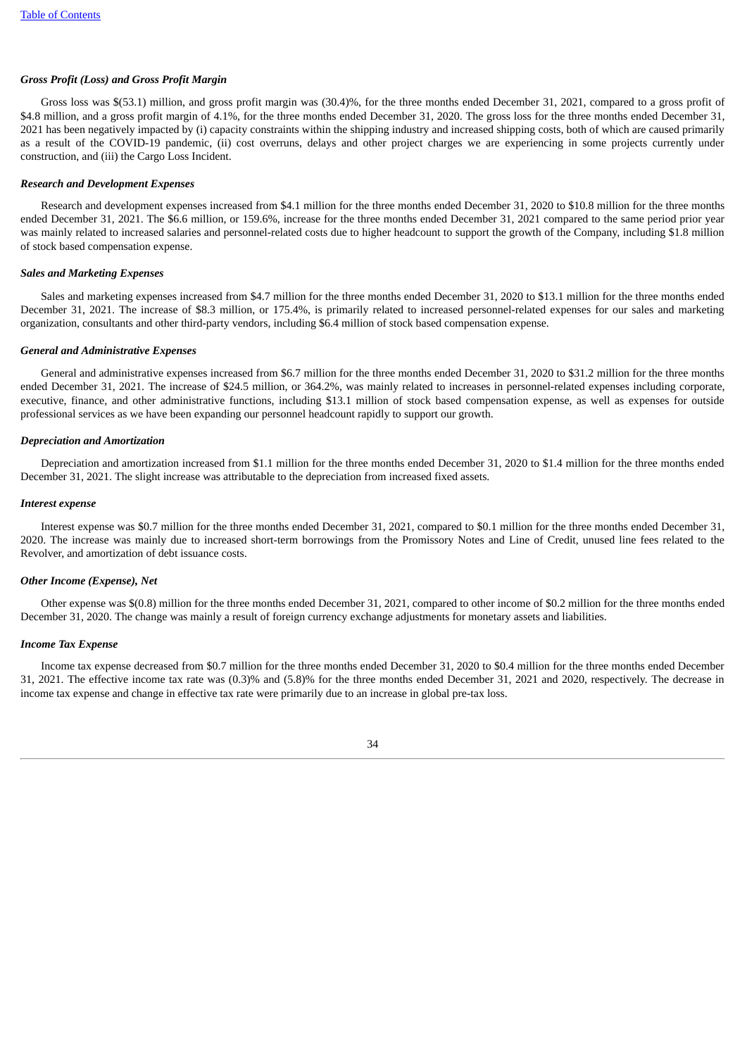## *Gross Profit (Loss) and Gross Profit Margin*

Gross loss was \$(53.1) million, and gross profit margin was (30.4)%, for the three months ended December 31, 2021, compared to a gross profit of \$4.8 million, and a gross profit margin of 4.1%, for the three months ended December 31, 2020. The gross loss for the three months ended December 31, 2021 has been negatively impacted by (i) capacity constraints within the shipping industry and increased shipping costs, both of which are caused primarily as a result of the COVID-19 pandemic, (ii) cost overruns, delays and other project charges we are experiencing in some projects currently under construction, and (iii) the Cargo Loss Incident.

## *Research and Development Expenses*

Research and development expenses increased from \$4.1 million for the three months ended December 31, 2020 to \$10.8 million for the three months ended December 31, 2021. The \$6.6 million, or 159.6%, increase for the three months ended December 31, 2021 compared to the same period prior year was mainly related to increased salaries and personnel-related costs due to higher headcount to support the growth of the Company, including \$1.8 million of stock based compensation expense.

#### *Sales and Marketing Expenses*

Sales and marketing expenses increased from \$4.7 million for the three months ended December 31, 2020 to \$13.1 million for the three months ended December 31, 2021. The increase of \$8.3 million, or 175.4%, is primarily related to increased personnel-related expenses for our sales and marketing organization, consultants and other third-party vendors, including \$6.4 million of stock based compensation expense.

#### *General and Administrative Expenses*

General and administrative expenses increased from \$6.7 million for the three months ended December 31, 2020 to \$31.2 million for the three months ended December 31, 2021. The increase of \$24.5 million, or 364.2%, was mainly related to increases in personnel-related expenses including corporate, executive, finance, and other administrative functions, including \$13.1 million of stock based compensation expense, as well as expenses for outside professional services as we have been expanding our personnel headcount rapidly to support our growth.

## *Depreciation and Amortization*

Depreciation and amortization increased from \$1.1 million for the three months ended December 31, 2020 to \$1.4 million for the three months ended December 31, 2021. The slight increase was attributable to the depreciation from increased fixed assets.

## *Interest expense*

Interest expense was \$0.7 million for the three months ended December 31, 2021, compared to \$0.1 million for the three months ended December 31, 2020. The increase was mainly due to increased short-term borrowings from the Promissory Notes and Line of Credit, unused line fees related to the Revolver, and amortization of debt issuance costs.

## *Other Income (Expense), Net*

Other expense was \$(0.8) million for the three months ended December 31, 2021, compared to other income of \$0.2 million for the three months ended December 31, 2020. The change was mainly a result of foreign currency exchange adjustments for monetary assets and liabilities.

## *Income Tax Expense*

Income tax expense decreased from \$0.7 million for the three months ended December 31, 2020 to \$0.4 million for the three months ended December 31, 2021. The effective income tax rate was (0.3)% and (5.8)% for the three months ended December 31, 2021 and 2020, respectively. The decrease in income tax expense and change in effective tax rate were primarily due to an increase in global pre-tax loss.

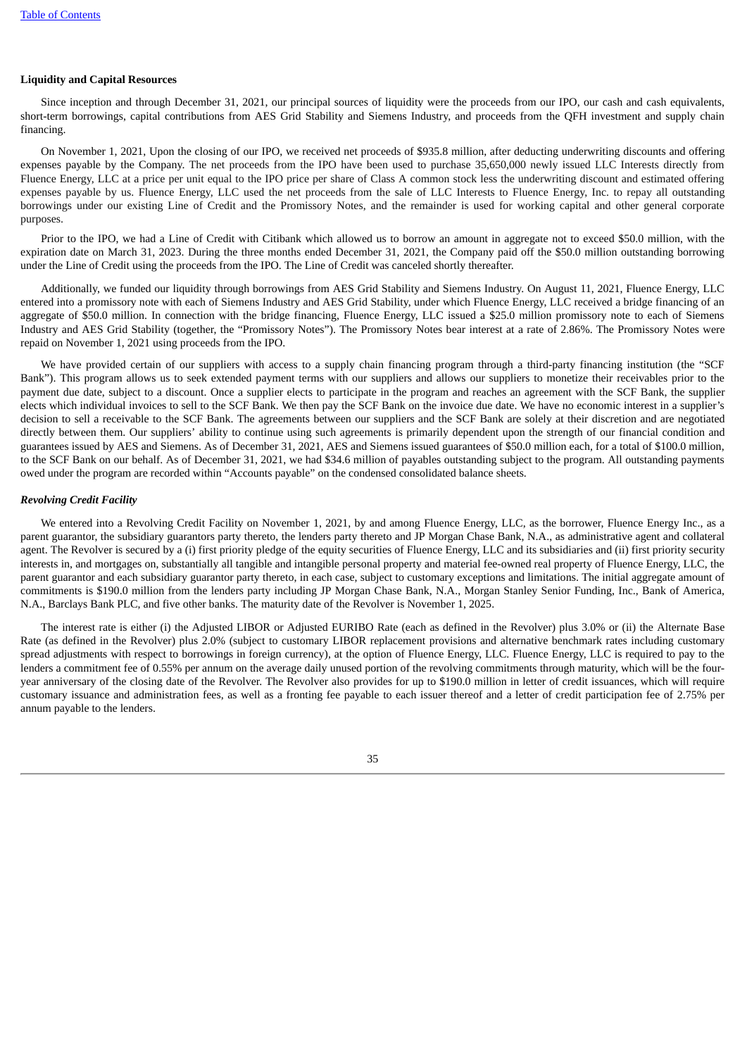## **Liquidity and Capital Resources**

Since inception and through December 31, 2021, our principal sources of liquidity were the proceeds from our IPO, our cash and cash equivalents, short-term borrowings, capital contributions from AES Grid Stability and Siemens Industry, and proceeds from the QFH investment and supply chain financing.

On November 1, 2021, Upon the closing of our IPO, we received net proceeds of \$935.8 million, after deducting underwriting discounts and offering expenses payable by the Company. The net proceeds from the IPO have been used to purchase 35,650,000 newly issued LLC Interests directly from Fluence Energy, LLC at a price per unit equal to the IPO price per share of Class A common stock less the underwriting discount and estimated offering expenses payable by us. Fluence Energy, LLC used the net proceeds from the sale of LLC Interests to Fluence Energy, Inc. to repay all outstanding borrowings under our existing Line of Credit and the Promissory Notes, and the remainder is used for working capital and other general corporate purposes.

Prior to the IPO, we had a Line of Credit with Citibank which allowed us to borrow an amount in aggregate not to exceed \$50.0 million, with the expiration date on March 31, 2023. During the three months ended December 31, 2021, the Company paid off the \$50.0 million outstanding borrowing under the Line of Credit using the proceeds from the IPO. The Line of Credit was canceled shortly thereafter.

Additionally, we funded our liquidity through borrowings from AES Grid Stability and Siemens Industry. On August 11, 2021, Fluence Energy, LLC entered into a promissory note with each of Siemens Industry and AES Grid Stability, under which Fluence Energy, LLC received a bridge financing of an aggregate of \$50.0 million. In connection with the bridge financing, Fluence Energy, LLC issued a \$25.0 million promissory note to each of Siemens Industry and AES Grid Stability (together, the "Promissory Notes"). The Promissory Notes bear interest at a rate of 2.86%. The Promissory Notes were repaid on November 1, 2021 using proceeds from the IPO.

We have provided certain of our suppliers with access to a supply chain financing program through a third-party financing institution (the "SCF Bank"). This program allows us to seek extended payment terms with our suppliers and allows our suppliers to monetize their receivables prior to the payment due date, subject to a discount. Once a supplier elects to participate in the program and reaches an agreement with the SCF Bank, the supplier elects which individual invoices to sell to the SCF Bank. We then pay the SCF Bank on the invoice due date. We have no economic interest in a supplier's decision to sell a receivable to the SCF Bank. The agreements between our suppliers and the SCF Bank are solely at their discretion and are negotiated directly between them. Our suppliers' ability to continue using such agreements is primarily dependent upon the strength of our financial condition and guarantees issued by AES and Siemens. As of December 31, 2021, AES and Siemens issued guarantees of \$50.0 million each, for a total of \$100.0 million, to the SCF Bank on our behalf. As of December 31, 2021, we had \$34.6 million of payables outstanding subject to the program. All outstanding payments owed under the program are recorded within "Accounts payable" on the condensed consolidated balance sheets.

## *Revolving Credit Facility*

We entered into a Revolving Credit Facility on November 1, 2021, by and among Fluence Energy, LLC, as the borrower, Fluence Energy Inc., as a parent guarantor, the subsidiary guarantors party thereto, the lenders party thereto and JP Morgan Chase Bank, N.A., as administrative agent and collateral agent. The Revolver is secured by a (i) first priority pledge of the equity securities of Fluence Energy, LLC and its subsidiaries and (ii) first priority security interests in, and mortgages on, substantially all tangible and intangible personal property and material fee-owned real property of Fluence Energy, LLC, the parent guarantor and each subsidiary guarantor party thereto, in each case, subject to customary exceptions and limitations. The initial aggregate amount of commitments is \$190.0 million from the lenders party including JP Morgan Chase Bank, N.A., Morgan Stanley Senior Funding, Inc., Bank of America, N.A., Barclays Bank PLC, and five other banks. The maturity date of the Revolver is November 1, 2025.

The interest rate is either (i) the Adjusted LIBOR or Adjusted EURIBO Rate (each as defined in the Revolver) plus 3.0% or (ii) the Alternate Base Rate (as defined in the Revolver) plus 2.0% (subject to customary LIBOR replacement provisions and alternative benchmark rates including customary spread adjustments with respect to borrowings in foreign currency), at the option of Fluence Energy, LLC. Fluence Energy, LLC is required to pay to the lenders a commitment fee of 0.55% per annum on the average daily unused portion of the revolving commitments through maturity, which will be the fouryear anniversary of the closing date of the Revolver. The Revolver also provides for up to \$190.0 million in letter of credit issuances, which will require customary issuance and administration fees, as well as a fronting fee payable to each issuer thereof and a letter of credit participation fee of 2.75% per annum payable to the lenders.

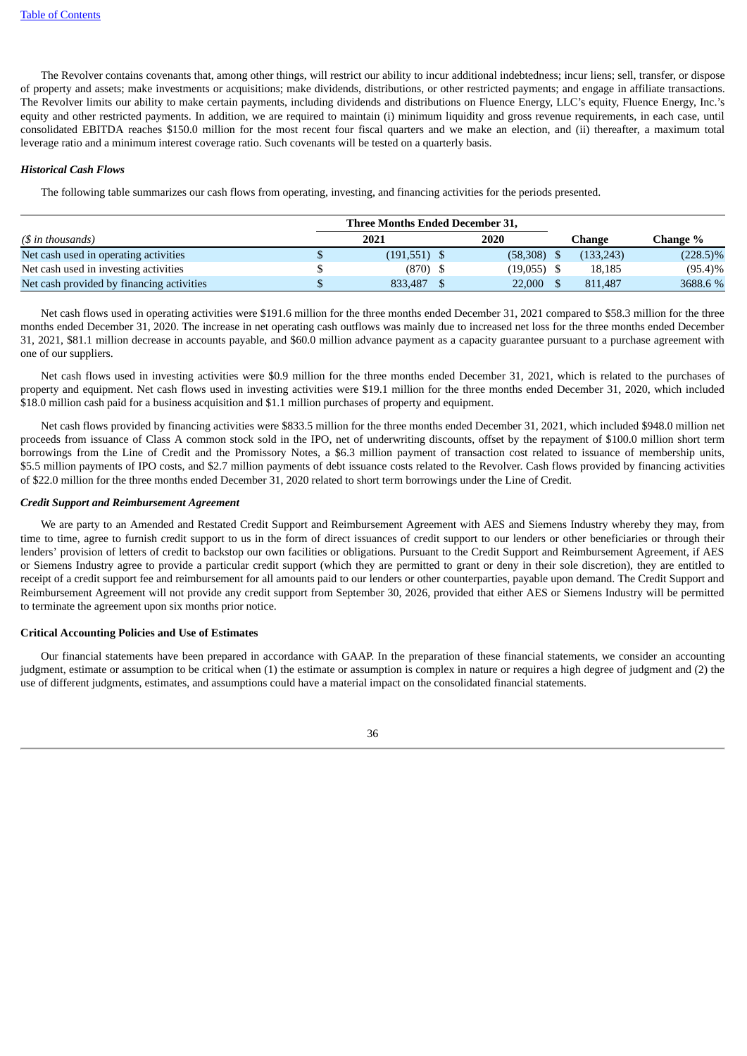The Revolver contains covenants that, among other things, will restrict our ability to incur additional indebtedness; incur liens; sell, transfer, or dispose of property and assets; make investments or acquisitions; make dividends, distributions, or other restricted payments; and engage in affiliate transactions. The Revolver limits our ability to make certain payments, including dividends and distributions on Fluence Energy, LLC's equity, Fluence Energy, Inc.'s equity and other restricted payments. In addition, we are required to maintain (i) minimum liquidity and gross revenue requirements, in each case, until consolidated EBITDA reaches \$150.0 million for the most recent four fiscal quarters and we make an election, and (ii) thereafter, a maximum total leverage ratio and a minimum interest coverage ratio. Such covenants will be tested on a quarterly basis.

## *Historical Cash Flows*

The following table summarizes our cash flows from operating, investing, and financing activities for the periods presented.

|                                           | <b>Three Months Ended December 31.</b> |                |  |               |            |             |
|-------------------------------------------|----------------------------------------|----------------|--|---------------|------------|-------------|
| (\$ in thousands)                         |                                        | 2021           |  | 2020          | Change     | Change %    |
| Net cash used in operating activities     |                                        | $(191,551)$ \$ |  | (58.308)      | (133, 243) | $(228.5)\%$ |
| Net cash used in investing activities     |                                        | (870)          |  | $(19,055)$ \$ | 18,185     | $(95.4)\%$  |
| Net cash provided by financing activities |                                        | 833,487        |  | 22,000        | 811.487    | 3688.6 %    |

Net cash flows used in operating activities were \$191.6 million for the three months ended December 31, 2021 compared to \$58.3 million for the three months ended December 31, 2020. The increase in net operating cash outflows was mainly due to increased net loss for the three months ended December 31, 2021, \$81.1 million decrease in accounts payable, and \$60.0 million advance payment as a capacity guarantee pursuant to a purchase agreement with one of our suppliers.

Net cash flows used in investing activities were \$0.9 million for the three months ended December 31, 2021, which is related to the purchases of property and equipment. Net cash flows used in investing activities were \$19.1 million for the three months ended December 31, 2020, which included \$18.0 million cash paid for a business acquisition and \$1.1 million purchases of property and equipment.

Net cash flows provided by financing activities were \$833.5 million for the three months ended December 31, 2021, which included \$948.0 million net proceeds from issuance of Class A common stock sold in the IPO, net of underwriting discounts, offset by the repayment of \$100.0 million short term borrowings from the Line of Credit and the Promissory Notes, a \$6.3 million payment of transaction cost related to issuance of membership units, \$5.5 million payments of IPO costs, and \$2.7 million payments of debt issuance costs related to the Revolver. Cash flows provided by financing activities of \$22.0 million for the three months ended December 31, 2020 related to short term borrowings under the Line of Credit.

## *Credit Support and Reimbursement Agreement*

We are party to an Amended and Restated Credit Support and Reimbursement Agreement with AES and Siemens Industry whereby they may, from time to time, agree to furnish credit support to us in the form of direct issuances of credit support to our lenders or other beneficiaries or through their lenders' provision of letters of credit to backstop our own facilities or obligations. Pursuant to the Credit Support and Reimbursement Agreement, if AES or Siemens Industry agree to provide a particular credit support (which they are permitted to grant or deny in their sole discretion), they are entitled to receipt of a credit support fee and reimbursement for all amounts paid to our lenders or other counterparties, payable upon demand. The Credit Support and Reimbursement Agreement will not provide any credit support from September 30, 2026, provided that either AES or Siemens Industry will be permitted to terminate the agreement upon six months prior notice.

## **Critical Accounting Policies and Use of Estimates**

Our financial statements have been prepared in accordance with GAAP. In the preparation of these financial statements, we consider an accounting judgment, estimate or assumption to be critical when (1) the estimate or assumption is complex in nature or requires a high degree of judgment and (2) the use of different judgments, estimates, and assumptions could have a material impact on the consolidated financial statements.

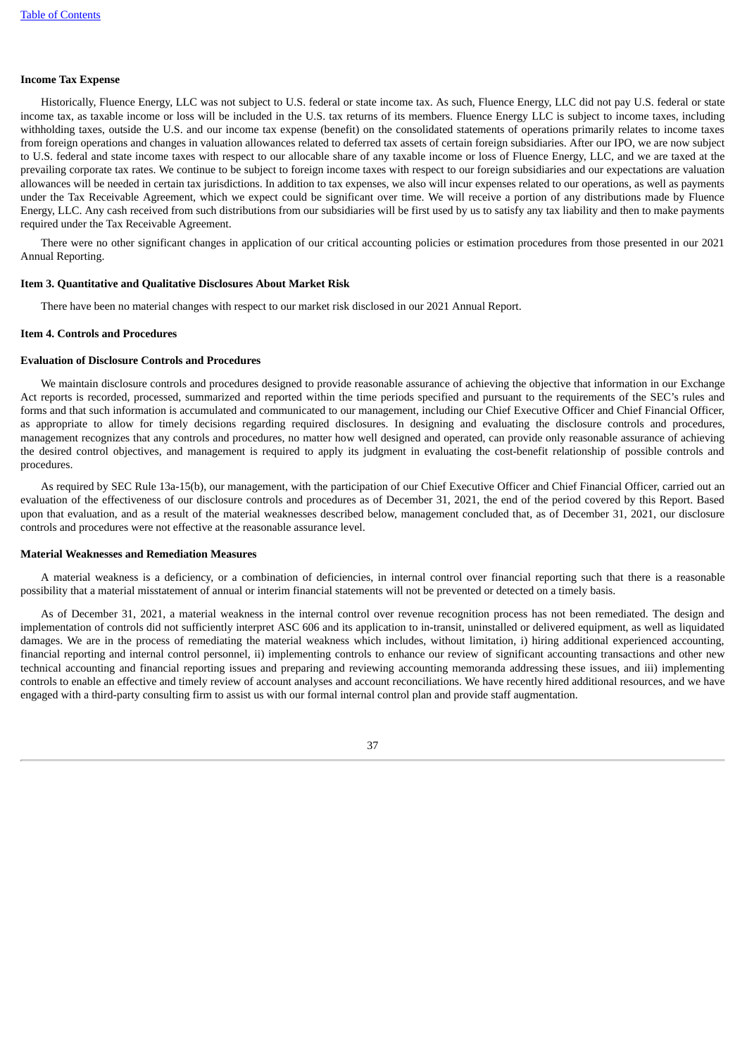#### **Income Tax Expense**

Historically, Fluence Energy, LLC was not subject to U.S. federal or state income tax. As such, Fluence Energy, LLC did not pay U.S. federal or state income tax, as taxable income or loss will be included in the U.S. tax returns of its members. Fluence Energy LLC is subject to income taxes, including withholding taxes, outside the U.S. and our income tax expense (benefit) on the consolidated statements of operations primarily relates to income taxes from foreign operations and changes in valuation allowances related to deferred tax assets of certain foreign subsidiaries. After our IPO, we are now subject to U.S. federal and state income taxes with respect to our allocable share of any taxable income or loss of Fluence Energy, LLC, and we are taxed at the prevailing corporate tax rates. We continue to be subject to foreign income taxes with respect to our foreign subsidiaries and our expectations are valuation allowances will be needed in certain tax jurisdictions. In addition to tax expenses, we also will incur expenses related to our operations, as well as payments under the Tax Receivable Agreement, which we expect could be significant over time. We will receive a portion of any distributions made by Fluence Energy, LLC. Any cash received from such distributions from our subsidiaries will be first used by us to satisfy any tax liability and then to make payments required under the Tax Receivable Agreement.

There were no other significant changes in application of our critical accounting policies or estimation procedures from those presented in our 2021 Annual Reporting.

#### <span id="page-36-0"></span>**Item 3. Quantitative and Qualitative Disclosures About Market Risk**

There have been no material changes with respect to our market risk disclosed in our 2021 Annual Report.

## <span id="page-36-1"></span>**Item 4. Controls and Procedures**

#### **Evaluation of Disclosure Controls and Procedures**

We maintain disclosure controls and procedures designed to provide reasonable assurance of achieving the objective that information in our Exchange Act reports is recorded, processed, summarized and reported within the time periods specified and pursuant to the requirements of the SEC's rules and forms and that such information is accumulated and communicated to our management, including our Chief Executive Officer and Chief Financial Officer, as appropriate to allow for timely decisions regarding required disclosures. In designing and evaluating the disclosure controls and procedures, management recognizes that any controls and procedures, no matter how well designed and operated, can provide only reasonable assurance of achieving the desired control objectives, and management is required to apply its judgment in evaluating the cost-benefit relationship of possible controls and procedures.

As required by SEC Rule 13a-15(b), our management, with the participation of our Chief Executive Officer and Chief Financial Officer, carried out an evaluation of the effectiveness of our disclosure controls and procedures as of December 31, 2021, the end of the period covered by this Report. Based upon that evaluation, and as a result of the material weaknesses described below, management concluded that, as of December 31, 2021, our disclosure controls and procedures were not effective at the reasonable assurance level.

#### **Material Weaknesses and Remediation Measures**

A material weakness is a deficiency, or a combination of deficiencies, in internal control over financial reporting such that there is a reasonable possibility that a material misstatement of annual or interim financial statements will not be prevented or detected on a timely basis.

As of December 31, 2021, a material weakness in the internal control over revenue recognition process has not been remediated. The design and implementation of controls did not sufficiently interpret ASC 606 and its application to in-transit, uninstalled or delivered equipment, as well as liquidated damages. We are in the process of remediating the material weakness which includes, without limitation, i) hiring additional experienced accounting, financial reporting and internal control personnel, ii) implementing controls to enhance our review of significant accounting transactions and other new technical accounting and financial reporting issues and preparing and reviewing accounting memoranda addressing these issues, and iii) implementing controls to enable an effective and timely review of account analyses and account reconciliations. We have recently hired additional resources, and we have engaged with a third-party consulting firm to assist us with our formal internal control plan and provide staff augmentation.

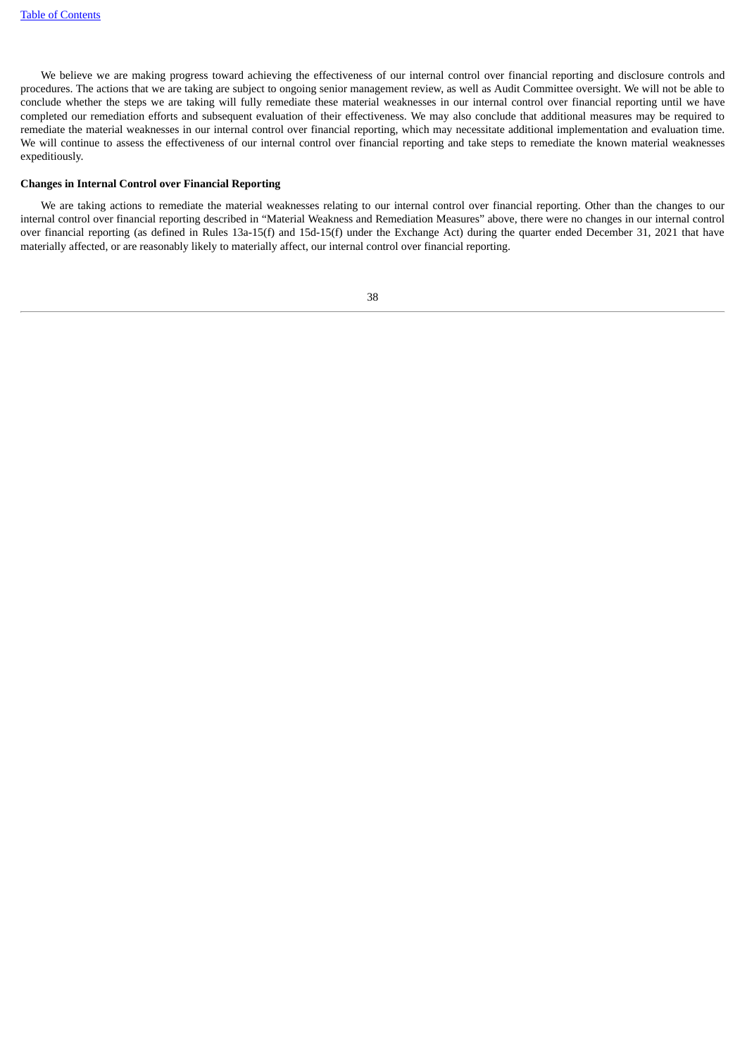We believe we are making progress toward achieving the effectiveness of our internal control over financial reporting and disclosure controls and procedures. The actions that we are taking are subject to ongoing senior management review, as well as Audit Committee oversight. We will not be able to conclude whether the steps we are taking will fully remediate these material weaknesses in our internal control over financial reporting until we have completed our remediation efforts and subsequent evaluation of their effectiveness. We may also conclude that additional measures may be required to remediate the material weaknesses in our internal control over financial reporting, which may necessitate additional implementation and evaluation time. We will continue to assess the effectiveness of our internal control over financial reporting and take steps to remediate the known material weaknesses expeditiously.

## **Changes in Internal Control over Financial Reporting**

<span id="page-37-0"></span>We are taking actions to remediate the material weaknesses relating to our internal control over financial reporting. Other than the changes to our internal control over financial reporting described in "Material Weakness and Remediation Measures" above, there were no changes in our internal control over financial reporting (as defined in Rules 13a-15(f) and 15d-15(f) under the Exchange Act) during the quarter ended December 31, 2021 that have materially affected, or are reasonably likely to materially affect, our internal control over financial reporting.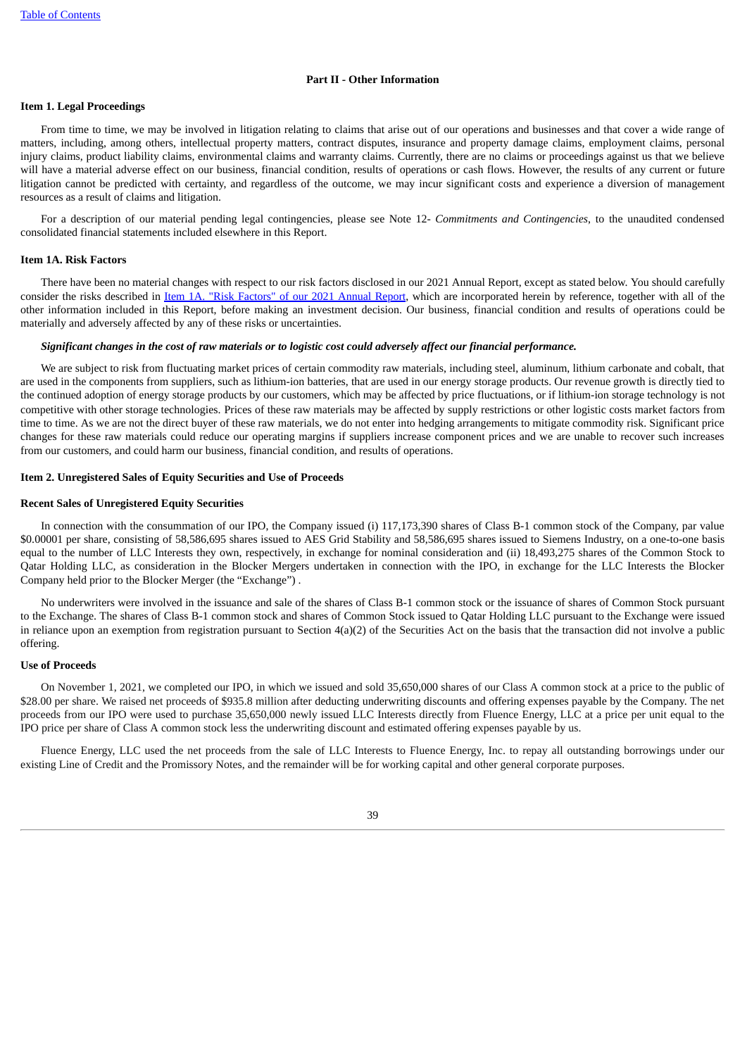## **Part II - Other Information**

## <span id="page-38-0"></span>**Item 1. Legal Proceedings**

From time to time, we may be involved in litigation relating to claims that arise out of our operations and businesses and that cover a wide range of matters, including, among others, intellectual property matters, contract disputes, insurance and property damage claims, employment claims, personal injury claims, product liability claims, environmental claims and warranty claims. Currently, there are no claims or proceedings against us that we believe will have a material adverse effect on our business, financial condition, results of operations or cash flows. However, the results of any current or future litigation cannot be predicted with certainty, and regardless of the outcome, we may incur significant costs and experience a diversion of management resources as a result of claims and litigation.

For a description of our material pending legal contingencies, please see Note 12- *Commitments and Contingencies*, to the unaudited condensed consolidated financial statements included elsewhere in this Report.

#### <span id="page-38-1"></span>**Item 1A. Risk Factors**

There have been no material changes with respect to our risk factors disclosed in our 2021 Annual Report, except as stated below. You should carefully consider the risks described in [Item](https://www.sec.gov/Archives/edgar/data/0001868941/000186894121000012/fluenceenergyllc10-k2021.htm) 1A. "Risk [Factors"](https://www.sec.gov/Archives/edgar/data/0001868941/000186894121000012/fluenceenergyllc10-k2021.htm) of our 2021 Annual Report, which are incorporated herein by reference, together with all of the other information included in this Report, before making an investment decision. Our business, financial condition and results of operations could be materially and adversely affected by any of these risks or uncertainties.

#### Significant changes in the cost of raw materials or to logistic cost could adversely affect our financial performance.

We are subject to risk from fluctuating market prices of certain commodity raw materials, including steel, aluminum, lithium carbonate and cobalt, that are used in the components from suppliers, such as lithium-ion batteries, that are used in our energy storage products. Our revenue growth is directly tied to the continued adoption of energy storage products by our customers, which may be affected by price fluctuations, or if lithium-ion storage technology is not competitive with other storage technologies. Prices of these raw materials may be affected by supply restrictions or other logistic costs market factors from time to time. As we are not the direct buyer of these raw materials, we do not enter into hedging arrangements to mitigate commodity risk. Significant price changes for these raw materials could reduce our operating margins if suppliers increase component prices and we are unable to recover such increases from our customers, and could harm our business, financial condition, and results of operations.

## <span id="page-38-2"></span>**Item 2. Unregistered Sales of Equity Securities and Use of Proceeds**

## **Recent Sales of Unregistered Equity Securities**

In connection with the consummation of our IPO, the Company issued (i) 117,173,390 shares of Class B-1 common stock of the Company, par value \$0.00001 per share, consisting of 58,586,695 shares issued to AES Grid Stability and 58,586,695 shares issued to Siemens Industry, on a one-to-one basis equal to the number of LLC Interests they own, respectively, in exchange for nominal consideration and (ii) 18,493,275 shares of the Common Stock to Qatar Holding LLC, as consideration in the Blocker Mergers undertaken in connection with the IPO, in exchange for the LLC Interests the Blocker Company held prior to the Blocker Merger (the "Exchange") .

No underwriters were involved in the issuance and sale of the shares of Class B-1 common stock or the issuance of shares of Common Stock pursuant to the Exchange. The shares of Class B-1 common stock and shares of Common Stock issued to Qatar Holding LLC pursuant to the Exchange were issued in reliance upon an exemption from registration pursuant to Section  $4(a)(2)$  of the Securities Act on the basis that the transaction did not involve a public offering.

## **Use of Proceeds**

On November 1, 2021, we completed our IPO, in which we issued and sold 35,650,000 shares of our Class A common stock at a price to the public of \$28.00 per share. We raised net proceeds of \$935.8 million after deducting underwriting discounts and offering expenses payable by the Company. The net proceeds from our IPO were used to purchase 35,650,000 newly issued LLC Interests directly from Fluence Energy, LLC at a price per unit equal to the IPO price per share of Class A common stock less the underwriting discount and estimated offering expenses payable by us.

Fluence Energy, LLC used the net proceeds from the sale of LLC Interests to Fluence Energy, Inc. to repay all outstanding borrowings under our existing Line of Credit and the Promissory Notes, and the remainder will be for working capital and other general corporate purposes.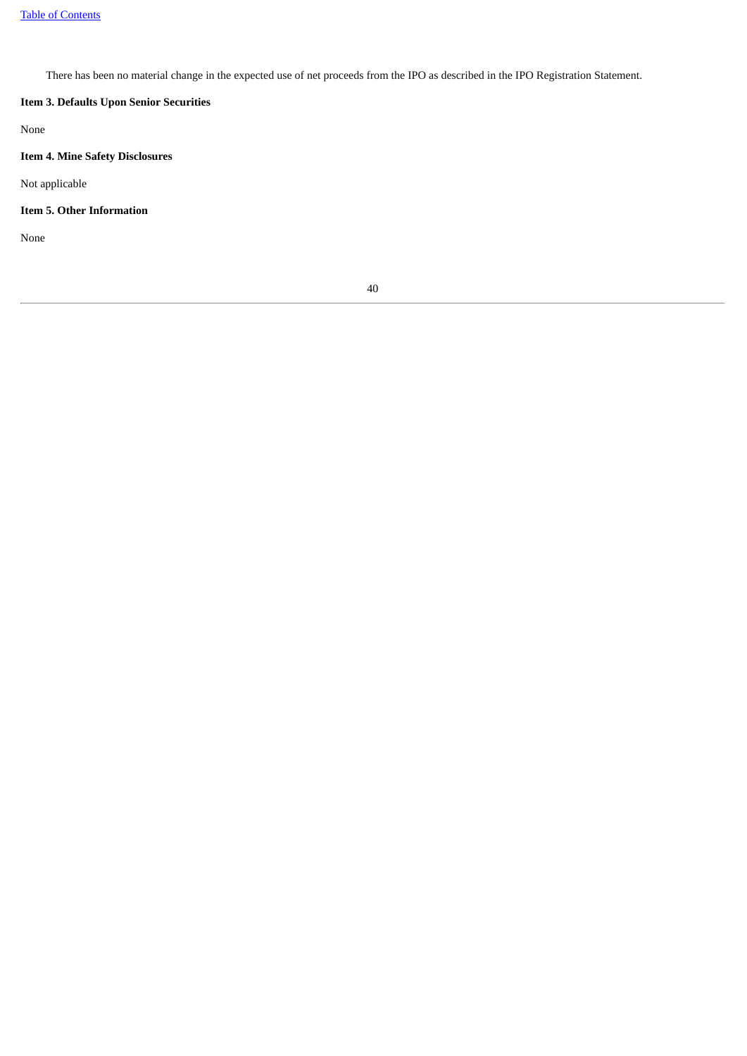There has been no material change in the expected use of net proceeds from the IPO as described in the IPO Registration Statement.

## <span id="page-39-0"></span>**Item 3. Defaults Upon Senior Securities**

<span id="page-39-1"></span>None

## **Item 4. Mine Safety Disclosures**

<span id="page-39-2"></span>Not applicable

## **Item 5. Other Information**

<span id="page-39-3"></span>None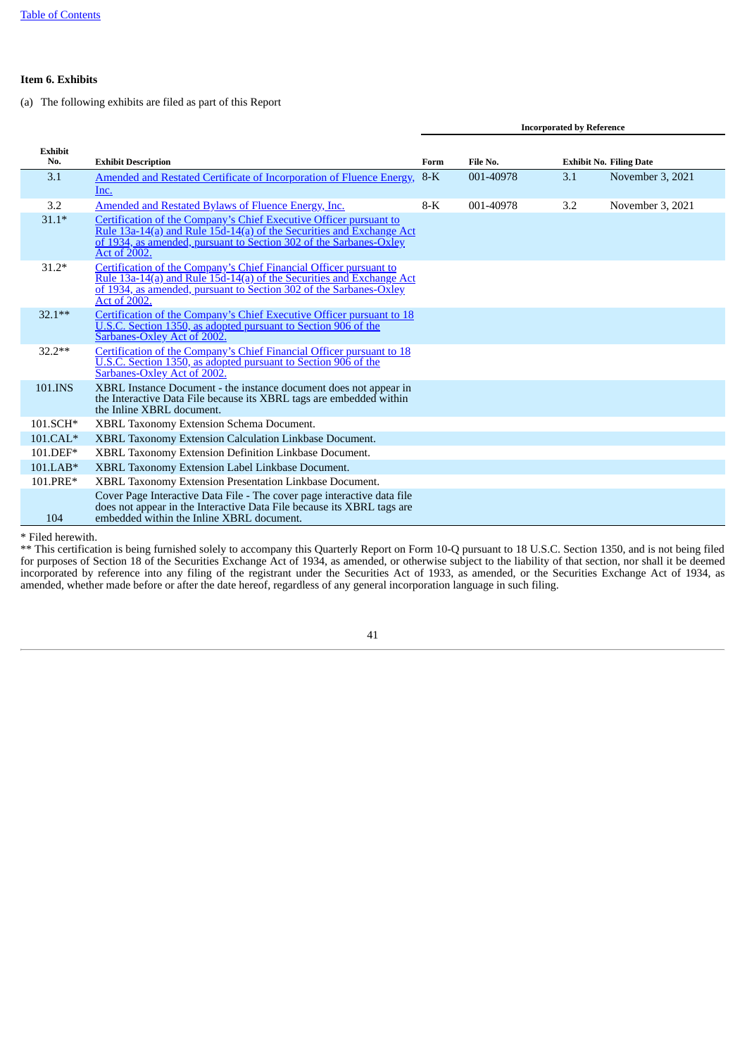## **Item 6. Exhibits**

(a) The following exhibits are filed as part of this Report

**Incorporated by Reference** Exhibit<br>No. **No. Exhibit Description Form File No. Exhibit No. Filing Date** 3.1 [Amended](https://www.sec.gov/Archives/edgar/data/0001868941/000110465921133771/tm2120236d16_ex3-1.htm) and Restated [Certificate](https://www.sec.gov/Archives/edgar/data/0001868941/000110465921133771/tm2120236d16_ex3-1.htm) of [Incorporation](https://www.sec.gov/Archives/edgar/data/0001868941/000110465921133771/tm2120236d16_ex3-1.htm) of [Fl](https://www.sec.gov/Archives/edgar/data/0001868941/000110465921133771/tm2120236d16_ex3-1.htm)uence Energy, In[c.](https://www.sec.gov/Archives/edgar/data/0001868941/000110465921133771/tm2120236d16_ex3-1.htm) 8-K 001-40978 3.1 November 3, 2021 3.2 [Amended](https://www.sec.gov/Archives/edgar/data/0001868941/000110465921133771/tm2120236d16_ex3-2.htm) and Restated Bylaws of Fluence Energy, Inc. 8-K 001-40978 3.2 November 3, 2021 31.1\* Certification of the Company's Chief Executive Officer pursuant to Rule 13a-14(a) and Rule 15d-14(a) of the Securities and Exchange Act of 1934, as amended, pursuant to Section 302 of the [Sarbanes-Oxley](#page-42-0) Act of 2002. 31.2\* Certification of the Company's Chief Financial Officer pursuant to Rule 13a-14(a) and Rule 15d-14(a) of the Securities and Exchange Act of 1934, as amended, pursuant to Section 302 of the [Sarbanes-Oxley](#page-43-0) Act of 2002. 32.1\*\* Certification of the Company's Chief Executive Officer pursuant to 18 U.S.C. Section 1350, as adopted pursuant to Section 906 of the [Sarbanes-Oxley](#page-44-0) Act of 2002. 32.2\*\* Certification of the Company's Chief Financial Officer pursuant to 18 U.S.C. Section 1350, as adopted pursuant to Section 906 of the [Sarbanes-Oxley](#page-45-0) Act of 2002 101.INS XBRL Instance Document - the instance document does not appear in the Interactive Data File because its XBRL tags are embedded within the Inline XBRL document. 101.SCH\* XBRL Taxonomy Extension Schema Document. 101.CAL\* XBRL Taxonomy Extension Calculation Linkbase Document. 101.DEF\* XBRL Taxonomy Extension Definition Linkbase Document. 101.LAB\* XBRL Taxonomy Extension Label Linkbase Document. 101.PRE\* XBRL Taxonomy Extension Presentation Linkbase Document. 104 Cover Page Interactive Data File - The cover page interactive data file does not appear in the Interactive Data File because its XBRL tags are embedded within the Inline XBRL document.

\* Filed herewith.

<span id="page-40-0"></span>\*\* This certification is being furnished solely to accompany this Quarterly Report on Form 10-Q pursuant to 18 U.S.C. Section 1350, and is not being filed for purposes of Section 18 of the Securities Exchange Act of 1934, as amended, or otherwise subject to the liability of that section, nor shall it be deemed incorporated by reference into any filing of the registrant under the Securities Act of 1933, as amended, or the Securities Exchange Act of 1934, as amended, whether made before or after the date hereof, regardless of any general incorporation language in such filing.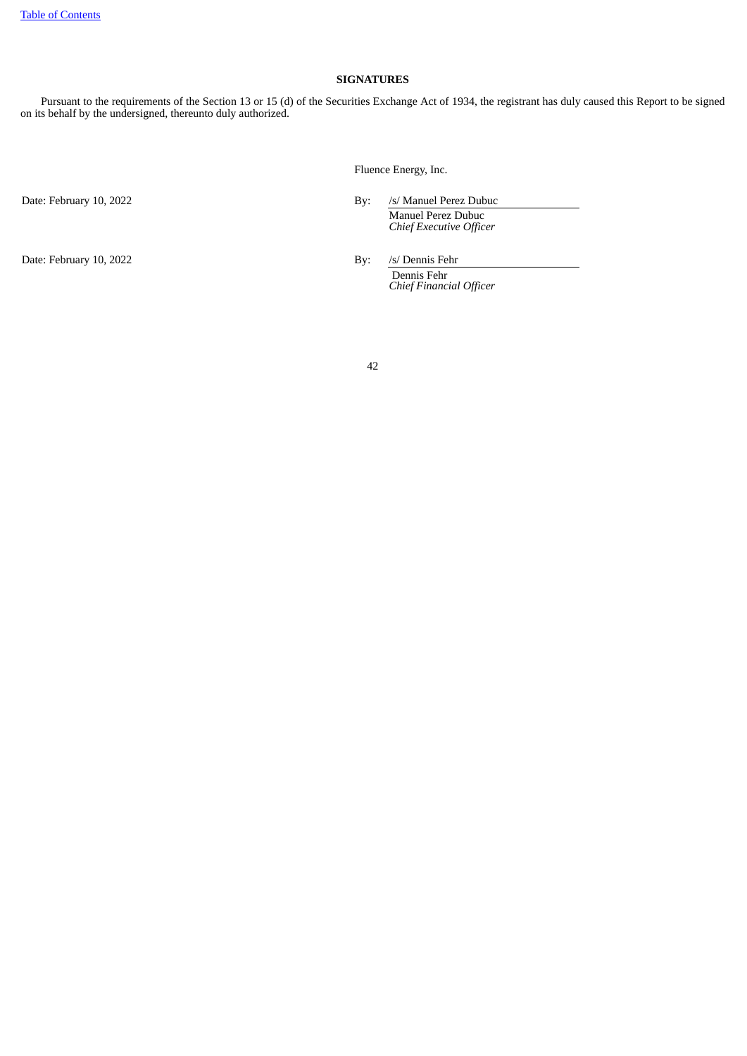## **SIGNATURES**

Pursuant to the requirements of the Section 13 or 15 (d) of the Securities Exchange Act of 1934, the registrant has duly caused this Report to be signed on its behalf by the undersigned, thereunto duly authorized.

Fluence Energy, Inc.

Date: February 10, 2022 By: /s/ Manuel Perez Dubuc

Manuel Perez Dubuc *Chief Executive Officer*

Date: February 10, 2022 By: /s/ Dennis Fehr

Dennis Fehr *Chief Financial Officer*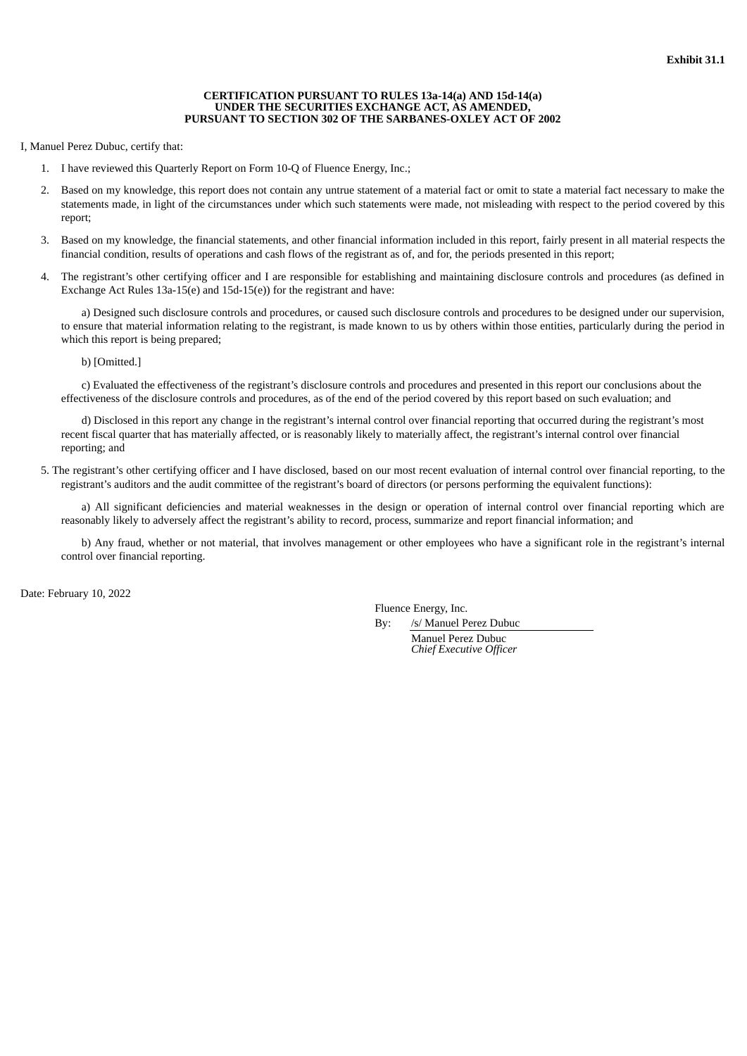## **CERTIFICATION PURSUANT TO RULES 13a-14(a) AND 15d-14(a) UNDER THE SECURITIES EXCHANGE ACT, AS AMENDED, PURSUANT TO SECTION 302 OF THE SARBANES-OXLEY ACT OF 2002**

<span id="page-42-0"></span>I, Manuel Perez Dubuc, certify that:

- 1. I have reviewed this Quarterly Report on Form 10-Q of Fluence Energy, Inc.;
- 2. Based on my knowledge, this report does not contain any untrue statement of a material fact or omit to state a material fact necessary to make the statements made, in light of the circumstances under which such statements were made, not misleading with respect to the period covered by this report;
- 3. Based on my knowledge, the financial statements, and other financial information included in this report, fairly present in all material respects the financial condition, results of operations and cash flows of the registrant as of, and for, the periods presented in this report;
- 4. The registrant's other certifying officer and I are responsible for establishing and maintaining disclosure controls and procedures (as defined in Exchange Act Rules 13a-15(e) and 15d-15(e)) for the registrant and have:

a) Designed such disclosure controls and procedures, or caused such disclosure controls and procedures to be designed under our supervision, to ensure that material information relating to the registrant, is made known to us by others within those entities, particularly during the period in which this report is being prepared;

b) [Omitted.]

c) Evaluated the effectiveness of the registrant's disclosure controls and procedures and presented in this report our conclusions about the effectiveness of the disclosure controls and procedures, as of the end of the period covered by this report based on such evaluation; and

d) Disclosed in this report any change in the registrant's internal control over financial reporting that occurred during the registrant's most recent fiscal quarter that has materially affected, or is reasonably likely to materially affect, the registrant's internal control over financial reporting; and

5. The registrant's other certifying officer and I have disclosed, based on our most recent evaluation of internal control over financial reporting, to the registrant's auditors and the audit committee of the registrant's board of directors (or persons performing the equivalent functions):

a) All significant deficiencies and material weaknesses in the design or operation of internal control over financial reporting which are reasonably likely to adversely affect the registrant's ability to record, process, summarize and report financial information; and

b) Any fraud, whether or not material, that involves management or other employees who have a significant role in the registrant's internal control over financial reporting.

Date: February 10, 2022

Fluence Energy, Inc.

By: /s/ Manuel Perez Dubuc Manuel Perez Dubuc

*Chief Executive Officer*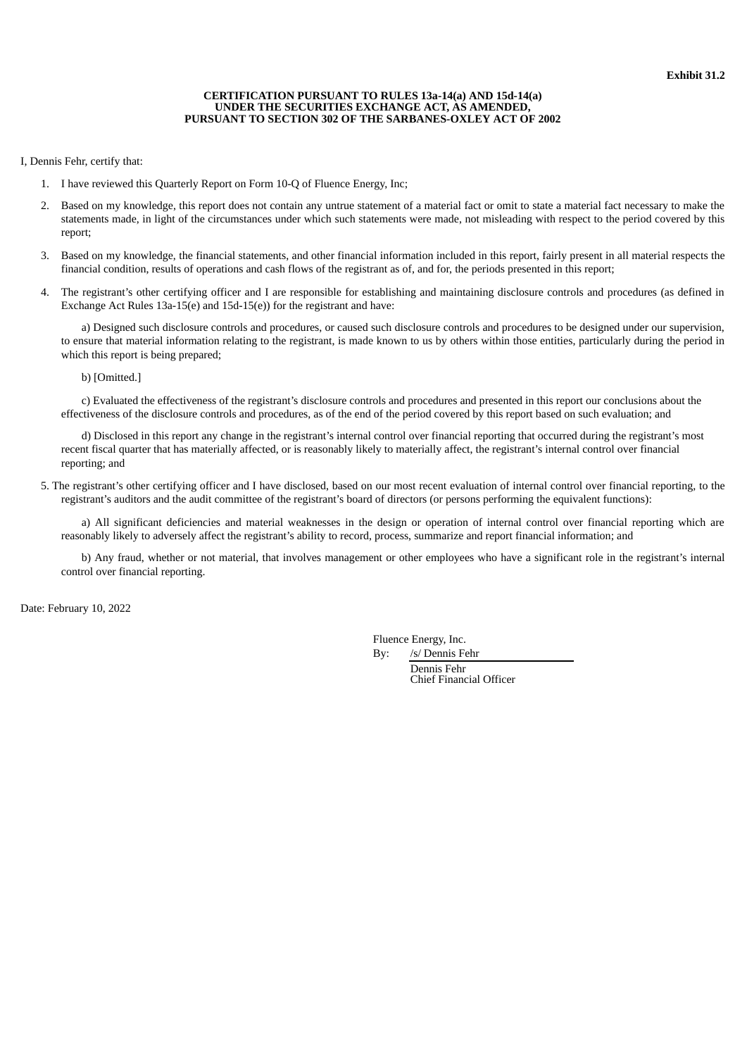#### **CERTIFICATION PURSUANT TO RULES 13a-14(a) AND 15d-14(a) UNDER THE SECURITIES EXCHANGE ACT, AS AMENDED, PURSUANT TO SECTION 302 OF THE SARBANES-OXLEY ACT OF 2002**

<span id="page-43-0"></span>I, Dennis Fehr, certify that:

- 1. I have reviewed this Quarterly Report on Form 10-Q of Fluence Energy, Inc;
- 2. Based on my knowledge, this report does not contain any untrue statement of a material fact or omit to state a material fact necessary to make the statements made, in light of the circumstances under which such statements were made, not misleading with respect to the period covered by this report;
- 3. Based on my knowledge, the financial statements, and other financial information included in this report, fairly present in all material respects the financial condition, results of operations and cash flows of the registrant as of, and for, the periods presented in this report;
- 4. The registrant's other certifying officer and I are responsible for establishing and maintaining disclosure controls and procedures (as defined in Exchange Act Rules 13a-15(e) and 15d-15(e)) for the registrant and have:

a) Designed such disclosure controls and procedures, or caused such disclosure controls and procedures to be designed under our supervision, to ensure that material information relating to the registrant, is made known to us by others within those entities, particularly during the period in which this report is being prepared;

b) [Omitted.]

c) Evaluated the effectiveness of the registrant's disclosure controls and procedures and presented in this report our conclusions about the effectiveness of the disclosure controls and procedures, as of the end of the period covered by this report based on such evaluation; and

d) Disclosed in this report any change in the registrant's internal control over financial reporting that occurred during the registrant's most recent fiscal quarter that has materially affected, or is reasonably likely to materially affect, the registrant's internal control over financial reporting; and

5. The registrant's other certifying officer and I have disclosed, based on our most recent evaluation of internal control over financial reporting, to the registrant's auditors and the audit committee of the registrant's board of directors (or persons performing the equivalent functions):

a) All significant deficiencies and material weaknesses in the design or operation of internal control over financial reporting which are reasonably likely to adversely affect the registrant's ability to record, process, summarize and report financial information; and

b) Any fraud, whether or not material, that involves management or other employees who have a significant role in the registrant's internal control over financial reporting.

Date: February 10, 2022

Fluence Energy, Inc.

By: /s/ Dennis Fehr

Dennis Fehr Chief Financial Officer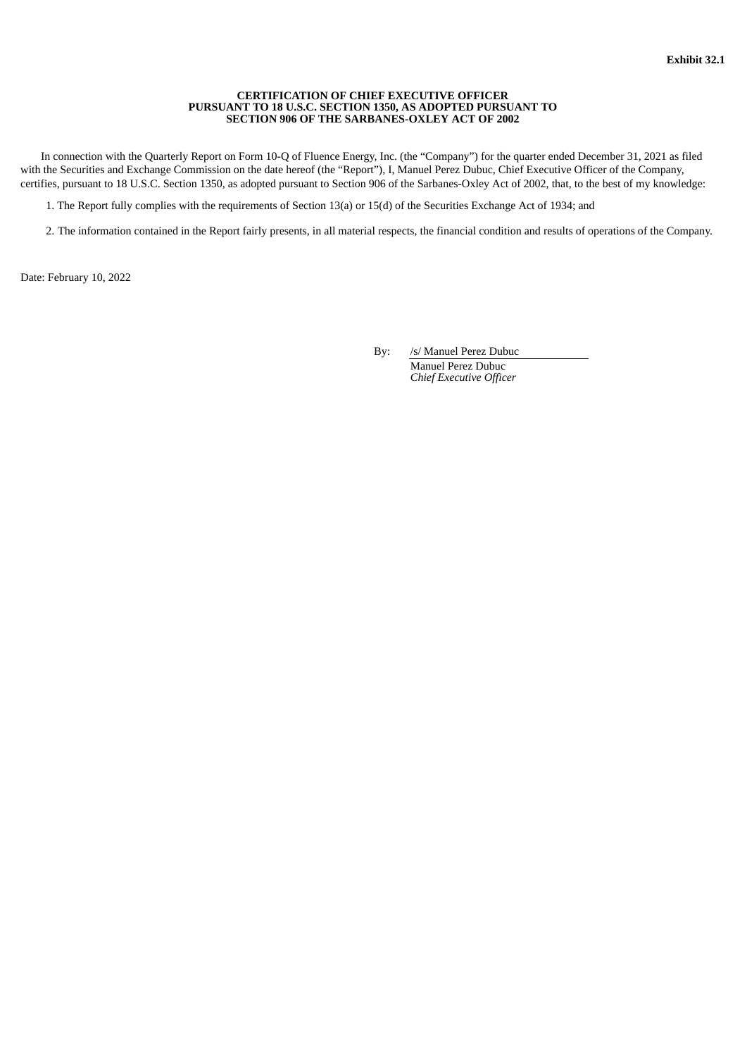## **CERTIFICATION OF CHIEF EXECUTIVE OFFICER PURSUANT TO 18 U.S.C. SECTION 1350, AS ADOPTED PURSUANT TO SECTION 906 OF THE SARBANES-OXLEY ACT OF 2002**

<span id="page-44-0"></span>In connection with the Quarterly Report on Form 10‑Q of Fluence Energy, Inc. (the "Company") for the quarter ended December 31, 2021 as filed with the Securities and Exchange Commission on the date hereof (the "Report"), I, Manuel Perez Dubuc, Chief Executive Officer of the Company, certifies, pursuant to 18 U.S.C. Section 1350, as adopted pursuant to Section 906 of the Sarbanes‑Oxley Act of 2002, that, to the best of my knowledge:

1. The Report fully complies with the requirements of Section 13(a) or 15(d) of the Securities Exchange Act of 1934; and

2. The information contained in the Report fairly presents, in all material respects, the financial condition and results of operations of the Company.

Date: February 10, 2022

By: /s/ Manuel Perez Dubuc Manuel Perez Dubuc *Chief Executive Officer*